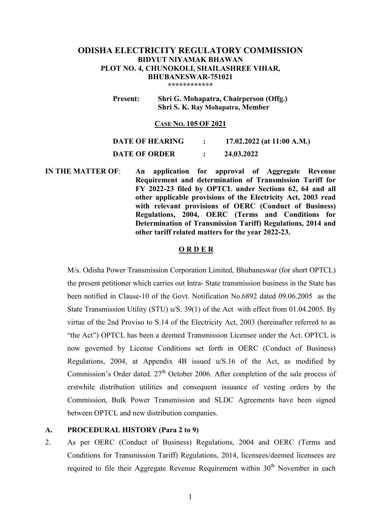## **ODISHA ELECTRICITY REGULATORY COMMISSION BIDYUT NIYAMAK BHAWAN PLOT NO. 4, CHUNOKOLI, SHAILASHREE VIHAR, BHUBANESWAR-751021 \*\*\*\*\*\*\*\*\*\*\*\***

 **Present: Shri G. Mohapatra, Chairperson (Offg.)** 

 **Shri S. K. Ray Mohapatra, Member** 

### **CASE NO. 105 OF 2021**

| <b>DATE OF HEARING</b> | 17.02.2022 (at 11:00 A.M.) |
|------------------------|----------------------------|
| <b>DATE OF ORDER</b>   | 24.03.2022                 |

**IN THE MATTER OF**: **An application for approval of Aggregate Revenue Requirement and determination of Transmission Tariff for FY 2022-23 filed by OPTCL under Sections 62, 64 and all other applicable provisions of the Electricity Act, 2003 read with relevant provisions of OERC (Conduct of Business) Regulations, 2004, OERC (Terms and Conditions for Determination of Transmission Tariff) Regulations, 2014 and other tariff related matters for the year 2022-23.** 

# **O R D E R**

M/s. Odisha Power Transmission Corporation Limited, Bhubaneswar (for short OPTCL) the present petitioner which carries out Intra- State transmission business in the State has been notified in Clause-10 of the Govt. Notification No.6892 dated 09.06.2005 as the State Transmission Utility (STU) u/S. 39(1) of the Act with effect from 01.04.2005. By virtue of the 2nd Proviso to S.14 of the Electricity Act, 2003 (hereinafter referred to as "the Act") OPTCL has been a deemed Transmission Licensee under the Act. OPTCL is now governed by License Conditions set forth in OERC (Conduct of Business) Regulations, 2004, at Appendix 4B issued u/S.16 of the Act, as modified by Commission's Order dated.  $27<sup>th</sup>$  October 2006. After completion of the sale process of erstwhile distribution utilities and consequent issuance of vesting orders by the Commission, Bulk Power Transmission and SLDC Agreements have been signed between OPTCL and new distribution companies.

# **A. PROCEDURAL HISTORY (Para 2 to 9)**

2. As per OERC (Conduct of Business) Regulations, 2004 and OERC (Terms and Conditions for Transmission Tariff) Regulations, 2014, licensees/deemed licensees are required to file their Aggregate Revenue Requirement within  $30<sup>th</sup>$  November in each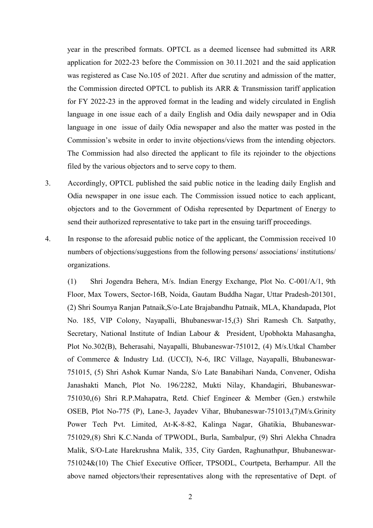year in the prescribed formats. OPTCL as a deemed licensee had submitted its ARR application for 2022-23 before the Commission on 30.11.2021 and the said application was registered as Case No.105 of 2021. After due scrutiny and admission of the matter, the Commission directed OPTCL to publish its ARR & Transmission tariff application for FY 2022-23 in the approved format in the leading and widely circulated in English language in one issue each of a daily English and Odia daily newspaper and in Odia language in one issue of daily Odia newspaper and also the matter was posted in the Commission's website in order to invite objections/views from the intending objectors. The Commission had also directed the applicant to file its rejoinder to the objections filed by the various objectors and to serve copy to them.

- 3. Accordingly, OPTCL published the said public notice in the leading daily English and Odia newspaper in one issue each. The Commission issued notice to each applicant, objectors and to the Government of Odisha represented by Department of Energy to send their authorized representative to take part in the ensuing tariff proceedings.
- 4. In response to the aforesaid public notice of the applicant, the Commission received 10 numbers of objections/suggestions from the following persons/ associations/ institutions/ organizations.

(1) Shri Jogendra Behera, M/s. Indian Energy Exchange, Plot No. C-001/A/1, 9th Floor, Max Towers, Sector-16B, Noida, Gautam Buddha Nagar, Uttar Pradesh-201301, (2) Shri Soumya Ranjan Patnaik,S/o-Late Brajabandhu Patnaik, MLA, Khandapada, Plot No. 185, VIP Colony, Nayapalli, Bhubaneswar-15,(3) Shri Ramesh Ch. Satpathy, Secretary, National Institute of Indian Labour & President, Upobhokta Mahasangha, Plot No.302(B), Beherasahi, Nayapalli, Bhubaneswar-751012, (4) M/s.Utkal Chamber of Commerce & Industry Ltd. (UCCI), N-6, IRC Village, Nayapalli, Bhubaneswar-751015, (5) Shri Ashok Kumar Nanda, S/o Late Banabihari Nanda, Convener, Odisha Janashakti Manch, Plot No. 196/2282, Mukti Nilay, Khandagiri, Bhubaneswar-751030,(6) Shri R.P.Mahapatra, Retd. Chief Engineer & Member (Gen.) erstwhile OSEB, Plot No-775 (P), Lane-3, Jayadev Vihar, Bhubaneswar-751013,(7)M/s.Grinity Power Tech Pvt. Limited, At-K-8-82, Kalinga Nagar, Ghatikia, Bhubaneswar-751029,(8) Shri K.C.Nanda of TPWODL, Burla, Sambalpur, (9) Shri Alekha Chnadra Malik, S/O-Late Harekrushna Malik, 335, City Garden, Raghunathpur, Bhubaneswar-751024&(10) The Chief Executive Officer, TPSODL, Courtpeta, Berhampur. All the above named objectors/their representatives along with the representative of Dept. of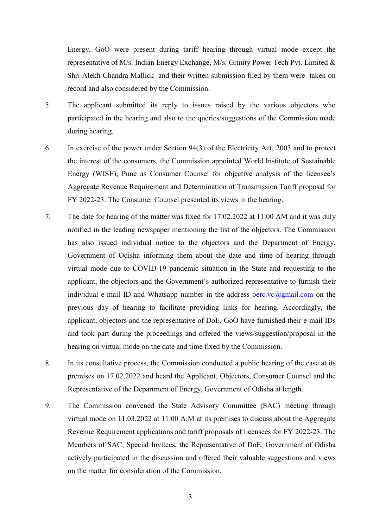Energy, GoO were present during tariff hearing through virtual mode except the representative of M/s. Indian Energy Exchange, M/s. Grinity Power Tech Pvt. Limited & Shri Alekh Chandra Mallick and their written submission filed by them were taken on record and also considered by the Commission.

- 5. The applicant submitted its reply to issues raised by the various objectors who participated in the hearing and also to the queries/suggestions of the Commission made during hearing.
- 6. In exercise of the power under Section 94(3) of the Electricity Act, 2003 and to protect the interest of the consumers, the Commission appointed World Institute of Sustainable Energy (WISE), Pune as Consumer Counsel for objective analysis of the licensee's Aggregate Revenue Requirement and Determination of Transmission Tariff proposal for FY 2022-23. The Consumer Counsel presented its views in the hearing.
- 7. The date for hearing of the matter was fixed for 17.02.2022 at 11.00 AM and it was duly notified in the leading newspaper mentioning the list of the objectors. The Commission has also issued individual notice to the objectors and the Department of Energy, Government of Odisha informing them about the date and time of hearing through virtual mode due to COVID-19 pandemic situation in the State and requesting to the applicant, the objectors and the Government's authorized representative to furnish their individual e-mail ID and Whatsapp number in the address  $\overline{overc}$ .vc $\overline{a}$ gmail.com on the previous day of hearing to facilitate providing links for hearing. Accordingly, the applicant, objectors and the representative of DoE, GoO have furnished their e-mail IDs and took part during the proceedings and offered the views/suggestion/proposal in the hearing on virtual mode on the date and time fixed by the Commission.
- 8. In its consultative process, the Commission conducted a public hearing of the case at its premises on 17.02.2022 and heard the Applicant, Objectors, Consumer Counsel and the Representative of the Department of Energy, Government of Odisha at length.
- 9. The Commission convened the State Advisory Committee (SAC) meeting through virtual mode on 11.03.2022 at 11.00 A.M at its premises to discuss about the Aggregate Revenue Requirement applications and tariff proposals of licensees for FY 2022-23. The Members of SAC, Special Invitees, the Representative of DoE, Government of Odisha actively participated in the discussion and offered their valuable suggestions and views on the matter for consideration of the Commission.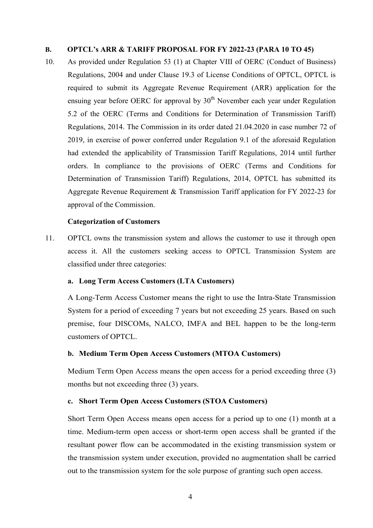### **B. OPTCL's ARR & TARIFF PROPOSAL FOR FY 2022-23 (PARA 10 TO 45)**

10. As provided under Regulation 53 (1) at Chapter VIII of OERC (Conduct of Business) Regulations, 2004 and under Clause 19.3 of License Conditions of OPTCL, OPTCL is required to submit its Aggregate Revenue Requirement (ARR) application for the ensuing year before OERC for approval by  $30<sup>th</sup>$  November each year under Regulation 5.2 of the OERC (Terms and Conditions for Determination of Transmission Tariff) Regulations, 2014. The Commission in its order dated 21.04.2020 in case number 72 of 2019, in exercise of power conferred under Regulation 9.1 of the aforesaid Regulation had extended the applicability of Transmission Tariff Regulations, 2014 until further orders. In compliance to the provisions of OERC (Terms and Conditions for Determination of Transmission Tariff) Regulations, 2014, OPTCL has submitted its Aggregate Revenue Requirement & Transmission Tariff application for FY 2022-23 for approval of the Commission.

#### **Categorization of Customers**

11. OPTCL owns the transmission system and allows the customer to use it through open access it. All the customers seeking access to OPTCL Transmission System are classified under three categories:

#### **a. Long Term Access Customers (LTA Customers)**

A Long-Term Access Customer means the right to use the Intra-State Transmission System for a period of exceeding 7 years but not exceeding 25 years. Based on such premise, four DISCOMs, NALCO, IMFA and BEL happen to be the long-term customers of OPTCL.

#### **b. Medium Term Open Access Customers (MTOA Customers)**

Medium Term Open Access means the open access for a period exceeding three (3) months but not exceeding three  $(3)$  years.

#### **c. Short Term Open Access Customers (STOA Customers)**

Short Term Open Access means open access for a period up to one (1) month at a time. Medium-term open access or short-term open access shall be granted if the resultant power flow can be accommodated in the existing transmission system or the transmission system under execution, provided no augmentation shall be carried out to the transmission system for the sole purpose of granting such open access.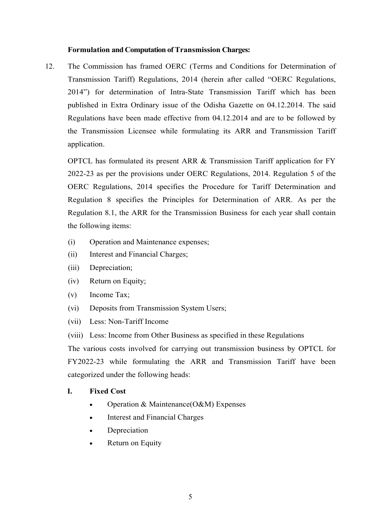## **Formulation and Computation of Transmission Charges:**

12. The Commission has framed OERC (Terms and Conditions for Determination of Transmission Tariff) Regulations, 2014 (herein after called "OERC Regulations, 2014") for determination of Intra-State Transmission Tariff which has been published in Extra Ordinary issue of the Odisha Gazette on 04.12.2014. The said Regulations have been made effective from 04.12.2014 and are to be followed by the Transmission Licensee while formulating its ARR and Transmission Tariff application.

OPTCL has formulated its present ARR & Transmission Tariff application for FY 2022-23 as per the provisions under OERC Regulations, 2014. Regulation 5 of the OERC Regulations, 2014 specifies the Procedure for Tariff Determination and Regulation 8 specifies the Principles for Determination of ARR. As per the Regulation 8.1, the ARR for the Transmission Business for each year shall contain the following items:

- (i) Operation and Maintenance expenses;
- (ii) Interest and Financial Charges;
- (iii) Depreciation;
- (iv) Return on Equity;
- (v) Income Tax;
- (vi) Deposits from Transmission System Users;
- (vii) Less: Non-Tariff Income
- (viii) Less: Income from Other Business as specified in these Regulations

The various costs involved for carrying out transmission business by OPTCL for FY2022-23 while formulating the ARR and Transmission Tariff have been categorized under the following heads:

#### **I. Fixed Cost**

- Operation & Maintenance(O&M) Expenses
- Interest and Financial Charges
- **Depreciation**
- Return on Equity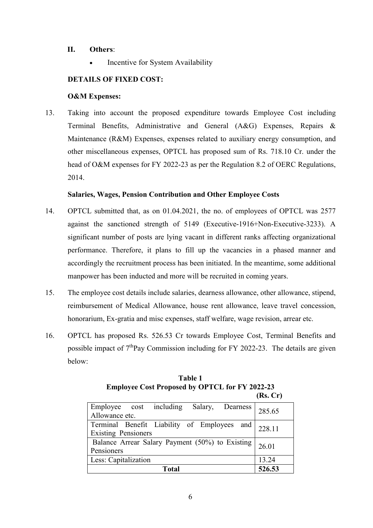# **II. Others**:

Incentive for System Availability

# **DETAILS OF FIXED COST:**

## **O&M Expenses:**

13. Taking into account the proposed expenditure towards Employee Cost including Terminal Benefits, Administrative and General (A&G) Expenses, Repairs & Maintenance (R&M) Expenses, expenses related to auxiliary energy consumption, and other miscellaneous expenses, OPTCL has proposed sum of Rs. 718.10 Cr. under the head of O&M expenses for FY 2022-23 as per the Regulation 8.2 of OERC Regulations, 2014.

# **Salaries, Wages, Pension Contribution and Other Employee Costs**

- 14. OPTCL submitted that, as on 01.04.2021, the no. of employees of OPTCL was 2577 against the sanctioned strength of 5149 (Executive-1916+Non-Executive-3233). A significant number of posts are lying vacant in different ranks affecting organizational performance. Therefore, it plans to fill up the vacancies in a phased manner and accordingly the recruitment process has been initiated. In the meantime, some additional manpower has been inducted and more will be recruited in coming years.
- 15. The employee cost details include salaries, dearness allowance, other allowance, stipend, reimbursement of Medical Allowance, house rent allowance, leave travel concession, honorarium, Ex-gratia and misc expenses, staff welfare, wage revision, arrear etc.
- 16. OPTCL has proposed Rs. 526.53 Cr towards Employee Cost, Terminal Benefits and possible impact of  $7<sup>th</sup>Pav$  Commission including for FY 2022-23. The details are given below:

|                                                 | (Rs, Cr) |
|-------------------------------------------------|----------|
| including Salary, Dearness<br>Employee cost     | 285.65   |
| Allowance etc.                                  |          |
| Terminal Benefit Liability of Employees and     | 228.11   |
| <b>Existing Pensioners</b>                      |          |
| Balance Arrear Salary Payment (50%) to Existing | 26.01    |
| Pensioners                                      |          |
| Less: Capitalization                            | 13.24    |
| Total                                           | 526.53   |

**Table 1 Employee Cost Proposed by OPTCL for FY 2022-23**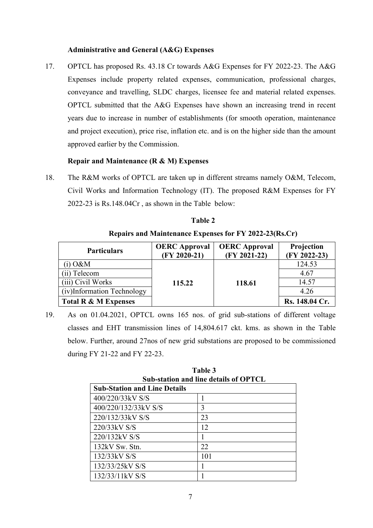## **Administrative and General (A&G) Expenses**

17. OPTCL has proposed Rs. 43.18 Cr towards A&G Expenses for FY 2022-23. The A&G Expenses include property related expenses, communication, professional charges, conveyance and travelling, SLDC charges, licensee fee and material related expenses. OPTCL submitted that the A&G Expenses have shown an increasing trend in recent years due to increase in number of establishments (for smooth operation, maintenance and project execution), price rise, inflation etc. and is on the higher side than the amount approved earlier by the Commission.

# **Repair and Maintenance (R & M) Expenses**

18. The R&M works of OPTCL are taken up in different streams namely O&M, Telecom, Civil Works and Information Technology (IT). The proposed R&M Expenses for FY 2022-23 is Rs.148.04Cr , as shown in the Table below:

| <b>Particulars</b>         | <b>OERC</b> Approval<br>$(FY 2020-21)$ | <b>OERC</b> Approval<br>$(FY 2021-22)$ | Projection<br>(FY 2022-23) |
|----------------------------|----------------------------------------|----------------------------------------|----------------------------|
| i) $O\&M$                  |                                        |                                        | 124.53                     |
| Telecom                    |                                        |                                        | 4.67                       |
| (iii) Civil Works          | 115.22                                 | 118.61                                 | 14.57                      |
| (iv)Information Technology |                                        |                                        | 4.26                       |
| Total R & M Expenses       |                                        |                                        | Rs. 148.04 Cr.             |

**Table 2** 

# **Repairs and Maintenance Expenses for FY 2022-23(Rs.Cr)**

19. As on 01.04.2021, OPTCL owns 165 nos. of grid sub-stations of different voltage classes and EHT transmission lines of 14,804.617 ckt. kms. as shown in the Table below. Further, around 27nos of new grid substations are proposed to be commissioned during FY 21-22 and FY 22-23.

| Table 3                               |     |  |  |  |
|---------------------------------------|-----|--|--|--|
| Sub-station and line details of OPTCL |     |  |  |  |
| <b>Sub-Station and Line Details</b>   |     |  |  |  |
| 400/220/33kV S/S                      |     |  |  |  |
| 400/220/132/33kV S/S                  | 3   |  |  |  |
| 220/132/33kV S/S                      | 23  |  |  |  |
| 220/33kV S/S                          | 12  |  |  |  |
| 220/132kV S/S                         |     |  |  |  |
| 132kV Sw. Stn.                        | 22  |  |  |  |
| 132/33kV S/S                          | 101 |  |  |  |
| 132/33/25kV S/S                       |     |  |  |  |
| 132/33/11 kV S/S                      |     |  |  |  |

**Table 3**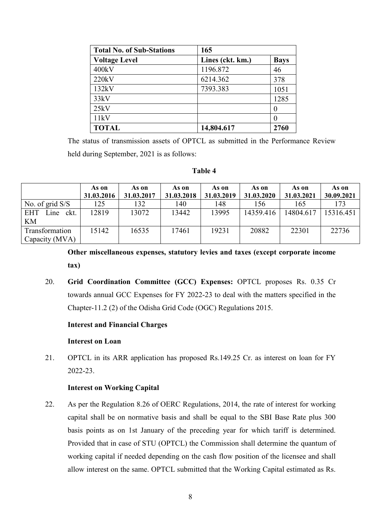| <b>Total No. of Sub-Stations</b> | 165              |             |
|----------------------------------|------------------|-------------|
| <b>Voltage Level</b>             | Lines (ckt. km.) | <b>Bays</b> |
| 400kV                            | 1196.872         | 46          |
| 220kV                            | 6214.362         | 378         |
| 132kV                            | 7393.383         | 1051        |
| 33kV                             |                  | 1285        |
| 25kV                             |                  |             |
| 11kV                             |                  |             |
| <b>TOTAL</b>                     | 14,804.617       | 2760        |

The status of transmission assets of OPTCL as submitted in the Performance Review held during September, 2021 is as follows:

#### **Table 4**

|                            | As on      | As on      | As on      | As on      | As on      | As on      | As on      |
|----------------------------|------------|------------|------------|------------|------------|------------|------------|
|                            | 31.03.2016 | 31.03.2017 | 31.03.2018 | 31.03.2019 | 31.03.2020 | 31.03.2021 | 30.09.2021 |
| No. of grid $S/S$          | 125        | 132        | 140        | 148        | 156        | 165        | 173        |
| <b>EHT</b><br>ckt.<br>Line | 12819      | 13072      | 13442      | 13995      | 14359.416  | 14804.617  | 15316.451  |
| KM                         |            |            |            |            |            |            |            |
| Transformation             | 15142      | 16535      | 17461      | 19231      | 20882      | 22301      | 22736      |
| Capacity (MVA)             |            |            |            |            |            |            |            |

**Other miscellaneous expenses, statutory levies and taxes (except corporate income tax)** 

20. **Grid Coordination Committee (GCC) Expenses:** OPTCL proposes Rs. 0.35 Cr towards annual GCC Expenses for FY 2022-23 to deal with the matters specified in the Chapter-11.2 (2) of the Odisha Grid Code (OGC) Regulations 2015.

## **Interest and Financial Charges**

#### **Interest on Loan**

21. OPTCL in its ARR application has proposed Rs.149.25 Cr. as interest on loan for FY 2022-23.

## **Interest on Working Capital**

22. As per the Regulation 8.26 of OERC Regulations, 2014, the rate of interest for working capital shall be on normative basis and shall be equal to the SBI Base Rate plus 300 basis points as on 1st January of the preceding year for which tariff is determined. Provided that in case of STU (OPTCL) the Commission shall determine the quantum of working capital if needed depending on the cash flow position of the licensee and shall allow interest on the same. OPTCL submitted that the Working Capital estimated as Rs.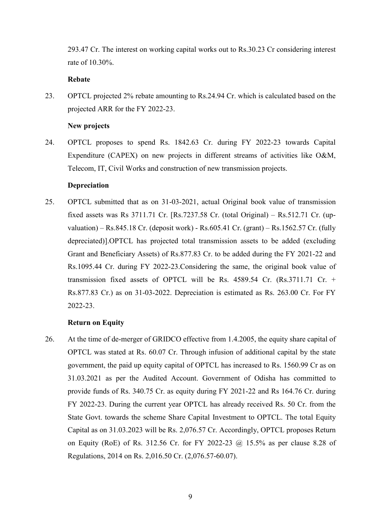293.47 Cr. The interest on working capital works out to Rs.30.23 Cr considering interest rate of 10.30%.

# **Rebate**

23. OPTCL projected 2% rebate amounting to Rs.24.94 Cr. which is calculated based on the projected ARR for the FY 2022-23.

#### **New projects**

24. OPTCL proposes to spend Rs. 1842.63 Cr. during FY 2022-23 towards Capital Expenditure (CAPEX) on new projects in different streams of activities like O&M, Telecom, IT, Civil Works and construction of new transmission projects.

## **Depreciation**

25. OPTCL submitted that as on 31-03-2021, actual Original book value of transmission fixed assets was Rs 3711.71 Cr. [Rs.7237.58 Cr. (total Original) – Rs.512.71 Cr. (upvaluation) – Rs.845.18 Cr. (deposit work) - Rs.605.41 Cr. (grant) – Rs.1562.57 Cr. (fully depreciated)].OPTCL has projected total transmission assets to be added (excluding Grant and Beneficiary Assets) of Rs.877.83 Cr. to be added during the FY 2021-22 and Rs.1095.44 Cr. during FY 2022-23.Considering the same, the original book value of transmission fixed assets of OPTCL will be Rs. 4589.54 Cr. (Rs.3711.71 Cr. + Rs.877.83 Cr.) as on 31-03-2022. Depreciation is estimated as Rs. 263.00 Cr. For FY 2022-23.

## **Return on Equity**

26. At the time of de-merger of GRIDCO effective from 1.4.2005, the equity share capital of OPTCL was stated at Rs. 60.07 Cr. Through infusion of additional capital by the state government, the paid up equity capital of OPTCL has increased to Rs. 1560.99 Cr as on 31.03.2021 as per the Audited Account. Government of Odisha has committed to provide funds of Rs. 340.75 Cr. as equity during FY 2021-22 and Rs 164.76 Cr. during FY 2022-23. During the current year OPTCL has already received Rs. 50 Cr. from the State Govt. towards the scheme Share Capital Investment to OPTCL. The total Equity Capital as on 31.03.2023 will be Rs. 2,076.57 Cr. Accordingly, OPTCL proposes Return on Equity (RoE) of Rs. 312.56 Cr. for FY 2022-23 @ 15.5% as per clause 8.28 of Regulations, 2014 on Rs. 2,016.50 Cr. (2,076.57-60.07).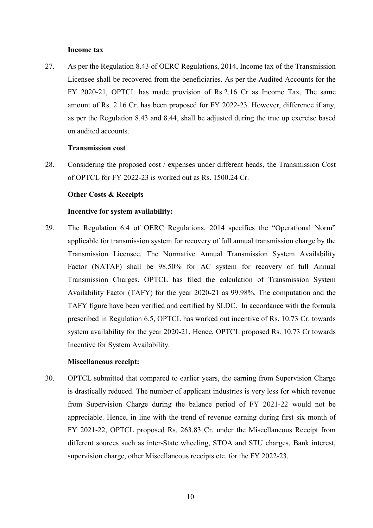#### **Income tax**

27. As per the Regulation 8.43 of OERC Regulations, 2014, Income tax of the Transmission Licensee shall be recovered from the beneficiaries. As per the Audited Accounts for the FY 2020-21, OPTCL has made provision of Rs.2.16 Cr as Income Tax. The same amount of Rs. 2.16 Cr. has been proposed for FY 2022-23. However, difference if any, as per the Regulation 8.43 and 8.44, shall be adjusted during the true up exercise based on audited accounts.

### **Transmission cost**

28. Considering the proposed cost / expenses under different heads, the Transmission Cost of OPTCL for FY 2022-23 is worked out as Rs. 1500.24 Cr.

#### **Other Costs & Receipts**

#### **Incentive for system availability:**

29. The Regulation 6.4 of OERC Regulations, 2014 specifies the "Operational Norm" applicable for transmission system for recovery of full annual transmission charge by the Transmission Licensee. The Normative Annual Transmission System Availability Factor (NATAF) shall be 98.50% for AC system for recovery of full Annual Transmission Charges. OPTCL has filed the calculation of Transmission System Availability Factor (TAFY) for the year 2020-21 as 99.98%. The computation and the TAFY figure have been verified and certified by SLDC. In accordance with the formula prescribed in Regulation 6.5, OPTCL has worked out incentive of Rs. 10.73 Cr. towards system availability for the year 2020-21. Hence, OPTCL proposed Rs. 10.73 Cr towards Incentive for System Availability.

#### **Miscellaneous receipt:**

30. OPTCL submitted that compared to earlier years, the earning from Supervision Charge is drastically reduced. The number of applicant industries is very less for which revenue from Supervision Charge during the balance period of FY 2021-22 would not be appreciable. Hence, in line with the trend of revenue earning during first six month of FY 2021-22, OPTCL proposed Rs. 263.83 Cr. under the Miscellaneous Receipt from different sources such as inter-State wheeling, STOA and STU charges, Bank interest, supervision charge, other Miscellaneous receipts etc. for the FY 2022-23.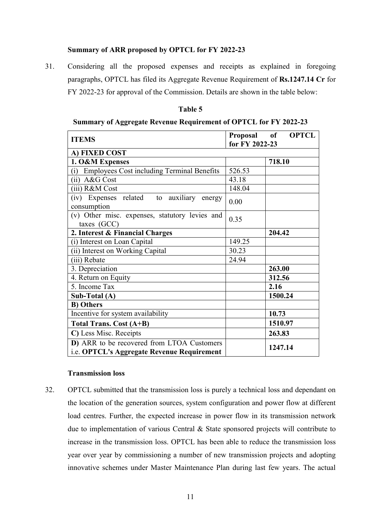# **Summary of ARR proposed by OPTCL for FY 2022-23**

31. Considering all the proposed expenses and receipts as explained in foregoing paragraphs, OPTCL has filed its Aggregate Revenue Requirement of **Rs.1247.14 Cr** for FY 2022-23 for approval of the Commission. Details are shown in the table below:

#### **Table 5**

| <b>Summary of Aggregate Revenue Requirement of OPTCL for FY 2022-23</b> |  |  |
|-------------------------------------------------------------------------|--|--|
|                                                                         |  |  |

| <b>ITEMS</b>                                                                             | Proposal of    | <b>OPTCL</b> |
|------------------------------------------------------------------------------------------|----------------|--------------|
|                                                                                          | for FY 2022-23 |              |
| A) FIXED COST                                                                            |                |              |
| 1. O&M Expenses                                                                          |                | 718.10       |
| (i) Employees Cost including Terminal Benefits                                           | 526.53         |              |
| (ii) A&G Cost                                                                            | 43.18          |              |
| (iii) R&M Cost                                                                           | 148.04         |              |
| (iv) Expenses related to auxiliary<br>energy<br>consumption                              | 0.00           |              |
| (v) Other misc. expenses, statutory levies and<br>taxes (GCC)                            | 0.35           |              |
| 2. Interest & Financial Charges                                                          |                | 204.42       |
| (i) Interest on Loan Capital                                                             | 149.25         |              |
| (ii) Interest on Working Capital                                                         | 30.23          |              |
| (iii) Rebate                                                                             | 24.94          |              |
| 3. Depreciation                                                                          |                | 263.00       |
| 4. Return on Equity                                                                      |                | 312.56       |
| 5. Income Tax                                                                            |                | 2.16         |
| Sub-Total (A)                                                                            |                | 1500.24      |
| <b>B)</b> Others                                                                         |                |              |
| Incentive for system availability                                                        |                | 10.73        |
| <b>Total Trans. Cost (A+B)</b>                                                           |                | 1510.97      |
| C) Less Misc. Receipts                                                                   |                | 263.83       |
| D) ARR to be recovered from LTOA Customers<br>i.e. OPTCL's Aggregate Revenue Requirement |                | 1247.14      |

#### **Transmission loss**

32. OPTCL submitted that the transmission loss is purely a technical loss and dependant on the location of the generation sources, system configuration and power flow at different load centres. Further, the expected increase in power flow in its transmission network due to implementation of various Central & State sponsored projects will contribute to increase in the transmission loss. OPTCL has been able to reduce the transmission loss year over year by commissioning a number of new transmission projects and adopting innovative schemes under Master Maintenance Plan during last few years. The actual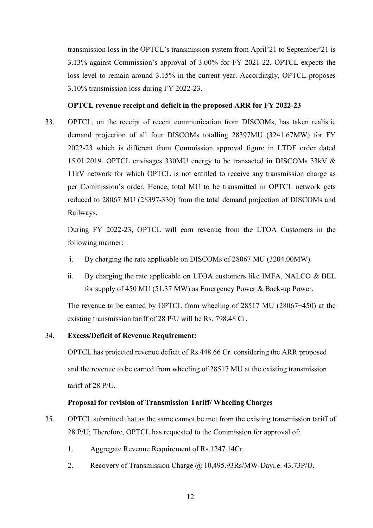transmission loss in the OPTCL's transmission system from April'21 to September'21 is 3.13% against Commission's approval of 3.00% for FY 2021-22. OPTCL expects the loss level to remain around 3.15% in the current year. Accordingly, OPTCL proposes 3.10% transmission loss during FY 2022-23.

# **OPTCL revenue receipt and deficit in the proposed ARR for FY 2022-23**

33. OPTCL, on the receipt of recent communication from DISCOMs, has taken realistic demand projection of all four DISCOMs totalling 28397MU (3241.67MW) for FY 2022-23 which is different from Commission approval figure in LTDF order dated 15.01.2019. OPTCL envisages 330MU energy to be transacted in DISCOMs 33kV & 11kV network for which OPTCL is not entitled to receive any transmission charge as per Commission's order. Hence, total MU to be transmitted in OPTCL network gets reduced to 28067 MU (28397-330) from the total demand projection of DISCOMs and Railways.

During FY 2022-23, OPTCL will earn revenue from the LTOA Customers in the following manner:

- i. By charging the rate applicable on DISCOMs of 28067 MU (3204.00MW).
- ii. By charging the rate applicable on LTOA customers like IMFA, NALCO & BEL for supply of 450 MU (51.37 MW) as Emergency Power & Back-up Power.

The revenue to be earned by OPTCL from wheeling of 28517 MU (28067+450) at the existing transmission tariff of 28 P/U will be Rs. 798.48 Cr.

# 34. **Excess/Deficit of Revenue Requirement:**

OPTCL has projected revenue deficit of Rs.448.66 Cr. considering the ARR proposed and the revenue to be earned from wheeling of 28517 MU at the existing transmission tariff of 28 P/U.

# **Proposal for revision of Transmission Tariff/ Wheeling Charges**

- 35. OPTCL submitted that as the same cannot be met from the existing transmission tariff of 28 P/U; Therefore, OPTCL has requested to the Commission for approval of:
	- 1. Aggregate Revenue Requirement of Rs.1247.14Cr.
	- 2. Recovery of Transmission Charge @ 10,495.93Rs/MW-Dayi.e. 43.73P/U.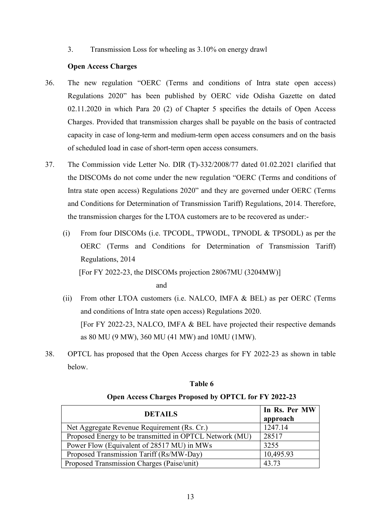3. Transmission Loss for wheeling as 3.10% on energy drawl

### **Open Access Charges**

- 36. The new regulation "OERC (Terms and conditions of Intra state open access) Regulations 2020" has been published by OERC vide Odisha Gazette on dated 02.11.2020 in which Para 20 (2) of Chapter 5 specifies the details of Open Access Charges. Provided that transmission charges shall be payable on the basis of contracted capacity in case of long-term and medium-term open access consumers and on the basis of scheduled load in case of short-term open access consumers.
- 37. The Commission vide Letter No. DIR (T)-332/2008/77 dated 01.02.2021 clarified that the DISCOMs do not come under the new regulation "OERC (Terms and conditions of Intra state open access) Regulations 2020" and they are governed under OERC (Terms and Conditions for Determination of Transmission Tariff) Regulations, 2014. Therefore, the transmission charges for the LTOA customers are to be recovered as under:-
	- (i) From four DISCOMs (i.e. TPCODL, TPWODL, TPNODL & TPSODL) as per the OERC (Terms and Conditions for Determination of Transmission Tariff) Regulations, 2014 [For FY 2022-23, the DISCOMs projection 28067MU (3204MW)]

and

- (ii) From other LTOA customers (i.e. NALCO, IMFA & BEL) as per OERC (Terms and conditions of Intra state open access) Regulations 2020. [For FY 2022-23, NALCO, IMFA & BEL have projected their respective demands as 80 MU (9 MW), 360 MU (41 MW) and 10MU (1MW).
- 38. OPTCL has proposed that the Open Access charges for FY 2022-23 as shown in table below.

| <b>DETAILS</b>                                          | In Rs. Per MW<br>approach |
|---------------------------------------------------------|---------------------------|
| Net Aggregate Revenue Requirement (Rs. Cr.)             | 1247.14                   |
| Proposed Energy to be transmitted in OPTCL Network (MU) | 28517                     |
| Power Flow (Equivalent of 28517 MU) in MWs              | 3255                      |
| Proposed Transmission Tariff (Rs/MW-Day)                | 10,495.93                 |
| Proposed Transmission Charges (Paise/unit)              | 43.73                     |

# **Table 6 Open Access Charges Proposed by OPTCL for FY 2022-23**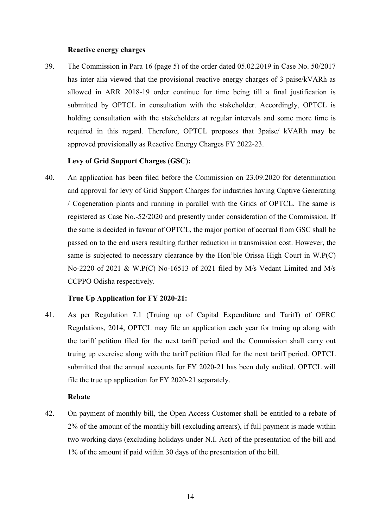### **Reactive energy charges**

39. The Commission in Para 16 (page 5) of the order dated 05.02.2019 in Case No. 50/2017 has inter alia viewed that the provisional reactive energy charges of 3 paise/kVARh as allowed in ARR 2018-19 order continue for time being till a final justification is submitted by OPTCL in consultation with the stakeholder. Accordingly, OPTCL is holding consultation with the stakeholders at regular intervals and some more time is required in this regard. Therefore, OPTCL proposes that 3paise/ kVARh may be approved provisionally as Reactive Energy Charges FY 2022-23.

# **Levy of Grid Support Charges (GSC):**

40. An application has been filed before the Commission on 23.09.2020 for determination and approval for levy of Grid Support Charges for industries having Captive Generating / Cogeneration plants and running in parallel with the Grids of OPTCL. The same is registered as Case No.-52/2020 and presently under consideration of the Commission. If the same is decided in favour of OPTCL, the major portion of accrual from GSC shall be passed on to the end users resulting further reduction in transmission cost. However, the same is subjected to necessary clearance by the Hon'ble Orissa High Court in W.P(C) No-2220 of 2021 & W.P(C) No-16513 of 2021 filed by M/s Vedant Limited and M/s CCPPO Odisha respectively.

## **True Up Application for FY 2020-21:**

41. As per Regulation 7.1 (Truing up of Capital Expenditure and Tariff) of OERC Regulations, 2014, OPTCL may file an application each year for truing up along with the tariff petition filed for the next tariff period and the Commission shall carry out truing up exercise along with the tariff petition filed for the next tariff period. OPTCL submitted that the annual accounts for FY 2020-21 has been duly audited. OPTCL will file the true up application for FY 2020-21 separately.

# **Rebate**

42. On payment of monthly bill, the Open Access Customer shall be entitled to a rebate of 2% of the amount of the monthly bill (excluding arrears), if full payment is made within two working days (excluding holidays under N.I. Act) of the presentation of the bill and 1% of the amount if paid within 30 days of the presentation of the bill.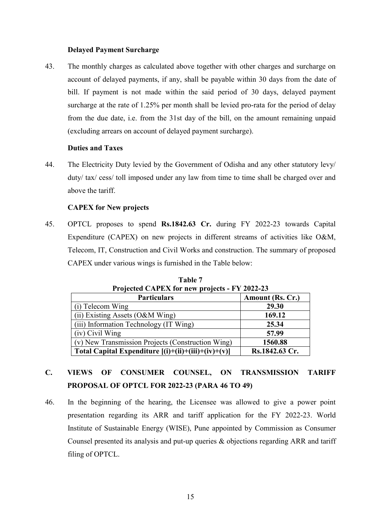## **Delayed Payment Surcharge**

43. The monthly charges as calculated above together with other charges and surcharge on account of delayed payments, if any, shall be payable within 30 days from the date of bill. If payment is not made within the said period of 30 days, delayed payment surcharge at the rate of 1.25% per month shall be levied pro-rata for the period of delay from the due date, i.e. from the 31st day of the bill, on the amount remaining unpaid (excluding arrears on account of delayed payment surcharge).

# **Duties and Taxes**

44. The Electricity Duty levied by the Government of Odisha and any other statutory levy/ duty/ tax/ cess/ toll imposed under any law from time to time shall be charged over and above the tariff.

## **CAPEX for New projects**

45. OPTCL proposes to spend **Rs.1842.63 Cr.** during FY 2022-23 towards Capital Expenditure (CAPEX) on new projects in different streams of activities like O&M, Telecom, IT, Construction and Civil Works and construction. The summary of proposed CAPEX under various wings is furnished in the Table below:

| Projected CAPEX for new projects - F Y 2022-23        |                  |  |  |  |
|-------------------------------------------------------|------------------|--|--|--|
| <b>Particulars</b>                                    | Amount (Rs. Cr.) |  |  |  |
| (i) Telecom Wing                                      | 29.30            |  |  |  |
| (ii) Existing Assets $(O&M\text{Wing})$               | 169.12           |  |  |  |
| (iii) Information Technology (IT Wing)                | 25.34            |  |  |  |
| $(iv)$ Civil Wing                                     | 57.99            |  |  |  |
| (v) New Transmission Projects (Construction Wing)     | 1560.88          |  |  |  |
| Total Capital Expenditure $[(i)+(ii)+(iii)+(iv)+(v)]$ | Rs.1842.63 Cr.   |  |  |  |

**Table 7 Projected CAPEX for new projects - FY 2022-23** 

# **C. VIEWS OF CONSUMER COUNSEL, ON TRANSMISSION TARIFF PROPOSAL OF OPTCL FOR 2022-23 (PARA 46 TO 49)**

46. In the beginning of the hearing, the Licensee was allowed to give a power point presentation regarding its ARR and tariff application for the FY 2022-23. World Institute of Sustainable Energy (WISE), Pune appointed by Commission as Consumer Counsel presented its analysis and put-up queries & objections regarding ARR and tariff filing of OPTCL.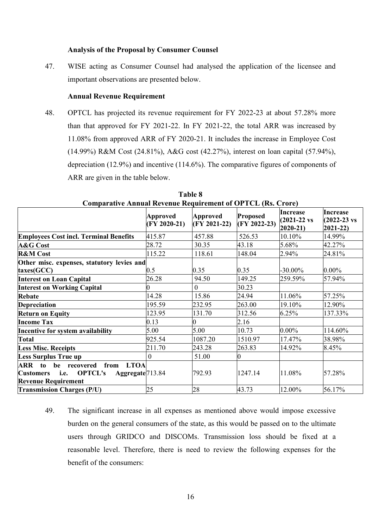#### **Analysis of the Proposal by Consumer Counsel**

47. WISE acting as Consumer Counsel had analysed the application of the licensee and important observations are presented below.

### **Annual Revenue Requirement**

48. OPTCL has projected its revenue requirement for FY 2022-23 at about 57.28% more than that approved for FY 2021-22. In FY 2021-22, the total ARR was increased by 11.08% from approved ARR of FY 2020-21. It includes the increase in Employee Cost (14.99%) R&M Cost (24.81%), A&G cost (42.27%), interest on loan capital (57.94%), depreciation (12.9%) and incentive (114.6%). The comparative figures of components of ARR are given in the table below.

| Comparative Annual Revenue Requirement of OT TCL (RS. Crote)    |                                   |                                   |                                 |                                                            |                                                             |
|-----------------------------------------------------------------|-----------------------------------|-----------------------------------|---------------------------------|------------------------------------------------------------|-------------------------------------------------------------|
|                                                                 | <b>Approved</b><br>$(FY 2020-21)$ | <b>Approved</b><br>$(FY 2021-22)$ | <b>Proposed</b><br>(FY 2022-23) | <b>Increase</b><br>$(2021 - 22 \text{ vs }$<br>$2020 - 21$ | <b>Increase</b><br>$(2022 - 23 \text{ vs }$<br>$2021 - 22)$ |
| <b>Employees Cost incl. Terminal Benefits</b>                   | 415.87                            | 457.88                            | 526.53                          | 10.10%                                                     | 14.99%                                                      |
| A&G Cost                                                        | 28.72                             | 30.35                             | 43.18                           | 5.68%                                                      | 42.27%                                                      |
| <b>R&amp;M</b> Cost                                             | 115.22                            | 118.61                            | 148.04                          | 2.94%                                                      | 24.81%                                                      |
| Other misc. expenses, statutory levies and                      |                                   |                                   |                                 |                                                            |                                                             |
| $\text{taxes}(\text{GCC})$                                      | 0.5                               | 0.35                              | 0.35                            | $-30.00\%$                                                 | $0.00\%$                                                    |
| <b>Interest on Loan Capital</b>                                 | 26.28                             | 94.50                             | 149.25                          | 259.59%                                                    | 57.94%                                                      |
| <b>Interest on Working Capital</b>                              |                                   | $\mathbf{0}$                      | 30.23                           |                                                            |                                                             |
| Rebate                                                          | 14.28                             | 15.86                             | 24.94                           | 11.06%                                                     | 57.25%                                                      |
| <b>Depreciation</b>                                             | 195.59                            | 232.95                            | 263.00                          | 19.10%                                                     | 12.90%                                                      |
| <b>Return on Equity</b>                                         | 123.95                            | 131.70                            | 312.56                          | 6.25%                                                      | 137.33%                                                     |
| <b>Income Tax</b>                                               | 0.13                              |                                   | 2.16                            |                                                            |                                                             |
| Incentive for system availability                               | 5.00                              | 5.00                              | 10.73                           | $0.00\%$                                                   | 114.60%                                                     |
| <b>Total</b>                                                    | 925.54                            | 1087.20                           | 1510.97                         | 17.47%                                                     | 38.98%                                                      |
| <b>Less Misc. Receipts</b>                                      | 211.70                            | 243.28                            | 263.83                          | 14.92%                                                     | 8.45%                                                       |
| <b>Less Surplus True up</b>                                     | $\mathbf{0}$                      | 51.00                             | 0                               |                                                            |                                                             |
| <b>LTOA</b><br>from<br>ARR to be recovered                      |                                   |                                   |                                 |                                                            |                                                             |
| Aggregate <sup>713.84</sup><br>i.e. OPTCL's<br><b>Customers</b> |                                   | 792.93                            | 1247.14                         | 11.08%                                                     | 57.28%                                                      |
| <b>Revenue Requirement</b>                                      |                                   |                                   |                                 |                                                            |                                                             |
| <b>Transmission Charges (P/U)</b>                               | 25                                | 28                                | 43.73                           | 12.00%                                                     | 56.17%                                                      |

**Table 8 Comparative Annual Revenue Requirement of OPTCL (Rs. Crore)** 

49. The significant increase in all expenses as mentioned above would impose excessive burden on the general consumers of the state, as this would be passed on to the ultimate users through GRIDCO and DISCOMs. Transmission loss should be fixed at a reasonable level. Therefore, there is need to review the following expenses for the benefit of the consumers: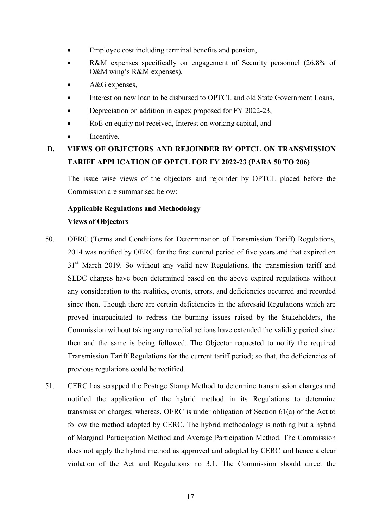- Employee cost including terminal benefits and pension,
- R&M expenses specifically on engagement of Security personnel (26.8% of O&M wing's R&M expenses),
- A&G expenses,
- Interest on new loan to be disbursed to OPTCL and old State Government Loans,
- Depreciation on addition in capex proposed for FY 2022-23,
- RoE on equity not received, Interest on working capital, and
- **Incentive**

# **D. VIEWS OF OBJECTORS AND REJOINDER BY OPTCL ON TRANSMISSION TARIFF APPLICATION OF OPTCL FOR FY 2022-23 (PARA 50 TO 206)**

The issue wise views of the objectors and rejoinder by OPTCL placed before the Commission are summarised below:

# **Applicable Regulations and Methodology Views of Objectors**

- 50. OERC (Terms and Conditions for Determination of Transmission Tariff) Regulations, 2014 was notified by OERC for the first control period of five years and that expired on 31<sup>st</sup> March 2019. So without any valid new Regulations, the transmission tariff and SLDC charges have been determined based on the above expired regulations without any consideration to the realities, events, errors, and deficiencies occurred and recorded since then. Though there are certain deficiencies in the aforesaid Regulations which are proved incapacitated to redress the burning issues raised by the Stakeholders, the Commission without taking any remedial actions have extended the validity period since then and the same is being followed. The Objector requested to notify the required Transmission Tariff Regulations for the current tariff period; so that, the deficiencies of previous regulations could be rectified.
- 51. CERC has scrapped the Postage Stamp Method to determine transmission charges and notified the application of the hybrid method in its Regulations to determine transmission charges; whereas, OERC is under obligation of Section 61(a) of the Act to follow the method adopted by CERC. The hybrid methodology is nothing but a hybrid of Marginal Participation Method and Average Participation Method. The Commission does not apply the hybrid method as approved and adopted by CERC and hence a clear violation of the Act and Regulations no 3.1. The Commission should direct the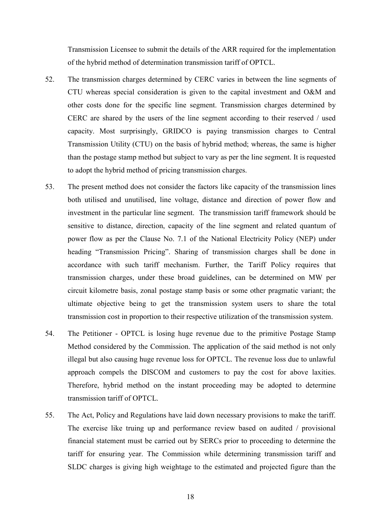Transmission Licensee to submit the details of the ARR required for the implementation of the hybrid method of determination transmission tariff of OPTCL.

- 52. The transmission charges determined by CERC varies in between the line segments of CTU whereas special consideration is given to the capital investment and O&M and other costs done for the specific line segment. Transmission charges determined by CERC are shared by the users of the line segment according to their reserved / used capacity. Most surprisingly, GRIDCO is paying transmission charges to Central Transmission Utility (CTU) on the basis of hybrid method; whereas, the same is higher than the postage stamp method but subject to vary as per the line segment. It is requested to adopt the hybrid method of pricing transmission charges.
- 53. The present method does not consider the factors like capacity of the transmission lines both utilised and unutilised, line voltage, distance and direction of power flow and investment in the particular line segment. The transmission tariff framework should be sensitive to distance, direction, capacity of the line segment and related quantum of power flow as per the Clause No. 7.1 of the National Electricity Policy (NEP) under heading "Transmission Pricing". Sharing of transmission charges shall be done in accordance with such tariff mechanism. Further, the Tariff Policy requires that transmission charges, under these broad guidelines, can be determined on MW per circuit kilometre basis, zonal postage stamp basis or some other pragmatic variant; the ultimate objective being to get the transmission system users to share the total transmission cost in proportion to their respective utilization of the transmission system.
- 54. The Petitioner OPTCL is losing huge revenue due to the primitive Postage Stamp Method considered by the Commission. The application of the said method is not only illegal but also causing huge revenue loss for OPTCL. The revenue loss due to unlawful approach compels the DISCOM and customers to pay the cost for above laxities. Therefore, hybrid method on the instant proceeding may be adopted to determine transmission tariff of OPTCL.
- 55. The Act, Policy and Regulations have laid down necessary provisions to make the tariff. The exercise like truing up and performance review based on audited / provisional financial statement must be carried out by SERCs prior to proceeding to determine the tariff for ensuring year. The Commission while determining transmission tariff and SLDC charges is giving high weightage to the estimated and projected figure than the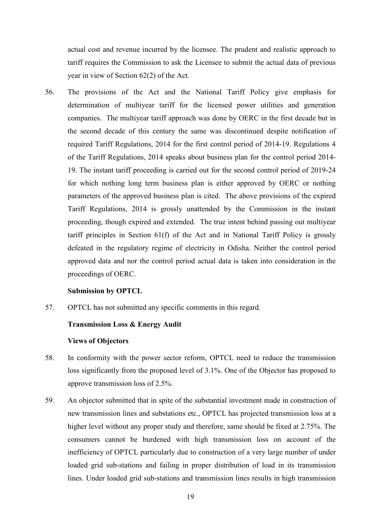actual cost and revenue incurred by the licensee. The prudent and realistic approach to tariff requires the Commission to ask the Licensee to submit the actual data of previous year in view of Section 62(2) of the Act.

56. The provisions of the Act and the National Tariff Policy give emphasis for determination of multiyear tariff for the licensed power utilities and generation companies. The multiyear tariff approach was done by OERC in the first decade but in the second decade of this century the same was discontinued despite notification of required Tariff Regulations, 2014 for the first control period of 2014-19. Regulations 4 of the Tariff Regulations, 2014 speaks about business plan for the control period 2014- 19. The instant tariff proceeding is carried out for the second control period of 2019-24 for which nothing long term business plan is either approved by OERC or nothing parameters of the approved business plan is cited. The above provisions of the expired Tariff Regulations, 2014 is grossly unattended by the Commission in the instant proceeding, though expired and extended. The true intent behind passing out multiyear tariff principles in Section 61(f) of the Act and in National Tariff Policy is grossly defeated in the regulatory regime of electricity in Odisha. Neither the control period approved data and nor the control period actual data is taken into consideration in the proceedings of OERC.

#### **Submission by OPTCL**

57. OPTCL has not submitted any specific comments in this regard.

### **Transmission Loss & Energy Audit**

#### **Views of Objectors**

- 58. In conformity with the power sector reform, OPTCL need to reduce the transmission loss significantly from the proposed level of 3.1%. One of the Objector has proposed to approve transmission loss of 2.5%.
- 59. An objector submitted that in spite of the substantial investment made in construction of new transmission lines and substations etc., OPTCL has projected transmission loss at a higher level without any proper study and therefore, same should be fixed at 2.75%. The consumers cannot be burdened with high transmission loss on account of the inefficiency of OPTCL particularly due to construction of a very large number of under loaded grid sub-stations and failing in proper distribution of load in its transmission lines. Under loaded grid sub-stations and transmission lines results in high transmission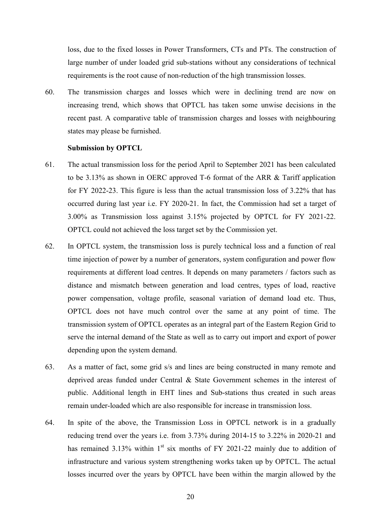loss, due to the fixed losses in Power Transformers, CTs and PTs. The construction of large number of under loaded grid sub-stations without any considerations of technical requirements is the root cause of non-reduction of the high transmission losses.

60. The transmission charges and losses which were in declining trend are now on increasing trend, which shows that OPTCL has taken some unwise decisions in the recent past. A comparative table of transmission charges and losses with neighbouring states may please be furnished.

#### **Submission by OPTCL**

- 61. The actual transmission loss for the period April to September 2021 has been calculated to be 3.13% as shown in OERC approved T-6 format of the ARR & Tariff application for FY 2022-23. This figure is less than the actual transmission loss of 3.22% that has occurred during last year i.e. FY 2020-21. In fact, the Commission had set a target of 3.00% as Transmission loss against 3.15% projected by OPTCL for FY 2021-22. OPTCL could not achieved the loss target set by the Commission yet.
- 62. In OPTCL system, the transmission loss is purely technical loss and a function of real time injection of power by a number of generators, system configuration and power flow requirements at different load centres. It depends on many parameters / factors such as distance and mismatch between generation and load centres, types of load, reactive power compensation, voltage profile, seasonal variation of demand load etc. Thus, OPTCL does not have much control over the same at any point of time. The transmission system of OPTCL operates as an integral part of the Eastern Region Grid to serve the internal demand of the State as well as to carry out import and export of power depending upon the system demand.
- 63. As a matter of fact, some grid s/s and lines are being constructed in many remote and deprived areas funded under Central & State Government schemes in the interest of public. Additional length in EHT lines and Sub-stations thus created in such areas remain under-loaded which are also responsible for increase in transmission loss.
- 64. In spite of the above, the Transmission Loss in OPTCL network is in a gradually reducing trend over the years i.e. from 3.73% during 2014-15 to 3.22% in 2020-21 and has remained  $3.13\%$  within  $1<sup>st</sup>$  six months of FY 2021-22 mainly due to addition of infrastructure and various system strengthening works taken up by OPTCL. The actual losses incurred over the years by OPTCL have been within the margin allowed by the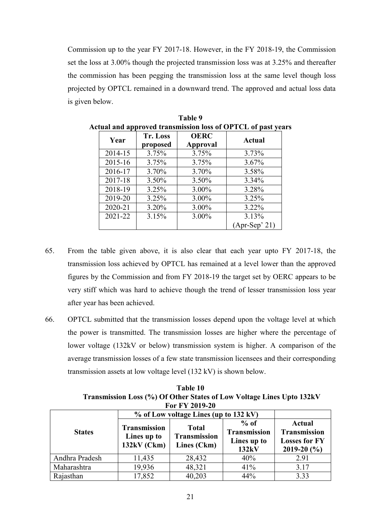Commission up to the year FY 2017-18. However, in the FY 2018-19, the Commission set the loss at 3.00% though the projected transmission loss was at 3.25% and thereafter the commission has been pegging the transmission loss at the same level though loss projected by OPTCL remained in a downward trend. The approved and actual loss data is given below.

| Year    | <b>Tr. Loss</b><br>proposed | <b>OERC</b><br><b>Approval</b> | <b>Actual</b>   |
|---------|-----------------------------|--------------------------------|-----------------|
| 2014-15 | 3.75%                       | 3.75%                          | 3.73%           |
| 2015-16 | 3.75%                       | 3.75%                          | $3.67\%$        |
| 2016-17 | 3.70%                       | 3.70%                          | 3.58%           |
| 2017-18 | 3.50%                       | 3.50%                          | 3.34%           |
| 2018-19 | 3.25%                       | 3.00%                          | 3.28%           |
| 2019-20 | 3.25%                       | 3.00%                          | 3.25%           |
| 2020-21 | 3.20%                       | 3.00%                          | $3.22\%$        |
| 2021-22 | 3.15%                       | 3.00%                          | 3.13%           |
|         |                             |                                | $(Apr-Sep' 21)$ |

**Table 9 Actual and approved transmission loss of OPTCL of past years** 

- 65. From the table given above, it is also clear that each year upto FY 2017-18, the transmission loss achieved by OPTCL has remained at a level lower than the approved figures by the Commission and from FY 2018-19 the target set by OERC appears to be very stiff which was hard to achieve though the trend of lesser transmission loss year after year has been achieved.
- 66. OPTCL submitted that the transmission losses depend upon the voltage level at which the power is transmitted. The transmission losses are higher where the percentage of lower voltage (132kV or below) transmission system is higher. A comparison of the average transmission losses of a few state transmission licensees and their corresponding transmission assets at low voltage level (132 kV) is shown below.

**Table 10 Transmission Loss (%) Of Other States of Low Voltage Lines Upto 132kV For FY 2019-20** 

|                | % of Low voltage Lines (up to 132 kV)               |                                                    |                                                       |                                                                                 |
|----------------|-----------------------------------------------------|----------------------------------------------------|-------------------------------------------------------|---------------------------------------------------------------------------------|
| <b>States</b>  | <b>Transmission</b><br>Lines up to<br>$132kV$ (Ckm) | <b>Total</b><br><b>Transmission</b><br>Lines (Ckm) | $%$ of<br><b>Transmission</b><br>Lines up to<br>132kV | <b>Actual</b><br><b>Transmission</b><br><b>Losses for FY</b><br>2019-20 $(\% )$ |
| Andhra Pradesh | 11,435                                              | 28,432                                             | 40%                                                   | 2.91                                                                            |
| Maharashtra    | 19,936                                              | 48,321                                             | 41%                                                   | 3.17                                                                            |
| Rajasthan      | 17,852                                              | 40,203                                             | 44%                                                   | 3.33                                                                            |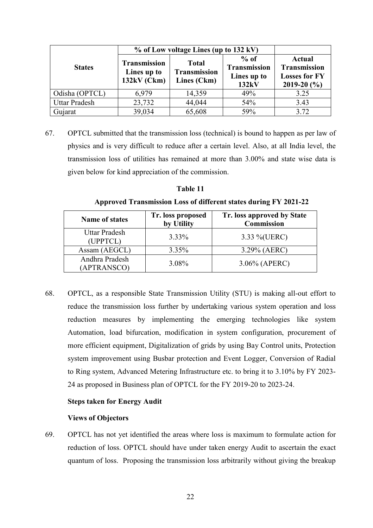|                      | % of Low voltage Lines (up to 132 kV)               |                                             |                                                       |                                                                                 |
|----------------------|-----------------------------------------------------|---------------------------------------------|-------------------------------------------------------|---------------------------------------------------------------------------------|
| <b>States</b>        | <b>Transmission</b><br>Lines up to<br>$132kV$ (Ckm) | <b>Total</b><br>Transmission<br>Lines (Ckm) | $%$ of<br><b>Transmission</b><br>Lines up to<br>132kV | <b>Actual</b><br><b>Transmission</b><br><b>Losses for FY</b><br>2019-20 $(\% )$ |
| Odisha (OPTCL)       | 6,979                                               | 14,359                                      | 49%                                                   | 3.25                                                                            |
| <b>Uttar Pradesh</b> | 23,732                                              | 44,044                                      | 54%                                                   | 3.43                                                                            |
| Gujarat              | 39,034                                              | 65,608                                      | 59%                                                   | 3.72                                                                            |

67. OPTCL submitted that the transmission loss (technical) is bound to happen as per law of physics and is very difficult to reduce after a certain level. Also, at all India level, the transmission loss of utilities has remained at more than 3.00% and state wise data is given below for kind appreciation of the commission.

| Fable 1 |  |
|---------|--|
|---------|--|

**Approved Transmission Loss of different states during FY 2021-22**

| <b>Name of states</b>            | Tr. loss proposed<br>by Utility | Tr. loss approved by State<br><b>Commission</b> |
|----------------------------------|---------------------------------|-------------------------------------------------|
| <b>Uttar Pradesh</b><br>(UPPTCL) | $3.33\%$                        | 3.33 %(UERC)                                    |
| Assam (AEGCL)                    | 3.35%                           | $3.29\%$ (AERC)                                 |
| Andhra Pradesh<br>(APTRANSCO)    | 3.08%                           | $3.06\%$ (APERC)                                |

68. OPTCL, as a responsible State Transmission Utility (STU) is making all-out effort to reduce the transmission loss further by undertaking various system operation and loss reduction measures by implementing the emerging technologies like system Automation, load bifurcation, modification in system configuration, procurement of more efficient equipment, Digitalization of grids by using Bay Control units, Protection system improvement using Busbar protection and Event Logger, Conversion of Radial to Ring system, Advanced Metering Infrastructure etc. to bring it to 3.10% by FY 2023- 24 as proposed in Business plan of OPTCL for the FY 2019-20 to 2023-24.

# **Steps taken for Energy Audit**

## **Views of Objectors**

69. OPTCL has not yet identified the areas where loss is maximum to formulate action for reduction of loss. OPTCL should have under taken energy Audit to ascertain the exact quantum of loss. Proposing the transmission loss arbitrarily without giving the breakup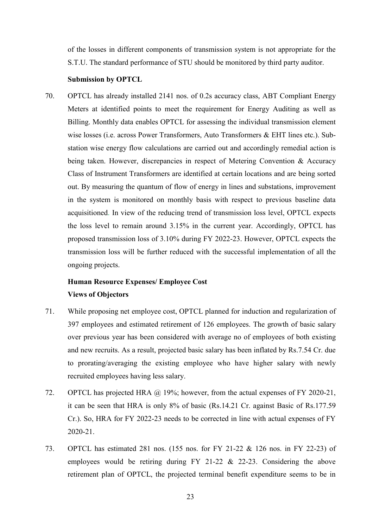of the losses in different components of transmission system is not appropriate for the S.T.U. The standard performance of STU should be monitored by third party auditor.

## **Submission by OPTCL**

70. OPTCL has already installed 2141 nos. of 0.2s accuracy class, ABT Compliant Energy Meters at identified points to meet the requirement for Energy Auditing as well as Billing. Monthly data enables OPTCL for assessing the individual transmission element wise losses (i.e. across Power Transformers, Auto Transformers & EHT lines etc.). Substation wise energy flow calculations are carried out and accordingly remedial action is being taken. However, discrepancies in respect of Metering Convention & Accuracy Class of Instrument Transformers are identified at certain locations and are being sorted out. By measuring the quantum of flow of energy in lines and substations, improvement in the system is monitored on monthly basis with respect to previous baseline data acquisitioned. In view of the reducing trend of transmission loss level, OPTCL expects the loss level to remain around 3.15% in the current year. Accordingly, OPTCL has proposed transmission loss of 3.10% during FY 2022-23. However, OPTCL expects the transmission loss will be further reduced with the successful implementation of all the ongoing projects.

# **Human Resource Expenses/ Employee Cost Views of Objectors**

- 71. While proposing net employee cost, OPTCL planned for induction and regularization of 397 employees and estimated retirement of 126 employees. The growth of basic salary over previous year has been considered with average no of employees of both existing and new recruits. As a result, projected basic salary has been inflated by Rs.7.54 Cr. due to prorating/averaging the existing employee who have higher salary with newly recruited employees having less salary.
- 72. OPTCL has projected HRA @ 19%; however, from the actual expenses of FY 2020-21, it can be seen that HRA is only 8% of basic (Rs.14.21 Cr. against Basic of Rs.177.59 Cr.). So, HRA for FY 2022-23 needs to be corrected in line with actual expenses of FY 2020-21.
- 73. OPTCL has estimated 281 nos. (155 nos. for FY 21-22 & 126 nos. in FY 22-23) of employees would be retiring during FY 21-22 & 22-23. Considering the above retirement plan of OPTCL, the projected terminal benefit expenditure seems to be in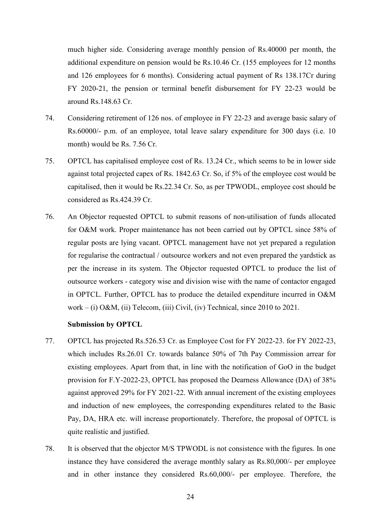much higher side. Considering average monthly pension of Rs.40000 per month, the additional expenditure on pension would be Rs.10.46 Cr. (155 employees for 12 months and 126 employees for 6 months). Considering actual payment of Rs 138.17Cr during FY 2020-21, the pension or terminal benefit disbursement for FY 22-23 would be around Rs.148.63 Cr.

- 74. Considering retirement of 126 nos. of employee in FY 22-23 and average basic salary of Rs.60000/- p.m. of an employee, total leave salary expenditure for 300 days (i.e. 10 month) would be Rs. 7.56 Cr.
- 75. OPTCL has capitalised employee cost of Rs. 13.24 Cr., which seems to be in lower side against total projected capex of Rs. 1842.63 Cr. So, if 5% of the employee cost would be capitalised, then it would be Rs.22.34 Cr. So, as per TPWODL, employee cost should be considered as Rs.424.39 Cr.
- 76. An Objector requested OPTCL to submit reasons of non-utilisation of funds allocated for O&M work. Proper maintenance has not been carried out by OPTCL since 58% of regular posts are lying vacant. OPTCL management have not yet prepared a regulation for regularise the contractual / outsource workers and not even prepared the yardstick as per the increase in its system. The Objector requested OPTCL to produce the list of outsource workers - category wise and division wise with the name of contactor engaged in OPTCL. Further, OPTCL has to produce the detailed expenditure incurred in O&M work – (i) O&M, (ii) Telecom, (iii) Civil, (iv) Technical, since 2010 to 2021.

#### **Submission by OPTCL**

- 77. OPTCL has projected Rs.526.53 Cr. as Employee Cost for FY 2022-23. for FY 2022-23, which includes Rs.26.01 Cr. towards balance 50% of 7th Pay Commission arrear for existing employees. Apart from that, in line with the notification of GoO in the budget provision for F.Y-2022-23, OPTCL has proposed the Dearness Allowance (DA) of 38% against approved 29% for FY 2021-22. With annual increment of the existing employees and induction of new employees, the corresponding expenditures related to the Basic Pay, DA, HRA etc. will increase proportionately. Therefore, the proposal of OPTCL is quite realistic and justified.
- 78. It is observed that the objector M/S TPWODL is not consistence with the figures. In one instance they have considered the average monthly salary as Rs.80,000/- per employee and in other instance they considered Rs.60,000/- per employee. Therefore, the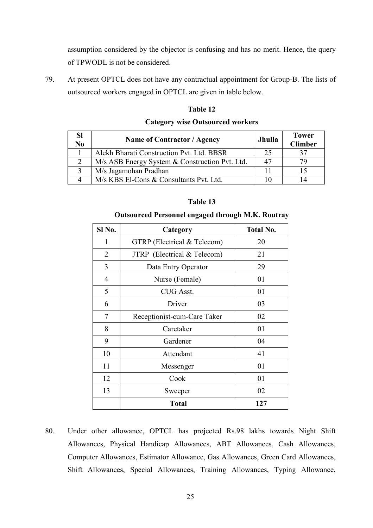assumption considered by the objector is confusing and has no merit. Hence, the query of TPWODL is not be considered.

79. At present OPTCL does not have any contractual appointment for Group-B. The lists of outsourced workers engaged in OPTCL are given in table below.

# **Sl No <b>Name of Contractor / Agency** Jhulla 1 Tower 1 Jhulla 1 Tower **Climber**  1 Alekh Bharati Construction Pvt. Ltd. BBSR 25 37 2 | M/s ASB Energy System & Construction Pvt. Ltd. | 47 | 79 3 | M/s Jagamohan Pradhan 11 | 15 4 | M/s KBS El-Cons & Consultants Pvt. Ltd. 10 | 14

# **Table 12**

## **Category wise Outsourced workers**

#### **Table 13**

#### **Outsourced Personnel engaged through M.K. Routray**

| Sl No.         | Category                    | <b>Total No.</b> |
|----------------|-----------------------------|------------------|
| 1              | GTRP (Electrical & Telecom) | 20               |
| $\overline{2}$ | JTRP (Electrical & Telecom) | 21               |
| 3              | Data Entry Operator         | 29               |
| $\overline{4}$ | Nurse (Female)              | 01               |
| 5              | <b>CUG Asst.</b>            | 01               |
| 6              | Driver                      | 03               |
| 7              | Receptionist-cum-Care Taker | 02               |
| 8              | Caretaker                   | 01               |
| 9              | Gardener                    | 04               |
| 10             | Attendant                   | 41               |
| 11             | Messenger                   | 01               |
| 12             | Cook                        | 01               |
| 13             | Sweeper                     | 02               |
|                | <b>Total</b>                | 127              |

80. Under other allowance, OPTCL has projected Rs.98 lakhs towards Night Shift Allowances, Physical Handicap Allowances, ABT Allowances, Cash Allowances, Computer Allowances, Estimator Allowance, Gas Allowances, Green Card Allowances, Shift Allowances, Special Allowances, Training Allowances, Typing Allowance,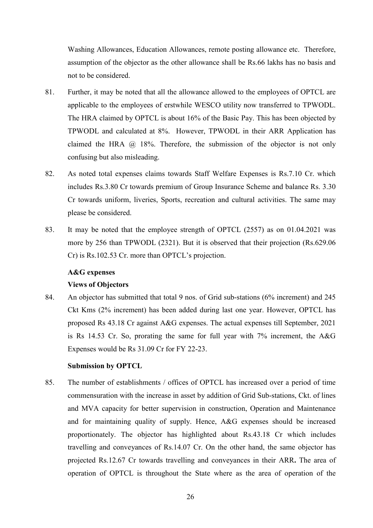Washing Allowances, Education Allowances, remote posting allowance etc. Therefore, assumption of the objector as the other allowance shall be Rs.66 lakhs has no basis and not to be considered.

- 81. Further, it may be noted that all the allowance allowed to the employees of OPTCL are applicable to the employees of erstwhile WESCO utility now transferred to TPWODL. The HRA claimed by OPTCL is about 16% of the Basic Pay. This has been objected by TPWODL and calculated at 8%. However, TPWODL in their ARR Application has claimed the HRA @ 18%. Therefore, the submission of the objector is not only confusing but also misleading.
- 82. As noted total expenses claims towards Staff Welfare Expenses is Rs.7.10 Cr. which includes Rs.3.80 Cr towards premium of Group Insurance Scheme and balance Rs. 3.30 Cr towards uniform, liveries, Sports, recreation and cultural activities. The same may please be considered.
- 83. It may be noted that the employee strength of OPTCL (2557) as on 01.04.2021 was more by 256 than TPWODL (2321). But it is observed that their projection (Rs.629.06 Cr) is Rs.102.53 Cr. more than OPTCL's projection.

### **A&G expenses**

## **Views of Objectors**

84. An objector has submitted that total 9 nos. of Grid sub-stations (6% increment) and 245 Ckt Kms (2% increment) has been added during last one year. However, OPTCL has proposed Rs 43.18 Cr against A&G expenses. The actual expenses till September, 2021 is Rs 14.53 Cr. So, prorating the same for full year with 7% increment, the A&G Expenses would be Rs 31.09 Cr for FY 22-23.

#### **Submission by OPTCL**

85. The number of establishments / offices of OPTCL has increased over a period of time commensuration with the increase in asset by addition of Grid Sub-stations, Ckt. of lines and MVA capacity for better supervision in construction, Operation and Maintenance and for maintaining quality of supply. Hence, A&G expenses should be increased proportionately. The objector has highlighted about Rs.43.18 Cr which includes travelling and conveyances of Rs.14.07 Cr. On the other hand, the same objector has projected Rs.12.67 Cr towards travelling and conveyances in their ARR**.** The area of operation of OPTCL is throughout the State where as the area of operation of the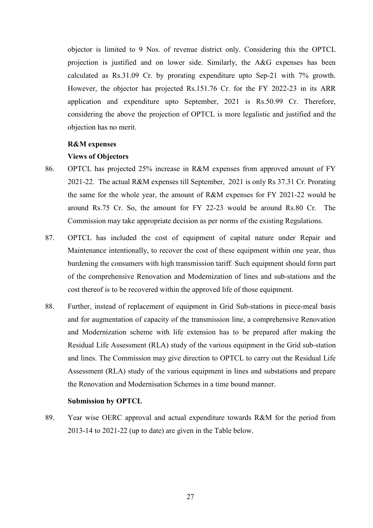objector is limited to 9 Nos. of revenue district only. Considering this the OPTCL projection is justified and on lower side. Similarly, the A&G expenses has been calculated as Rs.31.09 Cr. by prorating expenditure upto Sep-21 with 7% growth. However, the objector has projected Rs.151.76 Cr. for the FY 2022-23 in its ARR application and expenditure upto September, 2021 is Rs.50.99 Cr. Therefore, considering the above the projection of OPTCL is more legalistic and justified and the objection has no merit.

#### **R&M expenses**

#### **Views of Objectors**

- 86. OPTCL has projected 25% increase in R&M expenses from approved amount of FY 2021-22. The actual R&M expenses till September, 2021 is only Rs 37.31 Cr. Prorating the same for the whole year, the amount of R&M expenses for FY 2021-22 would be around Rs.75 Cr. So, the amount for FY 22-23 would be around Rs.80 Cr. The Commission may take appropriate decision as per norms of the existing Regulations.
- 87. OPTCL has included the cost of equipment of capital nature under Repair and Maintenance intentionally, to recover the cost of these equipment within one year, thus burdening the consumers with high transmission tariff. Such equipment should form part of the comprehensive Renovation and Modernization of lines and sub-stations and the cost thereof is to be recovered within the approved life of those equipment.
- 88. Further, instead of replacement of equipment in Grid Sub-stations in piece-meal basis and for augmentation of capacity of the transmission line, a comprehensive Renovation and Modernization scheme with life extension has to be prepared after making the Residual Life Assessment (RLA) study of the various equipment in the Grid sub-station and lines. The Commission may give direction to OPTCL to carry out the Residual Life Assessment (RLA) study of the various equipment in lines and substations and prepare the Renovation and Modernisation Schemes in a time bound manner.

#### **Submission by OPTCL**

89. Year wise OERC approval and actual expenditure towards R&M for the period from 2013-14 to 2021-22 (up to date) are given in the Table below.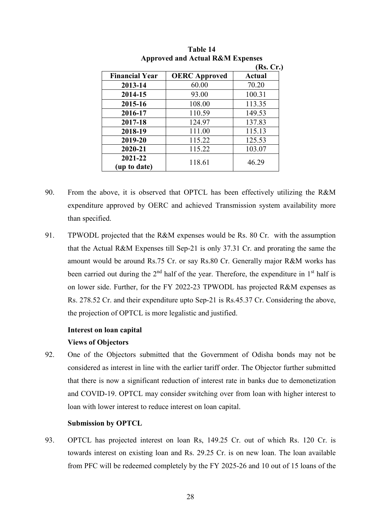|                         |                      | (Rs, Cr.)     |
|-------------------------|----------------------|---------------|
| <b>Financial Year</b>   | <b>OERC</b> Approved | <b>Actual</b> |
| 2013-14                 | 60.00                | 70.20         |
| 2014-15                 | 93.00                | 100.31        |
| 2015-16                 | 108.00               | 113.35        |
| 2016-17                 | 110.59               | 149.53        |
| 2017-18                 | 124.97               | 137.83        |
| 2018-19                 | 111.00               | 115.13        |
| 2019-20                 | 115.22               | 125.53        |
| 2020-21                 | 115.22               | 103.07        |
| 2021-22<br>(up to date) | 118.61               | 46.29         |

**Table 14 Approved and Actual R&M Expenses** 

- 90. From the above, it is observed that OPTCL has been effectively utilizing the R&M expenditure approved by OERC and achieved Transmission system availability more than specified.
- 91. TPWODL projected that the R&M expenses would be Rs. 80 Cr. with the assumption that the Actual R&M Expenses till Sep-21 is only 37.31 Cr. and prorating the same the amount would be around Rs.75 Cr. or say Rs.80 Cr. Generally major R&M works has been carried out during the  $2<sup>nd</sup>$  half of the year. Therefore, the expenditure in  $1<sup>st</sup>$  half is on lower side. Further, for the FY 2022-23 TPWODL has projected R&M expenses as Rs. 278.52 Cr. and their expenditure upto Sep-21 is Rs.45.37 Cr. Considering the above, the projection of OPTCL is more legalistic and justified.

### **Interest on loan capital**

## **Views of Objectors**

92. One of the Objectors submitted that the Government of Odisha bonds may not be considered as interest in line with the earlier tariff order. The Objector further submitted that there is now a significant reduction of interest rate in banks due to demonetization and COVID-19. OPTCL may consider switching over from loan with higher interest to loan with lower interest to reduce interest on loan capital.

#### **Submission by OPTCL**

93. OPTCL has projected interest on loan Rs, 149.25 Cr. out of which Rs. 120 Cr. is towards interest on existing loan and Rs. 29.25 Cr. is on new loan. The loan available from PFC will be redeemed completely by the FY 2025-26 and 10 out of 15 loans of the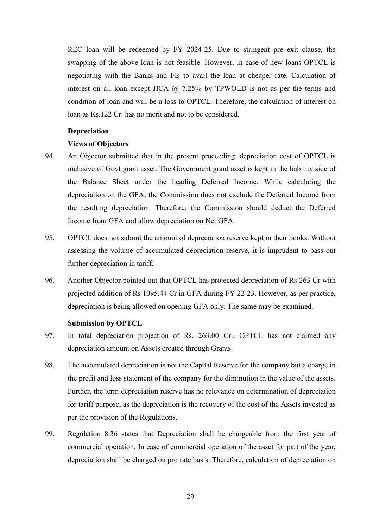REC loan will be redeemed by FY 2024-25. Due to stringent pre exit clause, the swapping of the above loan is not feasible. However, in case of new loans OPTCL is negotiating with the Banks and FIs to avail the loan at cheaper rate. Calculation of interest on all loan except JICA  $\omega$  7.25% by TPWOLD is not as per the terms and condition of loan and will be a loss to OPTCL. Therefore, the calculation of interest on loan as Rs.122 Cr. has no merit and not to be considered.

#### **Depreciation**

## **Views of Objectors**

- 94. An Objector submitted that in the present proceeding, depreciation cost of OPTCL is inclusive of Govt grant asset. The Government grant asset is kept in the liability side of the Balance Sheet under the heading Deferred Income. While calculating the depreciation on the GFA, the Commission does not exclude the Deferred Income from the resulting depreciation. Therefore, the Commission should deduct the Deferred Income from GFA and allow depreciation on Net GFA.
- 95. OPTCL does not submit the amount of depreciation reserve kept in their books. Without assessing the volume of accumulated depreciation reserve, it is imprudent to pass out further depreciation in tariff.
- 96. Another Objector pointed out that OPTCL has projected depreciation of Rs 263 Cr with projected addition of Rs 1095.44 Cr in GFA during FY 22-23. However, as per practice, depreciation is being allowed on opening GFA only. The same may be examined.

#### **Submission by OPTCL**

- 97. In total depreciation projection of Rs. 263.00 Cr., OPTCL has not claimed any depreciation amount on Assets created through Grants.
- 98. The accumulated depreciation is not the Capital Reserve for the company but a charge in the profit and loss statement of the company for the diminution in the value of the assets. Further, the term depreciation reserve has no relevance on determination of depreciation for tariff purpose, as the depreciation is the recovery of the cost of the Assets invested as per the provision of the Regulations.
- 99. Regulation 8.36 states that Depreciation shall be chargeable from the first year of commercial operation. In case of commercial operation of the asset for part of the year, depreciation shall be charged on pro rate basis. Therefore, calculation of depreciation on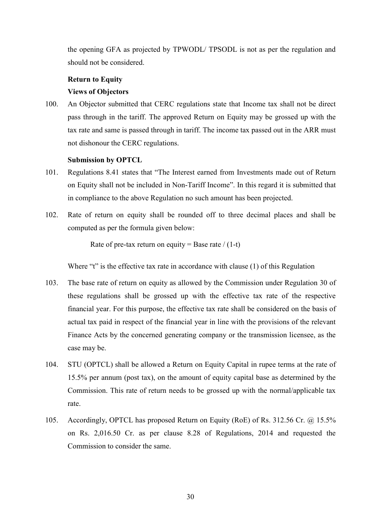the opening GFA as projected by TPWODL/ TPSODL is not as per the regulation and should not be considered.

# **Return to Equity Views of Objectors**

100. An Objector submitted that CERC regulations state that Income tax shall not be direct pass through in the tariff. The approved Return on Equity may be grossed up with the tax rate and same is passed through in tariff. The income tax passed out in the ARR must not dishonour the CERC regulations.

## **Submission by OPTCL**

- 101. Regulations 8.41 states that "The Interest earned from Investments made out of Return on Equity shall not be included in Non-Tariff Income". In this regard it is submitted that in compliance to the above Regulation no such amount has been projected.
- 102. Rate of return on equity shall be rounded off to three decimal places and shall be computed as per the formula given below:

Rate of pre-tax return on equity = Base rate  $/(1-t)$ 

Where "t" is the effective tax rate in accordance with clause (1) of this Regulation

- 103. The base rate of return on equity as allowed by the Commission under Regulation 30 of these regulations shall be grossed up with the effective tax rate of the respective financial year. For this purpose, the effective tax rate shall be considered on the basis of actual tax paid in respect of the financial year in line with the provisions of the relevant Finance Acts by the concerned generating company or the transmission licensee, as the case may be.
- 104. STU (OPTCL) shall be allowed a Return on Equity Capital in rupee terms at the rate of 15.5% per annum (post tax), on the amount of equity capital base as determined by the Commission. This rate of return needs to be grossed up with the normal/applicable tax rate.
- 105. Accordingly, OPTCL has proposed Return on Equity (RoE) of Rs. 312.56 Cr. @ 15.5% on Rs. 2,016.50 Cr. as per clause 8.28 of Regulations, 2014 and requested the Commission to consider the same.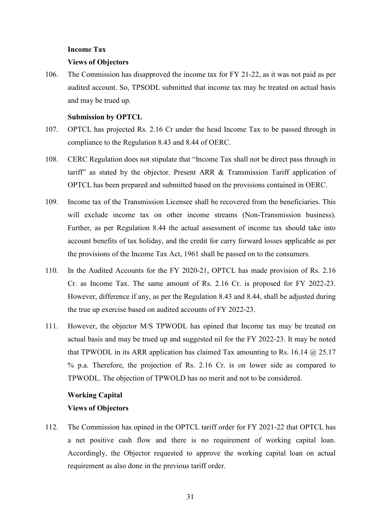### **Income Tax**

#### **Views of Objectors**

106. The Commission has disapproved the income tax for FY 21-22, as it was not paid as per audited account. So, TPSODL submitted that income tax may be treated on actual basis and may be trued up.

#### **Submission by OPTCL**

- 107. OPTCL has projected Rs. 2.16 Cr under the head Income Tax to be passed through in compliance to the Regulation 8.43 and 8.44 of OERC.
- 108. CERC Regulation does not stipulate that "Income Tax shall not be direct pass through in tariff" as stated by the objector. Present ARR & Transmission Tariff application of OPTCL has been prepared and submitted based on the provisions contained in OERC.
- 109. Income tax of the Transmission Licensee shall be recovered from the beneficiaries. This will exclude income tax on other income streams (Non-Transmission business). Further, as per Regulation 8.44 the actual assessment of income tax should take into account benefits of tax holiday, and the credit for carry forward losses applicable as per the provisions of the Income Tax Act, 1961 shall be passed on to the consumers.
- 110. In the Audited Accounts for the FY 2020-21, OPTCL has made provision of Rs. 2.16 Cr. as Income Tax. The same amount of Rs. 2.16 Cr. is proposed for FY 2022-23. However, difference if any, as per the Regulation 8.43 and 8.44, shall be adjusted during the true up exercise based on audited accounts of FY 2022-23.
- 111. However, the objector M/S TPWODL has opined that Income tax may be treated on actual basis and may be trued up and suggested nil for the FY 2022-23. It may be noted that TPWODL in its ARR application has claimed Tax amounting to Rs. 16.14  $\omega$  25.17 % p.a. Therefore, the projection of Rs. 2.16 Cr. is on lower side as compared to TPWODL. The objection of TPWOLD has no merit and not to be considered.

# **Working Capital Views of Objectors**

112. The Commission has opined in the OPTCL tariff order for FY 2021-22 that OPTCL has a net positive cash flow and there is no requirement of working capital loan. Accordingly, the Objector requested to approve the working capital loan on actual requirement as also done in the previous tariff order.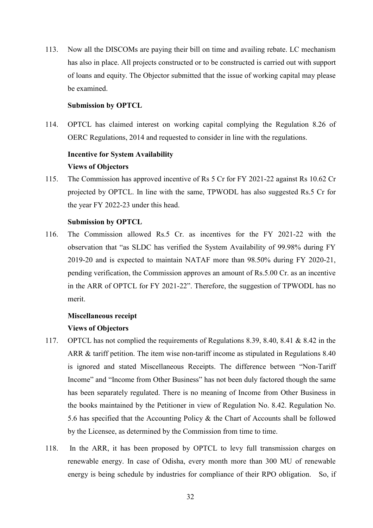113. Now all the DISCOMs are paying their bill on time and availing rebate. LC mechanism has also in place. All projects constructed or to be constructed is carried out with support of loans and equity. The Objector submitted that the issue of working capital may please be examined.

#### **Submission by OPTCL**

114. OPTCL has claimed interest on working capital complying the Regulation 8.26 of OERC Regulations, 2014 and requested to consider in line with the regulations.

# **Incentive for System Availability Views of Objectors**

115. The Commission has approved incentive of Rs 5 Cr for FY 2021-22 against Rs 10.62 Cr projected by OPTCL. In line with the same, TPWODL has also suggested Rs.5 Cr for the year FY 2022-23 under this head.

#### **Submission by OPTCL**

116. The Commission allowed Rs.5 Cr. as incentives for the FY 2021-22 with the observation that "as SLDC has verified the System Availability of 99.98% during FY 2019-20 and is expected to maintain NATAF more than 98.50% during FY 2020-21, pending verification, the Commission approves an amount of Rs.5.00 Cr. as an incentive in the ARR of OPTCL for FY 2021-22". Therefore, the suggestion of TPWODL has no merit.

#### **Miscellaneous receipt**

## **Views of Objectors**

- 117. OPTCL has not complied the requirements of Regulations 8.39, 8.40, 8.41 & 8.42 in the ARR & tariff petition. The item wise non-tariff income as stipulated in Regulations 8.40 is ignored and stated Miscellaneous Receipts. The difference between "Non-Tariff Income" and "Income from Other Business" has not been duly factored though the same has been separately regulated. There is no meaning of Income from Other Business in the books maintained by the Petitioner in view of Regulation No. 8.42. Regulation No. 5.6 has specified that the Accounting Policy & the Chart of Accounts shall be followed by the Licensee, as determined by the Commission from time to time.
- 118. In the ARR, it has been proposed by OPTCL to levy full transmission charges on renewable energy. In case of Odisha, every month more than 300 MU of renewable energy is being schedule by industries for compliance of their RPO obligation. So, if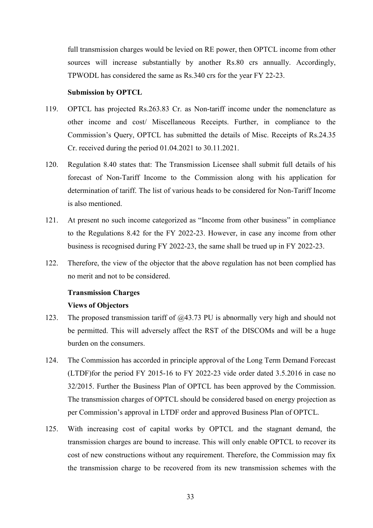full transmission charges would be levied on RE power, then OPTCL income from other sources will increase substantially by another Rs.80 crs annually. Accordingly, TPWODL has considered the same as Rs.340 crs for the year FY 22-23.

#### **Submission by OPTCL**

- 119. OPTCL has projected Rs.263.83 Cr. as Non-tariff income under the nomenclature as other income and cost/ Miscellaneous Receipts. Further, in compliance to the Commission's Query, OPTCL has submitted the details of Misc. Receipts of Rs.24.35 Cr. received during the period 01.04.2021 to 30.11.2021.
- 120. Regulation 8.40 states that: The Transmission Licensee shall submit full details of his forecast of Non-Tariff Income to the Commission along with his application for determination of tariff. The list of various heads to be considered for Non-Tariff Income is also mentioned.
- 121. At present no such income categorized as "Income from other business" in compliance to the Regulations 8.42 for the FY 2022-23. However, in case any income from other business is recognised during FY 2022-23, the same shall be trued up in FY 2022-23.
- 122. Therefore, the view of the objector that the above regulation has not been complied has no merit and not to be considered.

# **Transmission Charges Views of Objectors**

- 123. The proposed transmission tariff of @43.73 PU is abnormally very high and should not be permitted. This will adversely affect the RST of the DISCOMs and will be a huge burden on the consumers.
- 124. The Commission has accorded in principle approval of the Long Term Demand Forecast (LTDF)for the period FY 2015-16 to FY 2022-23 vide order dated 3.5.2016 in case no 32/2015. Further the Business Plan of OPTCL has been approved by the Commission. The transmission charges of OPTCL should be considered based on energy projection as per Commission's approval in LTDF order and approved Business Plan of OPTCL.
- 125. With increasing cost of capital works by OPTCL and the stagnant demand, the transmission charges are bound to increase. This will only enable OPTCL to recover its cost of new constructions without any requirement. Therefore, the Commission may fix the transmission charge to be recovered from its new transmission schemes with the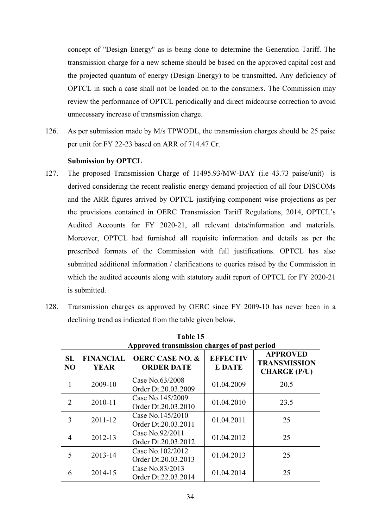concept of "Design Energy" as is being done to determine the Generation Tariff. The transmission charge for a new scheme should be based on the approved capital cost and the projected quantum of energy (Design Energy) to be transmitted. Any deficiency of OPTCL in such a case shall not be loaded on to the consumers. The Commission may review the performance of OPTCL periodically and direct midcourse correction to avoid unnecessary increase of transmission charge.

126. As per submission made by M/s TPWODL, the transmission charges should be 25 paise per unit for FY 22-23 based on ARR of 714.47 Cr.

## **Submission by OPTCL**

- 127. The proposed Transmission Charge of 11495.93/MW-DAY (i.e 43.73 paise/unit) is derived considering the recent realistic energy demand projection of all four DISCOMs and the ARR figures arrived by OPTCL justifying component wise projections as per the provisions contained in OERC Transmission Tariff Regulations, 2014, OPTCL's Audited Accounts for FY 2020-21, all relevant data/information and materials. Moreover, OPTCL had furnished all requisite information and details as per the prescribed formats of the Commission with full justifications. OPTCL has also submitted additional information / clarifications to queries raised by the Commission in which the audited accounts along with statutory audit report of OPTCL for FY 2020-21 is submitted.
- 128. Transmission charges as approved by OERC since FY 2009-10 has never been in a declining trend as indicated from the table given below.

| Approved transmission charges of past period |                                 |                                                 |                                 |                                                               |  |
|----------------------------------------------|---------------------------------|-------------------------------------------------|---------------------------------|---------------------------------------------------------------|--|
| SL<br>N <sub>O</sub>                         | <b>FINANCIAL</b><br><b>YEAR</b> | <b>OERC CASE NO. &amp;</b><br><b>ORDER DATE</b> | <b>EFFECTIV</b><br><b>EDATE</b> | <b>APPROVED</b><br><b>TRANSMISSION</b><br><b>CHARGE (P/U)</b> |  |
| 1                                            | 2009-10                         | Case No.63/2008<br>Order Dt.20.03.2009          | 01.04.2009                      | 20.5                                                          |  |
| $\overline{2}$                               | 2010-11                         | Case No.145/2009<br>Order Dt.20.03.2010         | 01.04.2010                      | 23.5                                                          |  |
| 3                                            | $2011 - 12$                     | Case No.145/2010<br>Order Dt.20.03.2011         | 01.04.2011                      | 25                                                            |  |
| 4                                            | 2012-13                         | Case No.92/2011<br>Order Dt.20.03.2012          | 01.04.2012                      | 25                                                            |  |
| 5                                            | 2013-14                         | Case No.102/2012<br>Order Dt.20.03.2013         | 01.04.2013                      | 25                                                            |  |
| 6                                            | 2014-15                         | Case No.83/2013<br>Order Dt.22.03.2014          | 01.04.2014                      | 25                                                            |  |

**Table 15**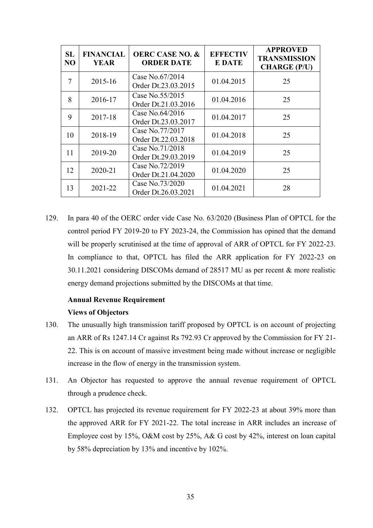| SL<br>N <sub>O</sub> | <b>FINANCIAL</b><br><b>YEAR</b> | <b>OERC CASE NO. &amp;</b><br><b>ORDER DATE</b> | <b>EFFECTIV</b><br><b>E DATE</b> | <b>APPROVED</b><br><b>TRANSMISSION</b><br><b>CHARGE (P/U)</b> |
|----------------------|---------------------------------|-------------------------------------------------|----------------------------------|---------------------------------------------------------------|
| 7                    | 2015-16                         | Case No.67/2014<br>Order Dt.23.03.2015          | 01.04.2015                       | 25                                                            |
| 8                    | 2016-17                         | Case No.55/2015<br>Order Dt.21.03.2016          | 01.04.2016                       | 25                                                            |
| 9                    | 2017-18                         | Case No.64/2016<br>Order Dt.23.03.2017          | 01.04.2017                       | 25                                                            |
| 10                   | 2018-19                         | Case No.77/2017<br>Order Dt.22.03.2018          | 01.04.2018                       | 25                                                            |
| 11                   | 2019-20                         | Case No.71/2018<br>Order Dt.29.03.2019          | 01.04.2019                       | 25                                                            |
| 12                   | 2020-21                         | Case No.72/2019<br>Order Dt.21.04.2020          | 01.04.2020                       | 25                                                            |
| 13                   | $2021 - 22$                     | Case No.73/2020<br>Order Dt.26.03.2021          | 01.04.2021                       | 28                                                            |

129. In para 40 of the OERC order vide Case No. 63/2020 (Business Plan of OPTCL for the control period FY 2019-20 to FY 2023-24, the Commission has opined that the demand will be properly scrutinised at the time of approval of ARR of OPTCL for FY 2022-23. In compliance to that, OPTCL has filed the ARR application for FY 2022-23 on 30.11.2021 considering DISCOMs demand of 28517 MU as per recent & more realistic energy demand projections submitted by the DISCOMs at that time.

# **Annual Revenue Requirement**

## **Views of Objectors**

- 130. The unusually high transmission tariff proposed by OPTCL is on account of projecting an ARR of Rs 1247.14 Cr against Rs 792.93 Cr approved by the Commission for FY 21- 22. This is on account of massive investment being made without increase or negligible increase in the flow of energy in the transmission system.
- 131. An Objector has requested to approve the annual revenue requirement of OPTCL through a prudence check.
- 132. OPTCL has projected its revenue requirement for FY 2022-23 at about 39% more than the approved ARR for FY 2021-22. The total increase in ARR includes an increase of Employee cost by 15%, O&M cost by 25%, A& G cost by 42%, interest on loan capital by 58% depreciation by 13% and incentive by 102%.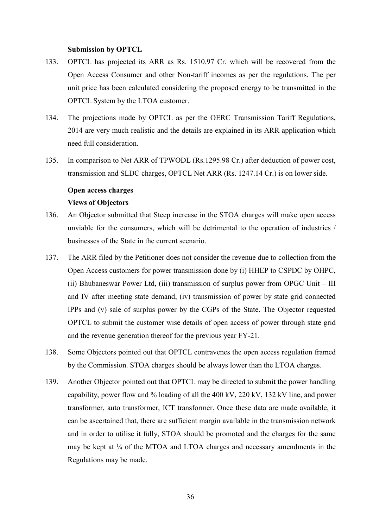#### **Submission by OPTCL**

- 133. OPTCL has projected its ARR as Rs. 1510.97 Cr. which will be recovered from the Open Access Consumer and other Non-tariff incomes as per the regulations. The per unit price has been calculated considering the proposed energy to be transmitted in the OPTCL System by the LTOA customer.
- 134. The projections made by OPTCL as per the OERC Transmission Tariff Regulations, 2014 are very much realistic and the details are explained in its ARR application which need full consideration.
- 135. In comparison to Net ARR of TPWODL (Rs.1295.98 Cr.) after deduction of power cost, transmission and SLDC charges, OPTCL Net ARR (Rs. 1247.14 Cr.) is on lower side.

# **Open access charges Views of Objectors**

- 136. An Objector submitted that Steep increase in the STOA charges will make open access unviable for the consumers, which will be detrimental to the operation of industries / businesses of the State in the current scenario.
- 137. The ARR filed by the Petitioner does not consider the revenue due to collection from the Open Access customers for power transmission done by (i) HHEP to CSPDC by OHPC, (ii) Bhubaneswar Power Ltd, (iii) transmission of surplus power from OPGC Unit – III and IV after meeting state demand, (iv) transmission of power by state grid connected IPPs and (v) sale of surplus power by the CGPs of the State. The Objector requested OPTCL to submit the customer wise details of open access of power through state grid and the revenue generation thereof for the previous year FY-21.
- 138. Some Objectors pointed out that OPTCL contravenes the open access regulation framed by the Commission. STOA charges should be always lower than the LTOA charges.
- 139. Another Objector pointed out that OPTCL may be directed to submit the power handling capability, power flow and % loading of all the 400 kV, 220 kV, 132 kV line, and power transformer, auto transformer, ICT transformer. Once these data are made available, it can be ascertained that, there are sufficient margin available in the transmission network and in order to utilise it fully, STOA should be promoted and the charges for the same may be kept at  $\frac{1}{4}$  of the MTOA and LTOA charges and necessary amendments in the Regulations may be made.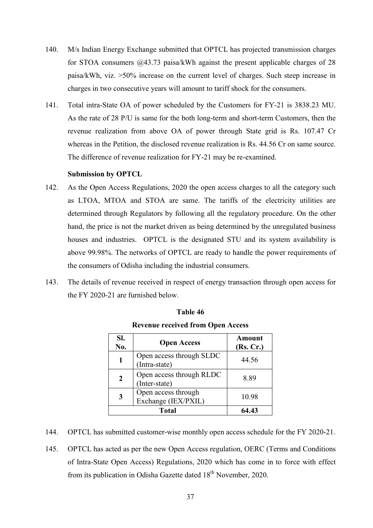- 140. M/s Indian Energy Exchange submitted that OPTCL has projected transmission charges for STOA consumers @43.73 paisa/kWh against the present applicable charges of 28 paisa/kWh, viz. >50% increase on the current level of charges. Such steep increase in charges in two consecutive years will amount to tariff shock for the consumers.
- 141. Total intra-State OA of power scheduled by the Customers for FY-21 is 3838.23 MU. As the rate of 28 P/U is same for the both long-term and short-term Customers, then the revenue realization from above OA of power through State grid is Rs. 107.47 Cr whereas in the Petition, the disclosed revenue realization is Rs. 44.56 Cr on same source. The difference of revenue realization for FY-21 may be re-examined.

#### **Submission by OPTCL**

- 142. As the Open Access Regulations, 2020 the open access charges to all the category such as LTOA, MTOA and STOA are same. The tariffs of the electricity utilities are determined through Regulators by following all the regulatory procedure. On the other hand, the price is not the market driven as being determined by the unregulated business houses and industries. OPTCL is the designated STU and its system availability is above 99.98%. The networks of OPTCL are ready to handle the power requirements of the consumers of Odisha including the industrial consumers.
- 143. The details of revenue received in respect of energy transaction through open access for the FY 2020-21 are furnished below.

| SI.<br>No. | <b>Open Access</b>                         | Amount<br>(Rs, Cr.) |
|------------|--------------------------------------------|---------------------|
|            | Open access through SLDC<br>(Intra-state)  | 44.56               |
| 2          | Open access through RLDC<br>(Inter-state)  | 8.89                |
|            | Open access through<br>Exchange (IEX/PXIL) | 10.98               |
|            | <b>Total</b>                               | 64.43               |

# **Table 46**

**Revenue received from Open Access** 

- 144. OPTCL has submitted customer-wise monthly open access schedule for the FY 2020-21.
- 145. OPTCL has acted as per the new Open Access regulation, OERC (Terms and Conditions of Intra-State Open Access) Regulations, 2020 which has come in to force with effect from its publication in Odisha Gazette dated  $18<sup>th</sup>$  November, 2020.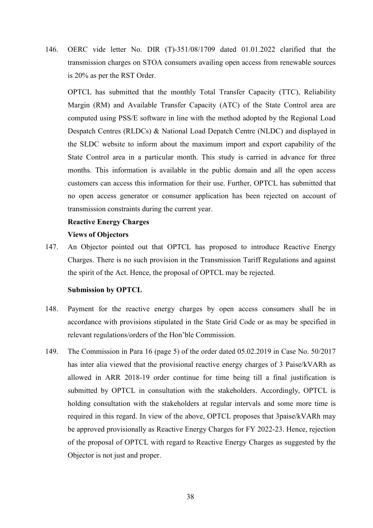146. OERC vide letter No. DIR (T)-351/08/1709 dated 01.01.2022 clarified that the transmission charges on STOA consumers availing open access from renewable sources is 20% as per the RST Order.

OPTCL has submitted that the monthly Total Transfer Capacity (TTC), Reliability Margin (RM) and Available Transfer Capacity (ATC) of the State Control area are computed using PSS/E software in line with the method adopted by the Regional Load Despatch Centres (RLDCs) & National Load Depatch Centre (NLDC) and displayed in the SLDC website to inform about the maximum import and export capability of the State Control area in a particular month. This study is carried in advance for three months. This information is available in the public domain and all the open access customers can access this information for their use. Further, OPTCL has submitted that no open access generator or consumer application has been rejected on account of transmission constraints during the current year.

# **Reactive Energy Charges Views of Objectors**

147. An Objector pointed out that OPTCL has proposed to introduce Reactive Energy Charges. There is no such provision in the Transmission Tariff Regulations and against the spirit of the Act. Hence, the proposal of OPTCL may be rejected.

#### **Submission by OPTCL**

- 148. Payment for the reactive energy charges by open access consumers shall be in accordance with provisions stipulated in the State Grid Code or as may be specified in relevant regulations/orders of the Hon'ble Commission.
- 149. The Commission in Para 16 (page 5) of the order dated 05.02.2019 in Case No. 50/2017 has inter alia viewed that the provisional reactive energy charges of 3 Paise/kVARh as allowed in ARR 2018-19 order continue for time being till a final justification is submitted by OPTCL in consultation with the stakeholders. Accordingly, OPTCL is holding consultation with the stakeholders at regular intervals and some more time is required in this regard. In view of the above, OPTCL proposes that 3paise/kVARh may be approved provisionally as Reactive Energy Charges for FY 2022-23. Hence, rejection of the proposal of OPTCL with regard to Reactive Energy Charges as suggested by the Objector is not just and proper.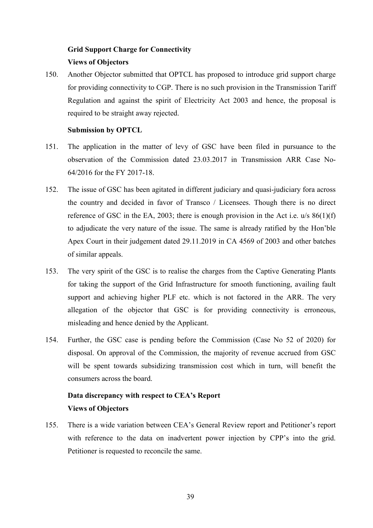# **Grid Support Charge for Connectivity Views of Objectors**

150. Another Objector submitted that OPTCL has proposed to introduce grid support charge for providing connectivity to CGP. There is no such provision in the Transmission Tariff Regulation and against the spirit of Electricity Act 2003 and hence, the proposal is required to be straight away rejected.

## **Submission by OPTCL**

- 151. The application in the matter of levy of GSC have been filed in pursuance to the observation of the Commission dated 23.03.2017 in Transmission ARR Case No-64/2016 for the FY 2017-18.
- 152. The issue of GSC has been agitated in different judiciary and quasi-judiciary fora across the country and decided in favor of Transco / Licensees. Though there is no direct reference of GSC in the EA, 2003; there is enough provision in the Act i.e.  $u/s 86(1)(f)$ to adjudicate the very nature of the issue. The same is already ratified by the Hon'ble Apex Court in their judgement dated 29.11.2019 in CA 4569 of 2003 and other batches of similar appeals.
- 153. The very spirit of the GSC is to realise the charges from the Captive Generating Plants for taking the support of the Grid Infrastructure for smooth functioning, availing fault support and achieving higher PLF etc. which is not factored in the ARR. The very allegation of the objector that GSC is for providing connectivity is erroneous, misleading and hence denied by the Applicant.
- 154. Further, the GSC case is pending before the Commission (Case No 52 of 2020) for disposal. On approval of the Commission, the majority of revenue accrued from GSC will be spent towards subsidizing transmission cost which in turn, will benefit the consumers across the board.

# **Data discrepancy with respect to CEA's Report Views of Objectors**

155. There is a wide variation between CEA's General Review report and Petitioner's report with reference to the data on inadvertent power injection by CPP's into the grid. Petitioner is requested to reconcile the same.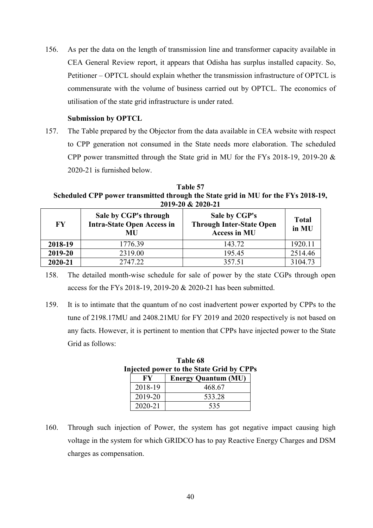156. As per the data on the length of transmission line and transformer capacity available in CEA General Review report, it appears that Odisha has surplus installed capacity. So, Petitioner – OPTCL should explain whether the transmission infrastructure of OPTCL is commensurate with the volume of business carried out by OPTCL. The economics of utilisation of the state grid infrastructure is under rated.

## **Submission by OPTCL**

157. The Table prepared by the Objector from the data available in CEA website with respect to CPP generation not consumed in the State needs more elaboration. The scheduled CPP power transmitted through the State grid in MU for the FYs 2018-19, 2019-20 & 2020-21 is furnished below.

**Table 57 Scheduled CPP power transmitted through the State grid in MU for the FYs 2018-19, 2019-20 & 2020-21** 

| $\mathbf{F}\mathbf{Y}$ | Sale by CGP's through<br><b>Intra-State Open Access in</b><br>MU | Sale by CGP's<br><b>Through Inter-State Open</b><br><b>Access in MU</b> | <b>Total</b><br>in MU |
|------------------------|------------------------------------------------------------------|-------------------------------------------------------------------------|-----------------------|
| 2018-19                | 1776.39                                                          | 143.72                                                                  | 1920.11               |
| 2019-20                | 2319.00                                                          | 195.45                                                                  | 2514.46               |
| 2020-21                | 2747.22                                                          | 357.51                                                                  | 3104.73               |

158. The detailed month-wise schedule for sale of power by the state CGPs through open access for the FYs 2018-19, 2019-20 & 2020-21 has been submitted.

159. It is to intimate that the quantum of no cost inadvertent power exported by CPPs to the tune of 2198.17MU and 2408.21MU for FY 2019 and 2020 respectively is not based on any facts. However, it is pertinent to mention that CPPs have injected power to the State Grid as follows:

|         | .                                               |  |
|---------|-------------------------------------------------|--|
|         | <b>Injected power to the State Grid by CPPs</b> |  |
|         | <b>Energy Quantum (MU)</b>                      |  |
| 2018-19 | 468.67                                          |  |
| 2019-20 | 533.28                                          |  |
| 2020-21 | 535                                             |  |

**Table 68** 

160. Through such injection of Power, the system has got negative impact causing high voltage in the system for which GRIDCO has to pay Reactive Energy Charges and DSM charges as compensation.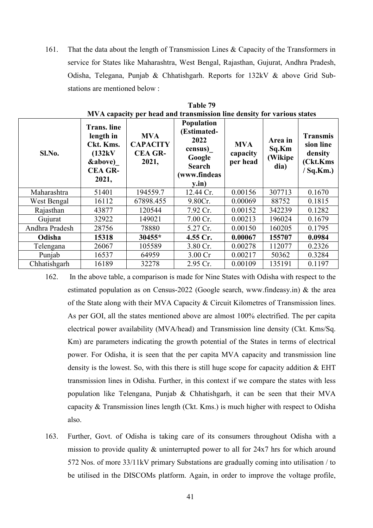161. That the data about the length of Transmission Lines & Capacity of the Transformers in service for States like Maharashtra, West Bengal, Rajasthan, Gujurat, Andhra Pradesh, Odisha, Telegana, Punjab & Chhatishgarh. Reports for 132kV & above Grid Substations are mentioned below :

|                | MVA capacity per head and transmission line density for various states                                          |                                                          |                                                                                                  |                                    |                                     |                                                                     |
|----------------|-----------------------------------------------------------------------------------------------------------------|----------------------------------------------------------|--------------------------------------------------------------------------------------------------|------------------------------------|-------------------------------------|---------------------------------------------------------------------|
| Sl.No.         | <b>Trans.</b> line<br>length in<br>Ckt. Kms.<br>(132kV<br><b><i>&amp;above</i></b> )<br><b>CEA GR-</b><br>2021, | <b>MVA</b><br><b>CAPACITY</b><br><b>CEA GR-</b><br>2021, | Population<br>(Estimated-<br>2022<br>census)<br>Google<br><b>Search</b><br>(www.findeas<br>y.in) | <b>MVA</b><br>capacity<br>per head | Area in<br>Sq.Km<br>(Wikipe<br>dia) | <b>Transmis</b><br>sion line<br>density<br>(Ckt.Kms)<br>$/$ Sq.Km.) |
| Maharashtra    | 51401                                                                                                           | 194559.7                                                 | 12.44 Cr.                                                                                        | 0.00156                            | 307713                              | 0.1670                                                              |
| West Bengal    | 16112                                                                                                           | 67898.455                                                | 9.80Cr.                                                                                          | 0.00069                            | 88752                               | 0.1815                                                              |
| Rajasthan      | 43877                                                                                                           | 120544                                                   | 7.92 Cr.                                                                                         | 0.00152                            | 342239                              | 0.1282                                                              |
| Gujurat        | 32922                                                                                                           | 149021                                                   | 7.00 Cr.                                                                                         | 0.00213                            | 196024                              | 0.1679                                                              |
| Andhra Pradesh | 28756                                                                                                           | 78880                                                    | 5.27 Cr.                                                                                         | 0.00150                            | 160205                              | 0.1795                                                              |
| Odisha         | 15318                                                                                                           | 30455*                                                   | 4.55 Cr.                                                                                         | 0.00067                            | 155707                              | 0.0984                                                              |
| Telengana      | 26067                                                                                                           | 105589                                                   | 3.80 Cr.                                                                                         | 0.00278                            | 112077                              | 0.2326                                                              |
| Punjab         | 16537                                                                                                           | 64959                                                    | 3.00 Cr                                                                                          | 0.00217                            | 50362                               | 0.3284                                                              |
| Chhatishgarh   | 16189                                                                                                           | 32278                                                    | 2.95 Cr.                                                                                         | 0.00109                            | 135191                              | 0.1197                                                              |

| <b>Table 79</b>                                                        |
|------------------------------------------------------------------------|
| MVA capacity per head and transmission line density for various states |

- 162. In the above table, a comparison is made for Nine States with Odisha with respect to the estimated population as on Census-2022 (Google search, www.findeasy.in) & the area of the State along with their MVA Capacity & Circuit Kilometres of Transmission lines. As per GOI, all the states mentioned above are almost 100% electrified. The per capita electrical power availability (MVA/head) and Transmission line density (Ckt. Kms/Sq. Km) are parameters indicating the growth potential of the States in terms of electrical power. For Odisha, it is seen that the per capita MVA capacity and transmission line density is the lowest. So, with this there is still huge scope for capacity addition & EHT transmission lines in Odisha. Further, in this context if we compare the states with less population like Telengana, Punjab & Chhatishgarh, it can be seen that their MVA capacity & Transmission lines length (Ckt. Kms.) is much higher with respect to Odisha also.
- 163. Further, Govt. of Odisha is taking care of its consumers throughout Odisha with a mission to provide quality & uninterrupted power to all for 24x7 hrs for which around 572 Nos. of more 33/11kV primary Substations are gradually coming into utilisation / to be utilised in the DISCOMs platform. Again, in order to improve the voltage profile,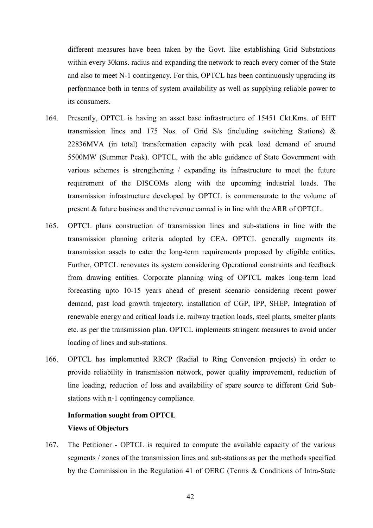different measures have been taken by the Govt. like establishing Grid Substations within every 30kms. radius and expanding the network to reach every corner of the State and also to meet N-1 contingency. For this, OPTCL has been continuously upgrading its performance both in terms of system availability as well as supplying reliable power to its consumers.

- 164. Presently, OPTCL is having an asset base infrastructure of 15451 Ckt.Kms. of EHT transmission lines and 175 Nos. of Grid S/s (including switching Stations) & 22836MVA (in total) transformation capacity with peak load demand of around 5500MW (Summer Peak). OPTCL, with the able guidance of State Government with various schemes is strengthening / expanding its infrastructure to meet the future requirement of the DISCOMs along with the upcoming industrial loads. The transmission infrastructure developed by OPTCL is commensurate to the volume of present & future business and the revenue earned is in line with the ARR of OPTCL.
- 165. OPTCL plans construction of transmission lines and sub-stations in line with the transmission planning criteria adopted by CEA. OPTCL generally augments its transmission assets to cater the long-term requirements proposed by eligible entities. Further, OPTCL renovates its system considering Operational constraints and feedback from drawing entities. Corporate planning wing of OPTCL makes long-term load forecasting upto 10-15 years ahead of present scenario considering recent power demand, past load growth trajectory, installation of CGP, IPP, SHEP, Integration of renewable energy and critical loads i.e. railway traction loads, steel plants, smelter plants etc. as per the transmission plan. OPTCL implements stringent measures to avoid under loading of lines and sub-stations.
- 166. OPTCL has implemented RRCP (Radial to Ring Conversion projects) in order to provide reliability in transmission network, power quality improvement, reduction of line loading, reduction of loss and availability of spare source to different Grid Substations with n-1 contingency compliance.

# **Information sought from OPTCL Views of Objectors**

167. The Petitioner - OPTCL is required to compute the available capacity of the various segments / zones of the transmission lines and sub-stations as per the methods specified by the Commission in the Regulation 41 of OERC (Terms & Conditions of Intra-State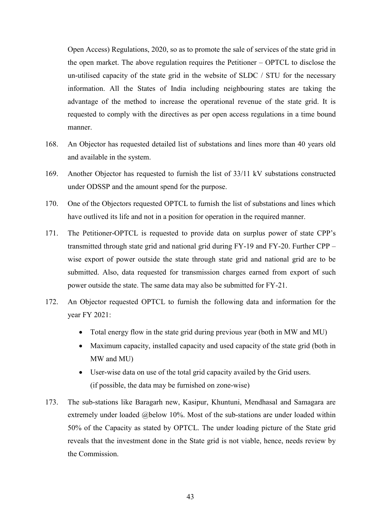Open Access) Regulations, 2020, so as to promote the sale of services of the state grid in the open market. The above regulation requires the Petitioner – OPTCL to disclose the un-utilised capacity of the state grid in the website of SLDC / STU for the necessary information. All the States of India including neighbouring states are taking the advantage of the method to increase the operational revenue of the state grid. It is requested to comply with the directives as per open access regulations in a time bound manner.

- 168. An Objector has requested detailed list of substations and lines more than 40 years old and available in the system.
- 169. Another Objector has requested to furnish the list of 33/11 kV substations constructed under ODSSP and the amount spend for the purpose.
- 170. One of the Objectors requested OPTCL to furnish the list of substations and lines which have outlived its life and not in a position for operation in the required manner.
- 171. The Petitioner-OPTCL is requested to provide data on surplus power of state CPP's transmitted through state grid and national grid during FY-19 and FY-20. Further CPP – wise export of power outside the state through state grid and national grid are to be submitted. Also, data requested for transmission charges earned from export of such power outside the state. The same data may also be submitted for FY-21.
- 172. An Objector requested OPTCL to furnish the following data and information for the year FY 2021:
	- Total energy flow in the state grid during previous year (both in MW and MU)
	- Maximum capacity, installed capacity and used capacity of the state grid (both in MW and MU)
	- User-wise data on use of the total grid capacity availed by the Grid users. (if possible, the data may be furnished on zone-wise)
- 173. The sub-stations like Baragarh new, Kasipur, Khuntuni, Mendhasal and Samagara are extremely under loaded @below 10%. Most of the sub-stations are under loaded within 50% of the Capacity as stated by OPTCL. The under loading picture of the State grid reveals that the investment done in the State grid is not viable, hence, needs review by the Commission.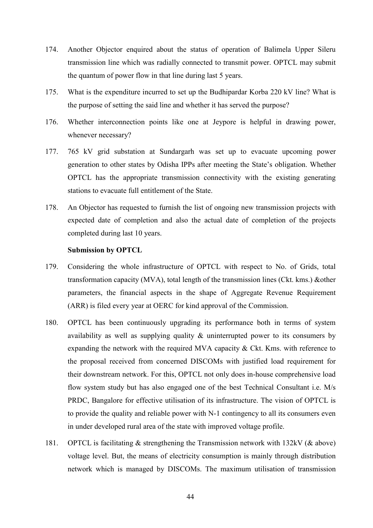- 174. Another Objector enquired about the status of operation of Balimela Upper Sileru transmission line which was radially connected to transmit power. OPTCL may submit the quantum of power flow in that line during last 5 years.
- 175. What is the expenditure incurred to set up the Budhipardar Korba 220 kV line? What is the purpose of setting the said line and whether it has served the purpose?
- 176. Whether interconnection points like one at Jeypore is helpful in drawing power, whenever necessary?
- 177. 765 kV grid substation at Sundargarh was set up to evacuate upcoming power generation to other states by Odisha IPPs after meeting the State's obligation. Whether OPTCL has the appropriate transmission connectivity with the existing generating stations to evacuate full entitlement of the State.
- 178. An Objector has requested to furnish the list of ongoing new transmission projects with expected date of completion and also the actual date of completion of the projects completed during last 10 years.

#### **Submission by OPTCL**

- 179. Considering the whole infrastructure of OPTCL with respect to No. of Grids, total transformation capacity (MVA), total length of the transmission lines (Ckt. kms.) &other parameters, the financial aspects in the shape of Aggregate Revenue Requirement (ARR) is filed every year at OERC for kind approval of the Commission.
- 180. OPTCL has been continuously upgrading its performance both in terms of system availability as well as supplying quality & uninterrupted power to its consumers by expanding the network with the required MVA capacity & Ckt. Kms. with reference to the proposal received from concerned DISCOMs with justified load requirement for their downstream network. For this, OPTCL not only does in-house comprehensive load flow system study but has also engaged one of the best Technical Consultant i.e. M/s PRDC, Bangalore for effective utilisation of its infrastructure. The vision of OPTCL is to provide the quality and reliable power with N-1 contingency to all its consumers even in under developed rural area of the state with improved voltage profile.
- 181. OPTCL is facilitating & strengthening the Transmission network with 132kV (& above) voltage level. But, the means of electricity consumption is mainly through distribution network which is managed by DISCOMs. The maximum utilisation of transmission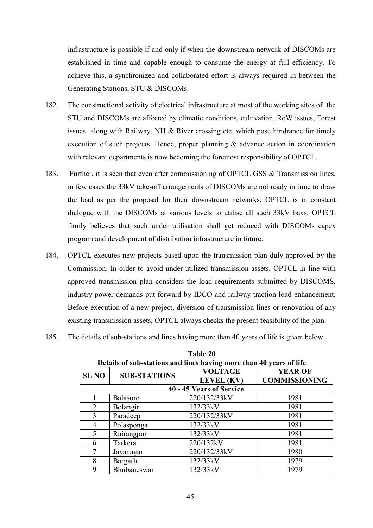infrastructure is possible if and only if when the downstream network of DISCOMs are established in time and capable enough to consume the energy at full efficiency. To achieve this, a synchronized and collaborated effort is always required in between the Generating Stations, STU & DISCOMs.

- 182. The constructional activity of electrical infrastructure at most of the working sites of the STU and DISCOMs are affected by climatic conditions, cultivation, RoW issues, Forest issues along with Railway, NH & River crossing etc. which pose hindrance for timely execution of such projects. Hence, proper planning & advance action in coordination with relevant departments is now becoming the foremost responsibility of OPTCL.
- 183. Further, it is seen that even after commissioning of OPTCL GSS & Transmission lines, in few cases the 33kV take-off arrangements of DISCOMs are not ready in time to draw the load as per the proposal for their downstream networks. OPTCL is in constant dialogue with the DISCOMs at various levels to utilise all such 33kV bays. OPTCL firmly believes that such under utilisation shall get reduced with DISCOMs capex program and development of distribution infrastructure in future.
- 184. OPTCL executes new projects based upon the transmission plan duly approved by the Commission. In order to avoid under-utilized transmission assets, OPTCL in line with approved transmission plan considers the load requirements submitted by DISCOMS, industry power demands put forward by IDCO and railway traction load enhancement. Before execution of a new project, diversion of transmission lines or renovation of any existing transmission assets, OPTCL always checks the present feasibility of the plan.
- 185. The details of sub-stations and lines having more than 40 years of life is given below.

|                | Details of sub-stations and lines having more than 40 years of life |                              |                                        |  |  |
|----------------|---------------------------------------------------------------------|------------------------------|----------------------------------------|--|--|
| <b>SL NO</b>   | <b>SUB-STATIONS</b>                                                 | <b>VOLTAGE</b><br>LEVEL (KV) | <b>YEAR OF</b><br><b>COMMISSIONING</b> |  |  |
|                |                                                                     | 40 - 45 Years of Service     |                                        |  |  |
|                | Balasore                                                            | 220/132/33kV                 | 1981                                   |  |  |
| $\overline{2}$ | Bolangir                                                            | 132/33kV                     | 1981                                   |  |  |
| 3              | Paradeep                                                            | 220/132/33kV                 | 1981                                   |  |  |
| $\overline{4}$ | Polasponga                                                          | 132/33kV                     | 1981                                   |  |  |
| 5              | Rairangpur                                                          | 132/33kV                     | 1981                                   |  |  |
| 6              | Tarkera                                                             | 220/132kV                    | 1981                                   |  |  |
| 7              | Jayanagar                                                           | 220/132/33kV                 | 1980                                   |  |  |
| 8              | Bargarh                                                             | 132/33kV                     | 1979                                   |  |  |
| 9              | Bhubaneswar                                                         | 132/33kV                     | 1979                                   |  |  |

| <b>Table 20</b>                                                     |
|---------------------------------------------------------------------|
| Details of sub-stations and lines having more than 40 years of life |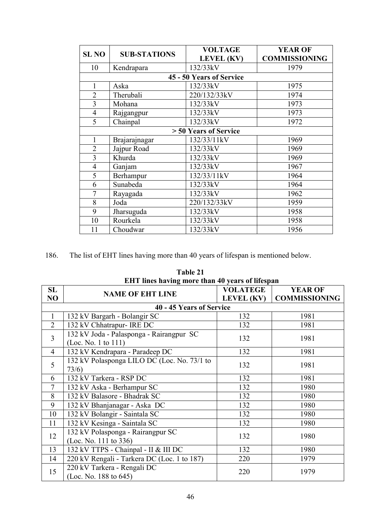| <b>SL NO</b>   | <b>SUB-STATIONS</b> | <b>VOLTAGE</b>           | <b>YEAR OF</b>       |
|----------------|---------------------|--------------------------|----------------------|
|                |                     | <b>LEVEL</b> (KV)        | <b>COMMISSIONING</b> |
| 10             | Kendrapara          | 132/33kV                 | 1979                 |
|                |                     | 45 - 50 Years of Service |                      |
| 1              | Aska                | 132/33kV                 | 1975                 |
| $\overline{2}$ | Therubali           | 220/132/33kV             | 1974                 |
| $\overline{3}$ | Mohana              | 132/33kV                 | 1973                 |
| $\overline{4}$ | Rajgangpur          | 132/33kV                 | 1973                 |
| 5              | Chainpal            | 132/33kV                 | 1972                 |
|                |                     | > 50 Years of Service    |                      |
| 1              | Brajarajnagar       | 132/33/11kV              | 1969                 |
| $\overline{2}$ | Jajpur Road         | 132/33kV                 | 1969                 |
| $\overline{3}$ | Khurda              | 132/33kV                 | 1969                 |
| $\overline{4}$ | Ganjam              | 132/33kV                 | 1967                 |
| 5              | Berhampur           | 132/33/11kV              | 1964                 |
| 6              | Sunabeda            | 132/33kV                 | 1964                 |
| $\overline{7}$ | Rayagada            | 132/33kV                 | 1962                 |
| 8              | Joda                | 220/132/33kV             | 1959                 |
| 9              | Jharsuguda          | 132/33kV                 | 1958                 |
| 10             | Rourkela            | 132/33kV                 | 1958                 |
| 11             | Choudwar            | 132/33kV                 | 1956                 |

186. The list of EHT lines having more than 40 years of lifespan is mentioned below.

|                | EHT lines having more than 40 years of lifespan                 |                   |                      |
|----------------|-----------------------------------------------------------------|-------------------|----------------------|
| SL             | <b>NAME OF EHT LINE</b>                                         | <b>VOLATEGE</b>   | <b>YEAR OF</b>       |
| NO             |                                                                 | <b>LEVEL (KV)</b> | <b>COMMISSIONING</b> |
|                | 40 - 45 Years of Service                                        |                   |                      |
| $\mathbf{1}$   | 132 kV Bargarh - Bolangir SC                                    | 132               | 1981                 |
| $\overline{2}$ | 132 kV Chhatrapur- IRE DC                                       | 132               | 1981                 |
| $\overline{3}$ | 132 kV Joda - Palasponga - Rairangpur SC<br>(Loc. No. 1 to 111) | 132               | 1981                 |
| $\overline{4}$ | 132 kV Kendrapara - Paradeep DC                                 | 132               | 1981                 |
| 5              | 132 kV Polasponga LILO DC (Loc. No. 73/1 to<br>73/6)            | 132               | 1981                 |
| 6              | 132 kV Tarkera - RSP DC                                         | 132               | 1981                 |
| $\overline{7}$ | 132 kV Aska - Berhampur SC                                      | 132               | 1980                 |
| 8              | 132 kV Balasore - Bhadrak SC                                    | 132               | 1980                 |
| 9              | 132 kV Bhanjanagar - Aska DC                                    | 132               | 1980                 |
| 10             | 132 kV Bolangir - Saintala SC                                   | 132               | 1980                 |
| 11             | 132 kV Kesinga - Saintala SC                                    | 132               | 1980                 |
| 12             | 132 kV Polasponga - Rairangpur SC<br>(Loc. No. 111 to 336)      | 132               | 1980                 |
| 13             | 132 kV TTPS - Chainpal - II & III DC                            | 132               | 1980                 |
| 14             | 220 kV Rengali - Tarkera DC (Loc. 1 to 187)                     | 220               | 1979                 |
| 15             | 220 kV Tarkera - Rengali DC<br>(Loc. No. 188 to $645$ )         | 220               | 1979                 |

**Table 21**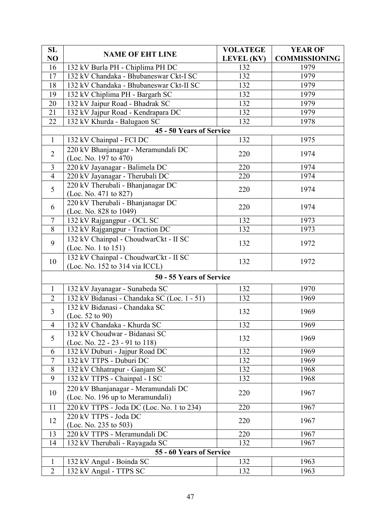| SL              |                                                                      | <b>VOLATEGE</b>   | <b>YEAR OF</b>       |
|-----------------|----------------------------------------------------------------------|-------------------|----------------------|
| NO              | <b>NAME OF EHT LINE</b>                                              | <b>LEVEL</b> (KV) | <b>COMMISSIONING</b> |
| 16              | 132 kV Burla PH - Chiplima PH DC                                     | 132               | 1979                 |
| 17              | 132 kV Chandaka - Bhubaneswar Ckt-I SC                               | 132               | 1979                 |
| 18              | 132 kV Chandaka - Bhubaneswar Ckt-II SC                              | 132               | 1979                 |
| 19              | 132 kV Chiplima PH - Bargarh SC                                      | 132               | 1979                 |
| 20              | 132 kV Jaipur Road - Bhadrak SC                                      | 132               | 1979                 |
| 21              | 132 kV Jajpur Road - Kendrapara DC                                   | 132               | 1979                 |
| 22              | 132 kV Khurda - Balugaon SC                                          | 132               | 1978                 |
|                 | 45 - 50 Years of Service                                             |                   |                      |
| $\mathbf{1}$    | 132 kV Chainpal - FCI DC                                             | 132               | 1975                 |
| $\overline{2}$  | 220 kV Bhanjanagar - Meramundali DC                                  | 220               | 1974                 |
| $\overline{3}$  | (Loc. No. 197 to 470)                                                | 220               | 1974                 |
| $\overline{4}$  | 220 kV Jayanagar - Balimela DC                                       | 220               | 1974                 |
|                 | 220 kV Jayanagar - Therubali DC<br>220 kV Therubali - Bhanjanagar DC |                   |                      |
| 5               | (Loc. No. 471 to 827)                                                | 220               | 1974                 |
|                 | 220 kV Therubali - Bhanjanagar DC                                    |                   |                      |
| 6               | (Loc. No. 828 to 1049)                                               | 220               | 1974                 |
| $7\overline{ }$ | 132 kV Rajgangpur - OCL SC                                           | 132               | 1973                 |
| 8               | 132 kV Rajgangpur - Traction DC                                      | 132               | 1973                 |
|                 | 132 kV Chainpal - ChoudwarCkt - II SC                                |                   |                      |
| 9               | (Loc. No. 1 to 151)                                                  | 132               | 1972                 |
| 10              | 132 kV Chainpal - ChoudwarCkt - II SC                                | 132               | 1972                 |
|                 | (Loc. No. 152 to 314 via ICCL)                                       |                   |                      |
|                 | 50 - 55 Years of Service                                             |                   |                      |
| $\mathbf{1}$    | 132 kV Jayanagar - Sunabeda SC                                       | 132               | 1970                 |
| $\overline{2}$  | 132 kV Bidanasi - Chandaka SC (Loc. 1 - 51)                          | 132               | 1969                 |
| $\overline{3}$  | 132 kV Bidanasi - Chandaka SC                                        |                   |                      |
|                 | (Loc. 52 to 90)                                                      | 132               | 1969                 |
| $\overline{4}$  | 132 kV Chandaka - Khurda SC                                          | 132               | 1969                 |
| 5               | 132 kV Choudwar - Bidanasi SC                                        | 132               | 1969                 |
|                 | (Loc. No. 22 - 23 - 91 to 118)                                       |                   |                      |
| 6               | 132 kV Duburi - Jajpur Road DC                                       | 132               | 1969                 |
| $\overline{7}$  | 132 kV TTPS - Duburi DC                                              | 132               | 1969                 |
| 8               | 132 kV Chhatrapur - Ganjam SC                                        | 132               | 1968                 |
| 9               | 132 kV TTPS - Chainpal - I SC                                        | 132               | 1968                 |
| 10              | 220 kV Bhanjanagar - Meramundali DC                                  | 220               | 1967                 |
|                 | (Loc. No. 196 up to Meramundali)                                     |                   |                      |
| 11              | 220 kV TTPS - Joda DC (Loc. No. 1 to 234)                            | 220               | 1967                 |
| 12              | 220 kV TTPS - Joda DC                                                | 220               | 1967                 |
| 13              | (Loc. No. 235 to 503)<br>220 kV TTPS - Meramundali DC                | 220               | 1967                 |
| 14              |                                                                      | 132               | 1967                 |
|                 | 132 kV Therubali - Rayagada SC<br>55 - 60 Years of Service           |                   |                      |
|                 |                                                                      | 132               |                      |
| $\mathbf{1}$    | 132 kV Angul - Boinda SC                                             |                   | 1963                 |
| $\overline{2}$  | 132 kV Angul - TTPS SC                                               | 132               | 1963                 |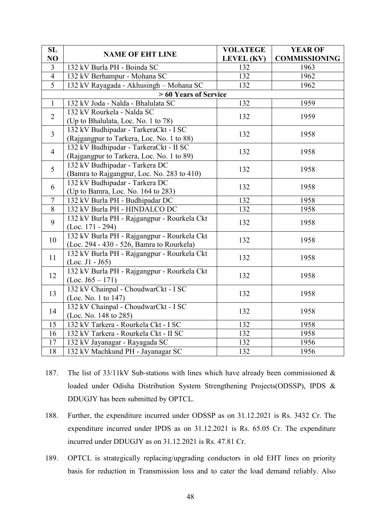| SL             | <b>NAME OF EHT LINE</b>                     | <b>VOLATEGE</b>   | <b>YEAR OF</b>       |
|----------------|---------------------------------------------|-------------------|----------------------|
| NO             |                                             | <b>LEVEL</b> (KV) | <b>COMMISSIONING</b> |
| $\overline{3}$ | 132 kV Burla PH - Boinda SC                 | 132               | 1963                 |
| $\overline{4}$ | 132 kV Berhampur - Mohana SC                | 132               | 1962                 |
| $\overline{5}$ | 132 kV Rayagada - Akhusingh - Mohana SC     | 132               | 1962                 |
|                | > 60 Years of Service                       |                   |                      |
| $\mathbf{1}$   | 132 kV Joda - Nalda - Bhalulata SC          | 132               | 1959                 |
| $\overline{2}$ | 132 kV Rourkela - Nalda SC                  |                   | 1959                 |
|                | (Up to Bhalulata, Loc. No. 1 to 78)         | 132               |                      |
| $\overline{3}$ | 132 kV Budhipadar - TarkeraCkt - I SC       |                   |                      |
|                | (Rajgangpur to Tarkera, Loc. No. 1 to 88)   | 132               | 1958                 |
|                | 132 kV Budhipadar - TarkeraCkt - II SC      |                   |                      |
| $\overline{4}$ | (Rajgangpur to Tarkera, Loc. No. 1 to 89)   | 132               | 1958                 |
| 5              | 132 kV Budhipadar - Tarkera DC              |                   |                      |
|                | (Bamra to Rajgangpur, Loc. No. 283 to 410)  | 132               | 1958                 |
| 6              | 132 kV Budhipadar - Tarkera DC              | 132               | 1958                 |
|                | (Up to Bamra, Loc. No. 164 to 283)          |                   |                      |
| $\overline{7}$ | 132 kV Burla PH - Budhipadar DC             | 132               | 1958                 |
| 8              | 132 kV Burla PH - HINDALCO DC               | 132               | 1958                 |
| 9              | 132 kV Burla PH - Rajgangpur - Rourkela Ckt | 132               | 1958                 |
|                | $(Loc. 171 - 294)$                          |                   |                      |
| 10             | 132 kV Burla PH - Rajgangpur - Rourkela Ckt | 132               | 1958                 |
|                | (Loc. 294 - 430 - 526, Bamra to Rourkela)   |                   |                      |
| 11             | 132 kV Burla PH - Rajgangpur - Rourkela Ckt | 132               | 1958                 |
|                | $(Loc. J1 - J65)$                           |                   |                      |
| 12             | 132 kV Burla PH - Rajgangpur - Rourkela Ckt | 132               | 1958                 |
|                | $(Loc. J65 - 171)$                          |                   |                      |
| 13             | 132 kV Chainpal - ChoudwarCkt - I SC        | 132               | 1958                 |
|                | (Loc. No. 1 to 147)                         |                   |                      |
| 14             | 132 kV Chainpal - ChoudwarCkt - I SC        | 132               | 1958                 |
|                | (Loc. No. 148 to 285)                       |                   |                      |
| 15             | 132 kV Tarkera - Rourkela Ckt - I SC        | 132               | 1958                 |
| 16             | 132 kV Tarkera - Rourkela Ckt - II SC       | 132               | 1958                 |
| 17             | 132 kV Jayanagar - Rayagada SC              | 132               | 1956                 |
| 18             | 132 kV Machkund PH - Jayanagar SC           | 132               | 1956                 |

- 187. The list of 33/11kV Sub-stations with lines which have already been commissioned & loaded under Odisha Distribution System Strengthening Projects(ODSSP), IPDS & DDUGJY has been submitted by OPTCL.
- 188. Further, the expenditure incurred under ODSSP as on 31.12.2021 is Rs. 3432 Cr. The expenditure incurred under IPDS as on 31.12.2021 is Rs. 65.05 Cr. The expenditure incurred under DDUGJY as on 31.12.2021 is Rs. 47.81 Cr.
- 189. OPTCL is strategically replacing/upgrading conductors in old EHT lines on priority basis for reduction in Transmission loss and to cater the load demand reliably. Also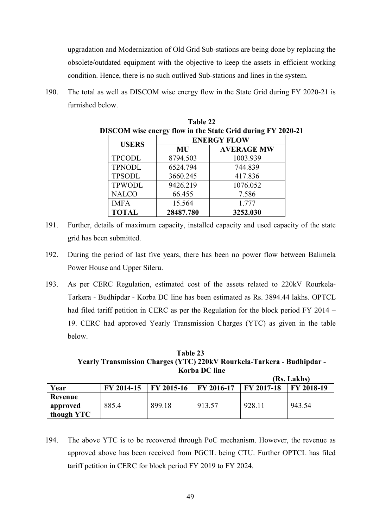upgradation and Modernization of Old Grid Sub-stations are being done by replacing the obsolete/outdated equipment with the objective to keep the assets in efficient working condition. Hence, there is no such outlived Sub-stations and lines in the system.

190. The total as well as DISCOM wise energy flow in the State Grid during FY 2020-21 is furnished below.

| <b>USERS</b>  | <b>ENERGY FLOW</b> |                   |  |
|---------------|--------------------|-------------------|--|
|               | MU                 | <b>AVERAGE MW</b> |  |
| <b>TPCODL</b> | 8794.503           | 1003.939          |  |
| <b>TPNODL</b> | 6524.794           | 744.839           |  |
| <b>TPSODL</b> | 3660.245           | 417.836           |  |
| <b>TPWODL</b> | 9426.219           | 1076.052          |  |
| <b>NALCO</b>  | 66.455             | 7.586             |  |
| <b>IMFA</b>   | 15.564             | 1.777             |  |
| <b>TOTAL</b>  | 28487.780          | 3252.030          |  |

**Table 22** 

- 191. Further, details of maximum capacity, installed capacity and used capacity of the state grid has been submitted.
- 192. During the period of last five years, there has been no power flow between Balimela Power House and Upper Sileru.
- 193. As per CERC Regulation, estimated cost of the assets related to 220kV Rourkela-Tarkera - Budhipdar - Korba DC line has been estimated as Rs. 3894.44 lakhs. OPTCL had filed tariff petition in CERC as per the Regulation for the block period FY 2014 – 19. CERC had approved Yearly Transmission Charges (YTC) as given in the table below.

**Table 23 Yearly Transmission Charges (YTC) 220kV Rourkela-Tarkera - Budhipdar - Korba DC line** 

|            |            |            |            |                   | (Rs. Lakhs) |
|------------|------------|------------|------------|-------------------|-------------|
| Year       | FY 2014-15 | FY 2015-16 | FY 2016-17 | $\mid$ FY 2017-18 | FY 2018-19  |
| Revenue    |            |            |            |                   |             |
| approved   | 885.4      | 899.18     | 913.57     | 928.11            | 943.54      |
| though YTC |            |            |            |                   |             |

194. The above YTC is to be recovered through PoC mechanism. However, the revenue as approved above has been received from PGCIL being CTU. Further OPTCL has filed tariff petition in CERC for block period FY 2019 to FY 2024.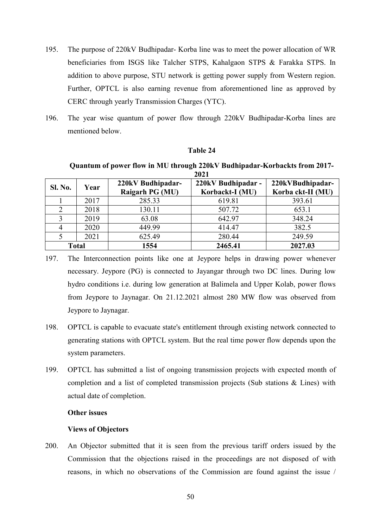- 195. The purpose of 220kV Budhipadar- Korba line was to meet the power allocation of WR beneficiaries from ISGS like Talcher STPS, Kahalgaon STPS & Farakka STPS. In addition to above purpose, STU network is getting power supply from Western region. Further, OPTCL is also earning revenue from aforementioned line as approved by CERC through yearly Transmission Charges (YTC).
- 196. The year wise quantum of power flow through 220kV Budhipadar-Korba lines are mentioned below.

#### **Table 24**

**Quantum of power flow in MU through 220kV Budhipadar-Korbackts from 2017- 2021** 

|                |              |                                      | ----                                  |                                       |
|----------------|--------------|--------------------------------------|---------------------------------------|---------------------------------------|
| <b>Sl. No.</b> | Year         | 220kV Budhipadar-<br>Raigarh PG (MU) | 220kV Budhipadar -<br>Korbackt-I (MU) | 220kVBudhipadar-<br>Korba ckt-II (MU) |
|                | 2017         | 285.33                               | 619.81                                | 393.61                                |
|                | 2018         | 130.11                               | 507.72                                | 653.1                                 |
|                | 2019         | 63.08                                | 642.97                                | 348.24                                |
|                | 2020         | 449.99                               | 414.47                                | 382.5                                 |
|                | 2021         | 625.49                               | 280.44                                | 249.59                                |
|                | <b>Total</b> | 1554                                 | 2465.41                               | 2027.03                               |

<sup>197.</sup> The Interconnection points like one at Jeypore helps in drawing power whenever necessary. Jeypore (PG) is connected to Jayangar through two DC lines. During low hydro conditions i.e. during low generation at Balimela and Upper Kolab, power flows from Jeypore to Jaynagar. On 21.12.2021 almost 280 MW flow was observed from Jeypore to Jaynagar.

- 198. OPTCL is capable to evacuate state's entitlement through existing network connected to generating stations with OPTCL system. But the real time power flow depends upon the system parameters.
- 199. OPTCL has submitted a list of ongoing transmission projects with expected month of completion and a list of completed transmission projects (Sub stations & Lines) with actual date of completion.

#### **Other issues**

#### **Views of Objectors**

200. An Objector submitted that it is seen from the previous tariff orders issued by the Commission that the objections raised in the proceedings are not disposed of with reasons, in which no observations of the Commission are found against the issue /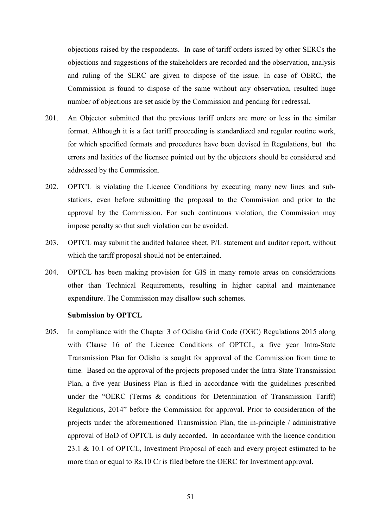objections raised by the respondents. In case of tariff orders issued by other SERCs the objections and suggestions of the stakeholders are recorded and the observation, analysis and ruling of the SERC are given to dispose of the issue. In case of OERC, the Commission is found to dispose of the same without any observation, resulted huge number of objections are set aside by the Commission and pending for redressal.

- 201. An Objector submitted that the previous tariff orders are more or less in the similar format. Although it is a fact tariff proceeding is standardized and regular routine work, for which specified formats and procedures have been devised in Regulations, but the errors and laxities of the licensee pointed out by the objectors should be considered and addressed by the Commission.
- 202. OPTCL is violating the Licence Conditions by executing many new lines and substations, even before submitting the proposal to the Commission and prior to the approval by the Commission. For such continuous violation, the Commission may impose penalty so that such violation can be avoided.
- 203. OPTCL may submit the audited balance sheet, P/L statement and auditor report, without which the tariff proposal should not be entertained.
- 204. OPTCL has been making provision for GIS in many remote areas on considerations other than Technical Requirements, resulting in higher capital and maintenance expenditure. The Commission may disallow such schemes.

#### **Submission by OPTCL**

205. In compliance with the Chapter 3 of Odisha Grid Code (OGC) Regulations 2015 along with Clause 16 of the Licence Conditions of OPTCL, a five year Intra-State Transmission Plan for Odisha is sought for approval of the Commission from time to time. Based on the approval of the projects proposed under the Intra-State Transmission Plan, a five year Business Plan is filed in accordance with the guidelines prescribed under the "OERC (Terms & conditions for Determination of Transmission Tariff) Regulations, 2014" before the Commission for approval. Prior to consideration of the projects under the aforementioned Transmission Plan, the in-principle / administrative approval of BoD of OPTCL is duly accorded. In accordance with the licence condition 23.1 & 10.1 of OPTCL, Investment Proposal of each and every project estimated to be more than or equal to Rs.10 Cr is filed before the OERC for Investment approval.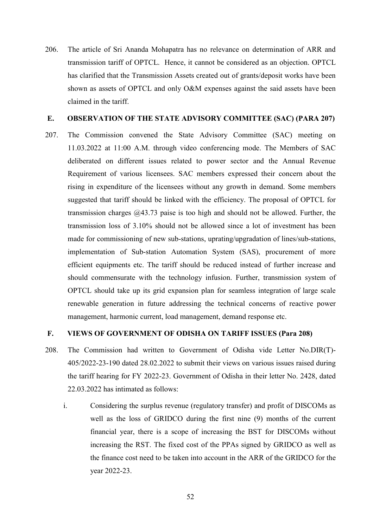206. The article of Sri Ananda Mohapatra has no relevance on determination of ARR and transmission tariff of OPTCL. Hence, it cannot be considered as an objection. OPTCL has clarified that the Transmission Assets created out of grants/deposit works have been shown as assets of OPTCL and only O&M expenses against the said assets have been claimed in the tariff.

#### **E. OBSERVATION OF THE STATE ADVISORY COMMITTEE (SAC) (PARA 207)**

207. The Commission convened the State Advisory Committee (SAC) meeting on 11.03.2022 at 11:00 A.M. through video conferencing mode. The Members of SAC deliberated on different issues related to power sector and the Annual Revenue Requirement of various licensees. SAC members expressed their concern about the rising in expenditure of the licensees without any growth in demand. Some members suggested that tariff should be linked with the efficiency. The proposal of OPTCL for transmission charges @43.73 paise is too high and should not be allowed. Further, the transmission loss of 3.10% should not be allowed since a lot of investment has been made for commissioning of new sub-stations, uprating/upgradation of lines/sub-stations, implementation of Sub-station Automation System (SAS), procurement of more efficient equipments etc. The tariff should be reduced instead of further increase and should commensurate with the technology infusion. Further, transmission system of OPTCL should take up its grid expansion plan for seamless integration of large scale renewable generation in future addressing the technical concerns of reactive power management, harmonic current, load management, demand response etc.

## **F. VIEWS OF GOVERNMENT OF ODISHA ON TARIFF ISSUES (Para 208)**

- 208. The Commission had written to Government of Odisha vide Letter No.DIR(T)- 405/2022-23-190 dated 28.02.2022 to submit their views on various issues raised during the tariff hearing for FY 2022-23. Government of Odisha in their letter No. 2428, dated 22.03.2022 has intimated as follows:
	- i. Considering the surplus revenue (regulatory transfer) and profit of DISCOMs as well as the loss of GRIDCO during the first nine (9) months of the current financial year, there is a scope of increasing the BST for DISCOMs without increasing the RST. The fixed cost of the PPAs signed by GRIDCO as well as the finance cost need to be taken into account in the ARR of the GRIDCO for the year 2022-23.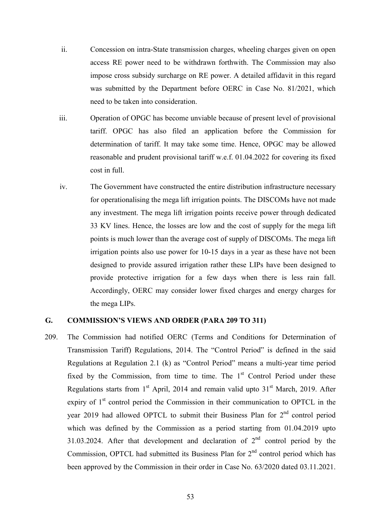- ii. Concession on intra-State transmission charges, wheeling charges given on open access RE power need to be withdrawn forthwith. The Commission may also impose cross subsidy surcharge on RE power. A detailed affidavit in this regard was submitted by the Department before OERC in Case No. 81/2021, which need to be taken into consideration.
- iii. Operation of OPGC has become unviable because of present level of provisional tariff. OPGC has also filed an application before the Commission for determination of tariff. It may take some time. Hence, OPGC may be allowed reasonable and prudent provisional tariff w.e.f. 01.04.2022 for covering its fixed cost in full.
- iv. The Government have constructed the entire distribution infrastructure necessary for operationalising the mega lift irrigation points. The DISCOMs have not made any investment. The mega lift irrigation points receive power through dedicated 33 KV lines. Hence, the losses are low and the cost of supply for the mega lift points is much lower than the average cost of supply of DISCOMs. The mega lift irrigation points also use power for 10-15 days in a year as these have not been designed to provide assured irrigation rather these LIPs have been designed to provide protective irrigation for a few days when there is less rain fall. Accordingly, OERC may consider lower fixed charges and energy charges for the mega LIPs.

#### **G. COMMISSION'S VIEWS AND ORDER (PARA 209 TO 311)**

209. The Commission had notified OERC (Terms and Conditions for Determination of Transmission Tariff) Regulations, 2014. The "Control Period" is defined in the said Regulations at Regulation 2.1 (k) as "Control Period" means a multi-year time period fixed by the Commission, from time to time. The  $1<sup>st</sup>$  Control Period under these Regulations starts from  $1<sup>st</sup>$  April, 2014 and remain valid upto  $31<sup>st</sup>$  March, 2019. After expiry of  $1<sup>st</sup>$  control period the Commission in their communication to OPTCL in the year 2019 had allowed OPTCL to submit their Business Plan for  $2<sup>nd</sup>$  control period which was defined by the Commission as a period starting from 01.04.2019 upto 31.03.2024. After that development and declaration of 2nd control period by the Commission, OPTCL had submitted its Business Plan for  $2<sup>nd</sup>$  control period which has been approved by the Commission in their order in Case No. 63/2020 dated 03.11.2021.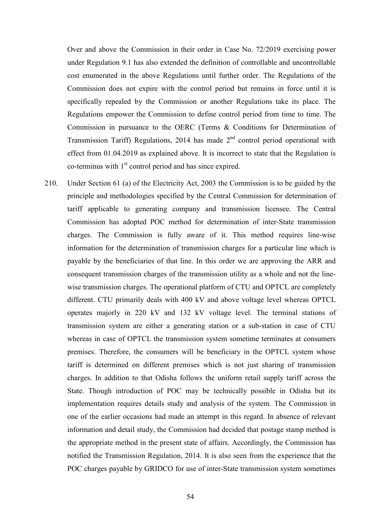Over and above the Commission in their order in Case No. 72/2019 exercising power under Regulation 9.1 has also extended the definition of controllable and uncontrollable cost enumerated in the above Regulations until further order. The Regulations of the Commission does not expire with the control period but remains in force until it is specifically repealed by the Commission or another Regulations take its place. The Regulations empower the Commission to define control period from time to time. The Commission in pursuance to the OERC (Terms & Conditions for Determination of Transmission Tariff) Regulations, 2014 has made  $2<sup>nd</sup>$  control period operational with effect from 01.04.2019 as explained above. It is incorrect to state that the Regulation is  $\text{co-terminus with } 1^{\text{st}} \text{ control period and has since expired.}$ 

210. Under Section 61 (a) of the Electricity Act, 2003 the Commission is to be guided by the principle and methodologies specified by the Central Commission for determination of tariff applicable to generating company and transmission licensee. The Central Commission has adopted POC method for determination of inter-State transmission charges. The Commission is fully aware of it. This method requires line-wise information for the determination of transmission charges for a particular line which is payable by the beneficiaries of that line. In this order we are approving the ARR and consequent transmission charges of the transmission utility as a whole and not the linewise transmission charges. The operational platform of CTU and OPTCL are completely different. CTU primarily deals with 400 kV and above voltage level whereas OPTCL operates majorly in 220 kV and 132 kV voltage level. The terminal stations of transmission system are either a generating station or a sub-station in case of CTU whereas in case of OPTCL the transmission system sometime terminates at consumers premises. Therefore, the consumers will be beneficiary in the OPTCL system whose tariff is determined on different premises which is not just sharing of transmission charges. In addition to that Odisha follows the uniform retail supply tariff across the State. Though introduction of POC may be technically possible in Odisha but its implementation requires details study and analysis of the system. The Commission in one of the earlier occasions had made an attempt in this regard. In absence of relevant information and detail study, the Commission had decided that postage stamp method is the appropriate method in the present state of affairs. Accordingly, the Commission has notified the Transmission Regulation, 2014. It is also seen from the experience that the POC charges payable by GRIDCO for use of inter-State transmission system sometimes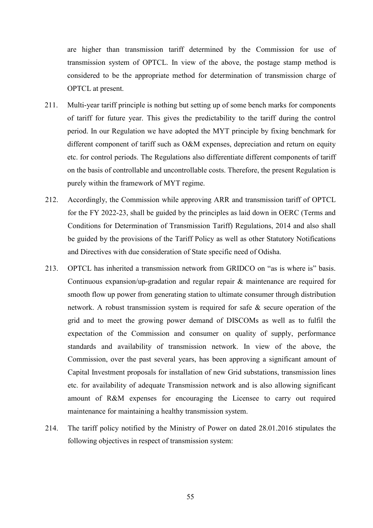are higher than transmission tariff determined by the Commission for use of transmission system of OPTCL. In view of the above, the postage stamp method is considered to be the appropriate method for determination of transmission charge of OPTCL at present.

- 211. Multi-year tariff principle is nothing but setting up of some bench marks for components of tariff for future year. This gives the predictability to the tariff during the control period. In our Regulation we have adopted the MYT principle by fixing benchmark for different component of tariff such as O&M expenses, depreciation and return on equity etc. for control periods. The Regulations also differentiate different components of tariff on the basis of controllable and uncontrollable costs. Therefore, the present Regulation is purely within the framework of MYT regime.
- 212. Accordingly, the Commission while approving ARR and transmission tariff of OPTCL for the FY 2022-23, shall be guided by the principles as laid down in OERC (Terms and Conditions for Determination of Transmission Tariff) Regulations, 2014 and also shall be guided by the provisions of the Tariff Policy as well as other Statutory Notifications and Directives with due consideration of State specific need of Odisha.
- 213. OPTCL has inherited a transmission network from GRIDCO on "as is where is" basis. Continuous expansion/up-gradation and regular repair & maintenance are required for smooth flow up power from generating station to ultimate consumer through distribution network. A robust transmission system is required for safe & secure operation of the grid and to meet the growing power demand of DISCOMs as well as to fulfil the expectation of the Commission and consumer on quality of supply, performance standards and availability of transmission network. In view of the above, the Commission, over the past several years, has been approving a significant amount of Capital Investment proposals for installation of new Grid substations, transmission lines etc. for availability of adequate Transmission network and is also allowing significant amount of R&M expenses for encouraging the Licensee to carry out required maintenance for maintaining a healthy transmission system.
- 214. The tariff policy notified by the Ministry of Power on dated 28.01.2016 stipulates the following objectives in respect of transmission system: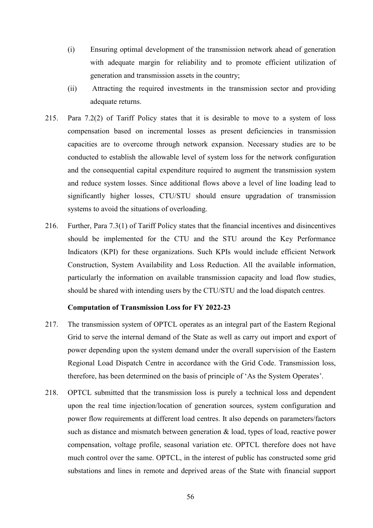- (i) Ensuring optimal development of the transmission network ahead of generation with adequate margin for reliability and to promote efficient utilization of generation and transmission assets in the country;
- (ii) Attracting the required investments in the transmission sector and providing adequate returns.
- 215. Para 7.2(2) of Tariff Policy states that it is desirable to move to a system of loss compensation based on incremental losses as present deficiencies in transmission capacities are to overcome through network expansion. Necessary studies are to be conducted to establish the allowable level of system loss for the network configuration and the consequential capital expenditure required to augment the transmission system and reduce system losses. Since additional flows above a level of line loading lead to significantly higher losses, CTU/STU should ensure upgradation of transmission systems to avoid the situations of overloading.
- 216. Further, Para 7.3(1) of Tariff Policy states that the financial incentives and disincentives should be implemented for the CTU and the STU around the Key Performance Indicators (KPI) for these organizations. Such KPIs would include efficient Network Construction, System Availability and Loss Reduction. All the available information, particularly the information on available transmission capacity and load flow studies, should be shared with intending users by the CTU/STU and the load dispatch centres.

#### **Computation of Transmission Loss for FY 2022-23**

- 217. The transmission system of OPTCL operates as an integral part of the Eastern Regional Grid to serve the internal demand of the State as well as carry out import and export of power depending upon the system demand under the overall supervision of the Eastern Regional Load Dispatch Centre in accordance with the Grid Code. Transmission loss, therefore, has been determined on the basis of principle of 'As the System Operates'.
- 218. OPTCL submitted that the transmission loss is purely a technical loss and dependent upon the real time injection/location of generation sources, system configuration and power flow requirements at different load centres. It also depends on parameters/factors such as distance and mismatch between generation  $\&$  load, types of load, reactive power compensation, voltage profile, seasonal variation etc. OPTCL therefore does not have much control over the same. OPTCL, in the interest of public has constructed some grid substations and lines in remote and deprived areas of the State with financial support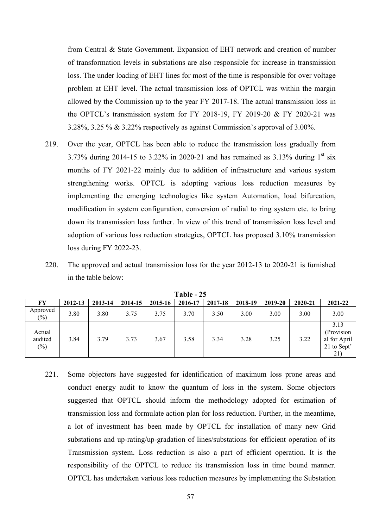from Central & State Government. Expansion of EHT network and creation of number of transformation levels in substations are also responsible for increase in transmission loss. The under loading of EHT lines for most of the time is responsible for over voltage problem at EHT level. The actual transmission loss of OPTCL was within the margin allowed by the Commission up to the year FY 2017-18. The actual transmission loss in the OPTCL's transmission system for FY 2018-19, FY 2019-20 & FY 2020-21 was 3.28%, 3.25 % & 3.22% respectively as against Commission's approval of 3.00%.

- 219. Over the year, OPTCL has been able to reduce the transmission loss gradually from 3.73% during 2014-15 to 3.22% in 2020-21 and has remained as  $3.13\%$  during  $1<sup>st</sup>$  six months of FY 2021-22 mainly due to addition of infrastructure and various system strengthening works. OPTCL is adopting various loss reduction measures by implementing the emerging technologies like system Automation, load bifurcation, modification in system configuration, conversion of radial to ring system etc. to bring down its transmission loss further. In view of this trend of transmission loss level and adoption of various loss reduction strategies, OPTCL has proposed 3.10% transmission loss during FY 2022-23.
- 220. The approved and actual transmission loss for the year 2012-13 to 2020-21 is furnished in the table below:

|                             | * ****  |         |         |         |         |         |         |         |         |                                                                       |
|-----------------------------|---------|---------|---------|---------|---------|---------|---------|---------|---------|-----------------------------------------------------------------------|
| FY                          | 2012-13 | 2013-14 | 2014-15 | 2015-16 | 2016-17 | 2017-18 | 2018-19 | 2019-20 | 2020-21 | 2021-22                                                               |
| Approved<br>$(\%)$          | 3.80    | 3.80    | 3.75    | 3.75    | 3.70    | 3.50    | 3.00    | 3.00    | 3.00    | 3.00                                                                  |
| Actual<br>audited<br>$(\%)$ | 3.84    | 3.79    | 3.73    | 3.67    | 3.58    | 3.34    | 3.28    | 3.25    | 3.22    | 3.13<br>(Provision<br>al for April<br>21 to Sept'<br>21 <sup>-1</sup> |

**Table - 25** 

221. Some objectors have suggested for identification of maximum loss prone areas and conduct energy audit to know the quantum of loss in the system. Some objectors suggested that OPTCL should inform the methodology adopted for estimation of transmission loss and formulate action plan for loss reduction. Further, in the meantime, a lot of investment has been made by OPTCL for installation of many new Grid substations and up-rating/up-gradation of lines/substations for efficient operation of its Transmission system. Loss reduction is also a part of efficient operation. It is the responsibility of the OPTCL to reduce its transmission loss in time bound manner. OPTCL has undertaken various loss reduction measures by implementing the Substation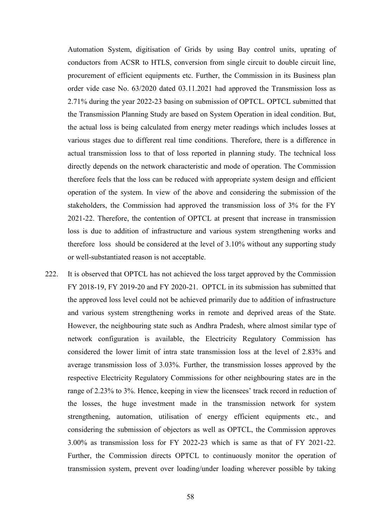Automation System, digitisation of Grids by using Bay control units, uprating of conductors from ACSR to HTLS, conversion from single circuit to double circuit line, procurement of efficient equipments etc. Further, the Commission in its Business plan order vide case No. 63/2020 dated 03.11.2021 had approved the Transmission loss as 2.71% during the year 2022-23 basing on submission of OPTCL. OPTCL submitted that the Transmission Planning Study are based on System Operation in ideal condition. But, the actual loss is being calculated from energy meter readings which includes losses at various stages due to different real time conditions. Therefore, there is a difference in actual transmission loss to that of loss reported in planning study. The technical loss directly depends on the network characteristic and mode of operation. The Commission therefore feels that the loss can be reduced with appropriate system design and efficient operation of the system. In view of the above and considering the submission of the stakeholders, the Commission had approved the transmission loss of 3% for the FY 2021-22. Therefore, the contention of OPTCL at present that increase in transmission loss is due to addition of infrastructure and various system strengthening works and therefore loss should be considered at the level of 3.10% without any supporting study or well-substantiated reason is not acceptable.

222. It is observed that OPTCL has not achieved the loss target approved by the Commission FY 2018-19, FY 2019-20 and FY 2020-21. OPTCL in its submission has submitted that the approved loss level could not be achieved primarily due to addition of infrastructure and various system strengthening works in remote and deprived areas of the State. However, the neighbouring state such as Andhra Pradesh, where almost similar type of network configuration is available, the Electricity Regulatory Commission has considered the lower limit of intra state transmission loss at the level of 2.83% and average transmission loss of 3.03%. Further, the transmission losses approved by the respective Electricity Regulatory Commissions for other neighbouring states are in the range of 2.23% to 3%. Hence, keeping in view the licensees' track record in reduction of the losses, the huge investment made in the transmission network for system strengthening, automation, utilisation of energy efficient equipments etc., and considering the submission of objectors as well as OPTCL, the Commission approves 3.00% as transmission loss for FY 2022-23 which is same as that of FY 2021-22. Further, the Commission directs OPTCL to continuously monitor the operation of transmission system, prevent over loading/under loading wherever possible by taking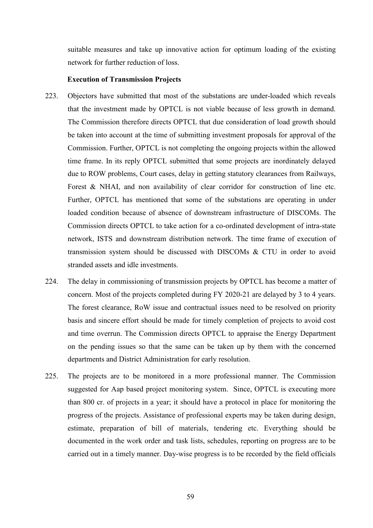suitable measures and take up innovative action for optimum loading of the existing network for further reduction of loss.

#### **Execution of Transmission Projects**

- 223. Objectors have submitted that most of the substations are under-loaded which reveals that the investment made by OPTCL is not viable because of less growth in demand. The Commission therefore directs OPTCL that due consideration of load growth should be taken into account at the time of submitting investment proposals for approval of the Commission. Further, OPTCL is not completing the ongoing projects within the allowed time frame. In its reply OPTCL submitted that some projects are inordinately delayed due to ROW problems, Court cases, delay in getting statutory clearances from Railways, Forest & NHAI, and non availability of clear corridor for construction of line etc. Further, OPTCL has mentioned that some of the substations are operating in under loaded condition because of absence of downstream infrastructure of DISCOMs. The Commission directs OPTCL to take action for a co-ordinated development of intra-state network, ISTS and downstream distribution network. The time frame of execution of transmission system should be discussed with DISCOMs & CTU in order to avoid stranded assets and idle investments.
- 224. The delay in commissioning of transmission projects by OPTCL has become a matter of concern. Most of the projects completed during FY 2020-21 are delayed by 3 to 4 years. The forest clearance, RoW issue and contractual issues need to be resolved on priority basis and sincere effort should be made for timely completion of projects to avoid cost and time overrun. The Commission directs OPTCL to appraise the Energy Department on the pending issues so that the same can be taken up by them with the concerned departments and District Administration for early resolution.
- 225. The projects are to be monitored in a more professional manner. The Commission suggested for Aap based project monitoring system. Since, OPTCL is executing more than 800 cr. of projects in a year; it should have a protocol in place for monitoring the progress of the projects. Assistance of professional experts may be taken during design, estimate, preparation of bill of materials, tendering etc. Everything should be documented in the work order and task lists, schedules, reporting on progress are to be carried out in a timely manner. Day-wise progress is to be recorded by the field officials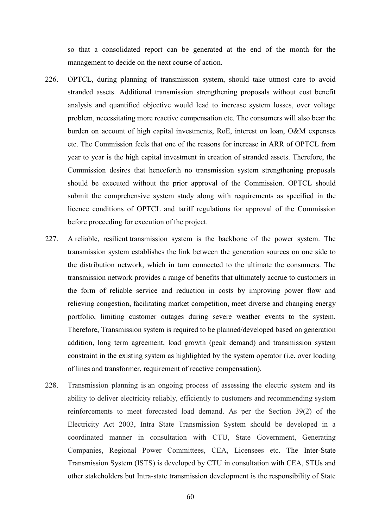so that a consolidated report can be generated at the end of the month for the management to decide on the next course of action.

- 226. OPTCL, during planning of transmission system, should take utmost care to avoid stranded assets. Additional transmission strengthening proposals without cost benefit analysis and quantified objective would lead to increase system losses, over voltage problem, necessitating more reactive compensation etc. The consumers will also bear the burden on account of high capital investments, RoE, interest on loan, O&M expenses etc. The Commission feels that one of the reasons for increase in ARR of OPTCL from year to year is the high capital investment in creation of stranded assets. Therefore, the Commission desires that henceforth no transmission system strengthening proposals should be executed without the prior approval of the Commission. OPTCL should submit the comprehensive system study along with requirements as specified in the licence conditions of OPTCL and tariff regulations for approval of the Commission before proceeding for execution of the project.
- 227. A reliable, resilient transmission system is the backbone of the power system. The transmission system establishes the link between the generation sources on one side to the distribution network, which in turn connected to the ultimate the consumers. The transmission network provides a range of benefits that ultimately accrue to customers in the form of reliable service and reduction in costs by improving power flow and relieving congestion, facilitating market competition, meet diverse and changing energy portfolio, limiting customer outages during severe weather events to the system. Therefore, Transmission system is required to be planned/developed based on generation addition, long term agreement, load growth (peak demand) and transmission system constraint in the existing system as highlighted by the system operator (i.e. over loading of lines and transformer, requirement of reactive compensation).
- 228. Transmission planning is an ongoing process of assessing the electric system and its ability to deliver electricity reliably, efficiently to customers and recommending system reinforcements to meet forecasted load demand. As per the Section 39(2) of the Electricity Act 2003, Intra State Transmission System should be developed in a coordinated manner in consultation with CTU, State Government, Generating Companies, Regional Power Committees, CEA, Licensees etc. The Inter-State Transmission System (ISTS) is developed by CTU in consultation with CEA, STUs and other stakeholders but Intra-state transmission development is the responsibility of State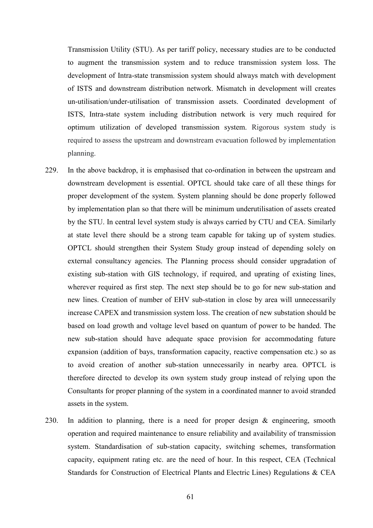Transmission Utility (STU). As per tariff policy, necessary studies are to be conducted to augment the transmission system and to reduce transmission system loss. The development of Intra-state transmission system should always match with development of ISTS and downstream distribution network. Mismatch in development will creates un-utilisation/under-utilisation of transmission assets. Coordinated development of ISTS, Intra-state system including distribution network is very much required for optimum utilization of developed transmission system. Rigorous system study is required to assess the upstream and downstream evacuation followed by implementation planning.

- 229. In the above backdrop, it is emphasised that co-ordination in between the upstream and downstream development is essential. OPTCL should take care of all these things for proper development of the system. System planning should be done properly followed by implementation plan so that there will be minimum underutilisation of assets created by the STU. In central level system study is always carried by CTU and CEA. Similarly at state level there should be a strong team capable for taking up of system studies. OPTCL should strengthen their System Study group instead of depending solely on external consultancy agencies. The Planning process should consider upgradation of existing sub-station with GIS technology, if required, and uprating of existing lines, wherever required as first step. The next step should be to go for new sub-station and new lines. Creation of number of EHV sub-station in close by area will unnecessarily increase CAPEX and transmission system loss. The creation of new substation should be based on load growth and voltage level based on quantum of power to be handed. The new sub-station should have adequate space provision for accommodating future expansion (addition of bays, transformation capacity, reactive compensation etc.) so as to avoid creation of another sub-station unnecessarily in nearby area. OPTCL is therefore directed to develop its own system study group instead of relying upon the Consultants for proper planning of the system in a coordinated manner to avoid stranded assets in the system.
- 230. In addition to planning, there is a need for proper design & engineering, smooth operation and required maintenance to ensure reliability and availability of transmission system. Standardisation of sub-station capacity, switching schemes, transformation capacity, equipment rating etc. are the need of hour. In this respect, CEA (Technical Standards for Construction of Electrical Plants and Electric Lines) Regulations & CEA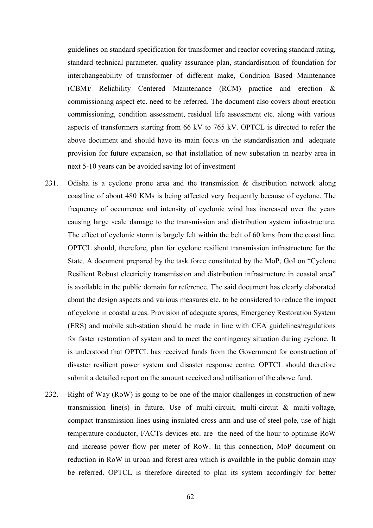guidelines on standard specification for transformer and reactor covering standard rating, standard technical parameter, quality assurance plan, standardisation of foundation for interchangeability of transformer of different make, Condition Based Maintenance (CBM)/ Reliability Centered Maintenance (RCM) practice and erection & commissioning aspect etc. need to be referred. The document also covers about erection commissioning, condition assessment, residual life assessment etc. along with various aspects of transformers starting from 66 kV to 765 kV. OPTCL is directed to refer the above document and should have its main focus on the standardisation and adequate provision for future expansion, so that installation of new substation in nearby area in next 5-10 years can be avoided saving lot of investment

- 231. Odisha is a cyclone prone area and the transmission & distribution network along coastline of about 480 KMs is being affected very frequently because of cyclone. The frequency of occurrence and intensity of cyclonic wind has increased over the years causing large scale damage to the transmission and distribution system infrastructure. The effect of cyclonic storm is largely felt within the belt of 60 kms from the coast line. OPTCL should, therefore, plan for cyclone resilient transmission infrastructure for the State. A document prepared by the task force constituted by the MoP, GoI on "Cyclone Resilient Robust electricity transmission and distribution infrastructure in coastal area" is available in the public domain for reference. The said document has clearly elaborated about the design aspects and various measures etc. to be considered to reduce the impact of cyclone in coastal areas. Provision of adequate spares, Emergency Restoration System (ERS) and mobile sub-station should be made in line with CEA guidelines/regulations for faster restoration of system and to meet the contingency situation during cyclone. It is understood that OPTCL has received funds from the Government for construction of disaster resilient power system and disaster response centre. OPTCL should therefore submit a detailed report on the amount received and utilisation of the above fund.
- 232. Right of Way (RoW) is going to be one of the major challenges in construction of new transmission line(s) in future. Use of multi-circuit, multi-circuit & multi-voltage, compact transmission lines using insulated cross arm and use of steel pole, use of high temperature conductor, FACTs devices etc. are the need of the hour to optimise RoW and increase power flow per meter of RoW. In this connection, MoP document on reduction in RoW in urban and forest area which is available in the public domain may be referred. OPTCL is therefore directed to plan its system accordingly for better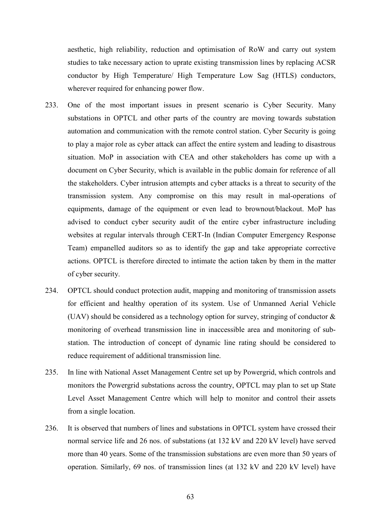aesthetic, high reliability, reduction and optimisation of RoW and carry out system studies to take necessary action to uprate existing transmission lines by replacing ACSR conductor by High Temperature/ High Temperature Low Sag (HTLS) conductors, wherever required for enhancing power flow.

- 233. One of the most important issues in present scenario is Cyber Security. Many substations in OPTCL and other parts of the country are moving towards substation automation and communication with the remote control station. Cyber Security is going to play a major role as cyber attack can affect the entire system and leading to disastrous situation. MoP in association with CEA and other stakeholders has come up with a document on Cyber Security, which is available in the public domain for reference of all the stakeholders. Cyber intrusion attempts and cyber attacks is a threat to security of the transmission system. Any compromise on this may result in mal-operations of equipments, damage of the equipment or even lead to brownout/blackout. MoP has advised to conduct cyber security audit of the entire cyber infrastructure including websites at regular intervals through CERT-In (Indian Computer Emergency Response Team) empanelled auditors so as to identify the gap and take appropriate corrective actions. OPTCL is therefore directed to intimate the action taken by them in the matter of cyber security.
- 234. OPTCL should conduct protection audit, mapping and monitoring of transmission assets for efficient and healthy operation of its system. Use of Unmanned Aerial Vehicle (UAV) should be considered as a technology option for survey, stringing of conductor & monitoring of overhead transmission line in inaccessible area and monitoring of substation. The introduction of concept of dynamic line rating should be considered to reduce requirement of additional transmission line.
- 235. In line with National Asset Management Centre set up by Powergrid, which controls and monitors the Powergrid substations across the country, OPTCL may plan to set up State Level Asset Management Centre which will help to monitor and control their assets from a single location.
- 236. It is observed that numbers of lines and substations in OPTCL system have crossed their normal service life and 26 nos. of substations (at 132 kV and 220 kV level) have served more than 40 years. Some of the transmission substations are even more than 50 years of operation. Similarly, 69 nos. of transmission lines (at 132 kV and 220 kV level) have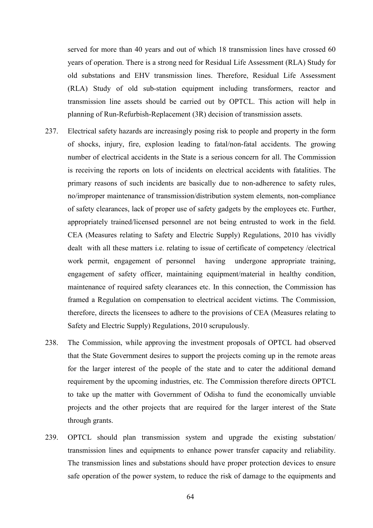served for more than 40 years and out of which 18 transmission lines have crossed 60 years of operation. There is a strong need for Residual Life Assessment (RLA) Study for old substations and EHV transmission lines. Therefore, Residual Life Assessment (RLA) Study of old sub-station equipment including transformers, reactor and transmission line assets should be carried out by OPTCL. This action will help in planning of Run-Refurbish-Replacement (3R) decision of transmission assets.

- 237. Electrical safety hazards are increasingly posing risk to people and property in the form of shocks, injury, fire, explosion leading to fatal/non-fatal accidents. The growing number of electrical accidents in the State is a serious concern for all. The Commission is receiving the reports on lots of incidents on electrical accidents with fatalities. The primary reasons of such incidents are basically due to non-adherence to safety rules, no/improper maintenance of transmission/distribution system elements, non-compliance of safety clearances, lack of proper use of safety gadgets by the employees etc. Further, appropriately trained/licensed personnel are not being entrusted to work in the field. CEA (Measures relating to Safety and Electric Supply) Regulations, 2010 has vividly dealt with all these matters i.e. relating to issue of certificate of competency /electrical work permit, engagement of personnel having undergone appropriate training, engagement of safety officer, maintaining equipment/material in healthy condition, maintenance of required safety clearances etc. In this connection, the Commission has framed a Regulation on compensation to electrical accident victims. The Commission, therefore, directs the licensees to adhere to the provisions of CEA (Measures relating to Safety and Electric Supply) Regulations, 2010 scrupulously.
- 238. The Commission, while approving the investment proposals of OPTCL had observed that the State Government desires to support the projects coming up in the remote areas for the larger interest of the people of the state and to cater the additional demand requirement by the upcoming industries, etc. The Commission therefore directs OPTCL to take up the matter with Government of Odisha to fund the economically unviable projects and the other projects that are required for the larger interest of the State through grants.
- 239. OPTCL should plan transmission system and upgrade the existing substation/ transmission lines and equipments to enhance power transfer capacity and reliability. The transmission lines and substations should have proper protection devices to ensure safe operation of the power system, to reduce the risk of damage to the equipments and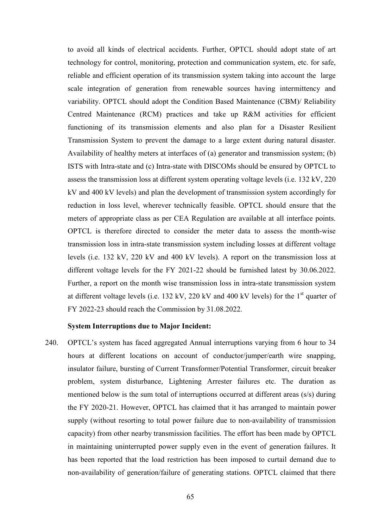to avoid all kinds of electrical accidents. Further, OPTCL should adopt state of art technology for control, monitoring, protection and communication system, etc. for safe, reliable and efficient operation of its transmission system taking into account the large scale integration of generation from renewable sources having intermittency and variability. OPTCL should adopt the Condition Based Maintenance (CBM)/ Reliability Centred Maintenance (RCM) practices and take up R&M activities for efficient functioning of its transmission elements and also plan for a Disaster Resilient Transmission System to prevent the damage to a large extent during natural disaster. Availability of healthy meters at interfaces of (a) generator and transmission system; (b) ISTS with Intra-state and (c) Intra-state with DISCOMs should be ensured by OPTCL to assess the transmission loss at different system operating voltage levels (i.e. 132 kV, 220 kV and 400 kV levels) and plan the development of transmission system accordingly for reduction in loss level, wherever technically feasible. OPTCL should ensure that the meters of appropriate class as per CEA Regulation are available at all interface points. OPTCL is therefore directed to consider the meter data to assess the month-wise transmission loss in intra-state transmission system including losses at different voltage levels (i.e. 132 kV, 220 kV and 400 kV levels). A report on the transmission loss at different voltage levels for the FY 2021-22 should be furnished latest by 30.06.2022. Further, a report on the month wise transmission loss in intra-state transmission system at different voltage levels (i.e. 132 kV, 220 kV and 400 kV levels) for the  $1<sup>st</sup>$  quarter of FY 2022-23 should reach the Commission by 31.08.2022.

#### **System Interruptions due to Major Incident:**

240. OPTCL's system has faced aggregated Annual interruptions varying from 6 hour to 34 hours at different locations on account of conductor/jumper/earth wire snapping, insulator failure, bursting of Current Transformer/Potential Transformer, circuit breaker problem, system disturbance, Lightening Arrester failures etc. The duration as mentioned below is the sum total of interruptions occurred at different areas (s/s) during the FY 2020-21. However, OPTCL has claimed that it has arranged to maintain power supply (without resorting to total power failure due to non-availability of transmission capacity) from other nearby transmission facilities. The effort has been made by OPTCL in maintaining uninterrupted power supply even in the event of generation failures. It has been reported that the load restriction has been imposed to curtail demand due to non-availability of generation/failure of generating stations. OPTCL claimed that there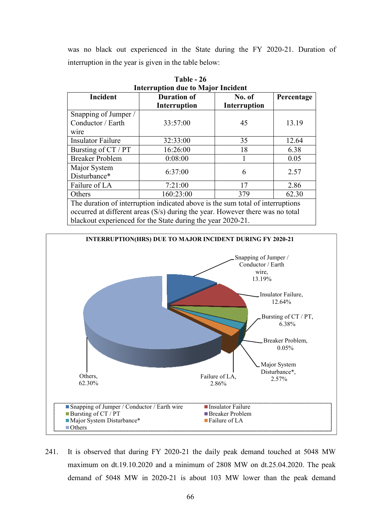was no black out experienced in the State during the FY 2020-21. Duration of interruption in the year is given in the table below:

| INTERTUPLION QUE TO MAJOR INCIDENT                                             |                     |                     |            |  |  |
|--------------------------------------------------------------------------------|---------------------|---------------------|------------|--|--|
| Incident                                                                       | <b>Duration of</b>  | No. of              | Percentage |  |  |
|                                                                                | <b>Interruption</b> | <b>Interruption</b> |            |  |  |
| Snapping of Jumper /                                                           |                     |                     |            |  |  |
| Conductor / Earth                                                              | 33:57:00            | 45                  | 13.19      |  |  |
| wire                                                                           |                     |                     |            |  |  |
| <b>Insulator Failure</b>                                                       | 32:33:00            | 35                  | 12.64      |  |  |
| Bursting of CT / PT                                                            | 16:26:00            | 18                  | 6.38       |  |  |
| <b>Breaker Problem</b>                                                         | 0:08:00             |                     | 0.05       |  |  |
| Major System                                                                   |                     |                     |            |  |  |
| Disturbance*                                                                   | 6:37:00             | 6                   | 2.57       |  |  |
| Failure of LA                                                                  | 7:21:00             | 17                  | 2.86       |  |  |
| Others                                                                         | 160:23:00           | 379                 | 62.30      |  |  |
| The duration of interruption indicated above is the sum total of interruptions |                     |                     |            |  |  |
| occurred at different areas (S/s) during the year. However there was no total  |                     |                     |            |  |  |

**Interruption due to Major Incident Table - 26** 

blackout experienced for the State during the year 2020-21.



241. It is observed that during FY 2020-21 the daily peak demand touched at 5048 MW maximum on dt.19.10.2020 and a minimum of 2808 MW on dt.25.04.2020. The peak demand of 5048 MW in 2020-21 is about 103 MW lower than the peak demand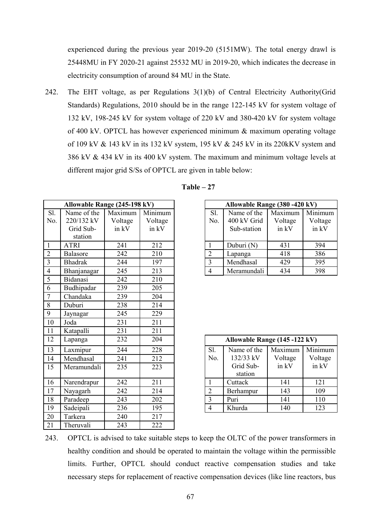experienced during the previous year 2019-20 (5151MW). The total energy drawl is 25448MU in FY 2020-21 against 25532 MU in 2019-20, which indicates the decrease in electricity consumption of around 84 MU in the State.

242. The EHT voltage, as per Regulations 3(1)(b) of Central Electricity Authority(Grid Standards) Regulations, 2010 should be in the range 122-145 kV for system voltage of 132 kV, 198-245 kV for system voltage of 220 kV and 380-420 kV for system voltage of 400 kV. OPTCL has however experienced minimum & maximum operating voltage of 109 kV & 143 kV in its 132 kV system, 195 kV & 245 kV in its 220kKV system and 386 kV & 434 kV in its 400 kV system. The maximum and minimum voltage levels at different major grid S/Ss of OPTCL are given in table below:

|                | Allowable Range (245-198 kV) |         |         |                         | Allowable Range (380 - 420 kV) |         |       |
|----------------|------------------------------|---------|---------|-------------------------|--------------------------------|---------|-------|
| Sl.            | Name of the                  | Maximum | Minimum | Sl.                     | Name of the                    | Maximum | Minim |
| No.            | 220/132 kV                   | Voltage | Voltage | No.                     | 400 kV Grid                    | Voltage | Volta |
|                | Grid Sub-                    | in kV   | in kV   |                         | Sub-station                    | in kV   | in k  |
|                | station                      |         |         |                         |                                |         |       |
| $\mathbf{1}$   | <b>ATRI</b>                  | 241     | 212     | $\mathbf{1}$            | Duburi (N)                     | 431     | 394   |
| $\overline{2}$ | Balasore                     | 242     | 210     | $\overline{2}$          | Lapanga                        | 418     | 386   |
| $\overline{3}$ | <b>Bhadrak</b>               | 244     | 197     | $\overline{\mathbf{3}}$ | Mendhasal                      | 429     | 395   |
| $\overline{4}$ | Bhanjanagar                  | 245     | 213     | $\overline{4}$          | Meramundali                    | 434     | 398   |
| $\overline{5}$ | Bidanasi                     | 242     | 210     |                         |                                |         |       |
| 6              | Budhipadar                   | 239     | 205     |                         |                                |         |       |
| $\overline{7}$ | Chandaka                     | 239     | 204     |                         |                                |         |       |
| $\,8\,$        | Duburi                       | 238     | 214     |                         |                                |         |       |
| $\overline{9}$ | Jaynagar                     | 245     | 229     |                         |                                |         |       |
| 10             | Joda                         | 231     | 211     |                         |                                |         |       |
| 11             | Katapalli                    | 231     | 211     |                         |                                |         |       |
| 12             | Lapanga                      | 232     | 204     |                         | Allowable Range (145 -122 kV)  |         |       |
| 13             | Laxmipur                     | 244     | 228     | Sl.                     | Name of the                    | Maximum | Minim |
| 14             | Mendhasal                    | 241     | 212     | No.                     | 132/33 kV                      | Voltage | Volta |
| 15             | Meramundali                  | 235     | 223     |                         | Grid Sub-<br>station           | in kV   | in k  |
| 16             | Narendrapur                  | 242     | 211     | $\mathbf{1}$            | Cuttack                        | 141     | 121   |
| 17             | Nayagarh                     | 242     | 214     | $\overline{2}$          | Berhampur                      | 143     | 109   |
| 18             | Paradeep                     | 243     | 202     | $\mathfrak{Z}$          | Puri                           | 141     | 110   |
| 19             | Sadeipali                    | 236     | 195     | $\overline{4}$          | Khurda                         | 140     | 123   |
| 20             | Tarkera                      | 240     | 217     |                         |                                |         |       |
| 21             | Theruvali                    | 243     | 222     |                         |                                |         |       |
|                |                              |         |         |                         |                                |         |       |

| Table |  |
|-------|--|
|-------|--|

|     | Allowable Range (380 - 420 kV) |         |         |  |  |  |
|-----|--------------------------------|---------|---------|--|--|--|
| Sl. | Name of the                    | Maximum | Minimum |  |  |  |
| No. | 400 kV Grid                    | Voltage | Voltage |  |  |  |
|     | Sub-station                    | in kV   | in kV   |  |  |  |
|     |                                |         |         |  |  |  |
|     | Duburi (N)                     | 431     | 394     |  |  |  |
| 2   | Lapanga                        | 418     | 386     |  |  |  |
| 3   | Mendhasal                      | 429     | 395     |  |  |  |
|     | Meramundali                    | 434     | 398     |  |  |  |

|             | Allowable Range (145 -122 kV) |         |         |  |  |  |
|-------------|-------------------------------|---------|---------|--|--|--|
| Sl.         | Name of the                   | Maximum | Minimum |  |  |  |
| No.         | 132/33 kV                     | Voltage | Voltage |  |  |  |
|             | Grid Sub-                     | in kV   | in kV   |  |  |  |
|             | station                       |         |         |  |  |  |
|             | Cuttack                       | 141     | 121     |  |  |  |
| 2           | Berhampur                     | 143     | 109     |  |  |  |
| $\mathbf 3$ | Puri                          | 141     | 110     |  |  |  |
|             | Khurda                        | 140     | 123     |  |  |  |

243. OPTCL is advised to take suitable steps to keep the OLTC of the power transformers in healthy condition and should be operated to maintain the voltage within the permissible limits. Further, OPTCL should conduct reactive compensation studies and take necessary steps for replacement of reactive compensation devices (like line reactors, bus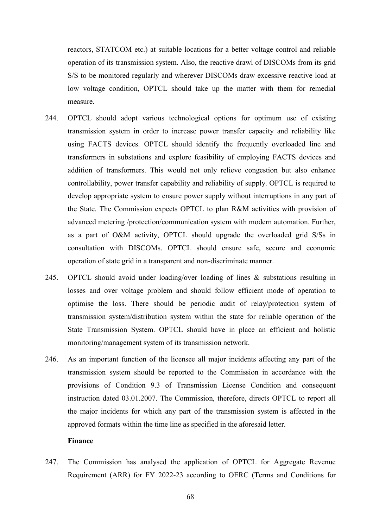reactors, STATCOM etc.) at suitable locations for a better voltage control and reliable operation of its transmission system. Also, the reactive drawl of DISCOMs from its grid S/S to be monitored regularly and wherever DISCOMs draw excessive reactive load at low voltage condition, OPTCL should take up the matter with them for remedial measure.

- 244. OPTCL should adopt various technological options for optimum use of existing transmission system in order to increase power transfer capacity and reliability like using FACTS devices. OPTCL should identify the frequently overloaded line and transformers in substations and explore feasibility of employing FACTS devices and addition of transformers. This would not only relieve congestion but also enhance controllability, power transfer capability and reliability of supply. OPTCL is required to develop appropriate system to ensure power supply without interruptions in any part of the State. The Commission expects OPTCL to plan R&M activities with provision of advanced metering /protection/communication system with modern automation. Further, as a part of O&M activity, OPTCL should upgrade the overloaded grid S/Ss in consultation with DISCOMs. OPTCL should ensure safe, secure and economic operation of state grid in a transparent and non-discriminate manner.
- 245. OPTCL should avoid under loading/over loading of lines & substations resulting in losses and over voltage problem and should follow efficient mode of operation to optimise the loss. There should be periodic audit of relay/protection system of transmission system/distribution system within the state for reliable operation of the State Transmission System. OPTCL should have in place an efficient and holistic monitoring/management system of its transmission network.
- 246. As an important function of the licensee all major incidents affecting any part of the transmission system should be reported to the Commission in accordance with the provisions of Condition 9.3 of Transmission License Condition and consequent instruction dated 03.01.2007. The Commission, therefore, directs OPTCL to report all the major incidents for which any part of the transmission system is affected in the approved formats within the time line as specified in the aforesaid letter.

#### **Finance**

247. The Commission has analysed the application of OPTCL for Aggregate Revenue Requirement (ARR) for FY 2022-23 according to OERC (Terms and Conditions for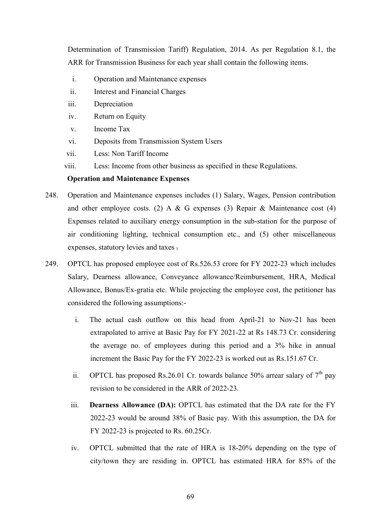Determination of Transmission Tariff) Regulation, 2014. As per Regulation 8.1, the ARR for Transmission Business for each year shall contain the following items.

- i. Operation and Maintenance expenses
- ii. Interest and Financial Charges
- iii. Depreciation
- iv. Return on Equity
- v. Income Tax
- vi. Deposits from Transmission System Users
- vii. Less: Non Tariff Income
- viii. Less: Income from other business as specified in these Regulations.

#### **Operation and Maintenance Expenses**

- 248. Operation and Maintenance expenses includes (1) Salary, Wages, Pension contribution and other employee costs. (2) A & G expenses (3) Repair & Maintenance cost (4) Expenses related to auxiliary energy consumption in the sub-station for the purpose of air conditioning lighting, technical consumption etc., and (5) other miscellaneous expenses, statutory levies and taxes .
- 249. OPTCL has proposed employee cost of Rs.526.53 crore for FY 2022-23 which includes Salary, Dearness allowance, Conveyance allowance/Reimbursement, HRA, Medical Allowance, Bonus/Ex-gratia etc. While projecting the employee cost, the petitioner has considered the following assumptions:
	- i. The actual cash outflow on this head from April-21 to Nov-21 has been extrapolated to arrive at Basic Pay for FY 2021-22 at Rs 148.73 Cr. considering the average no. of employees during this period and a 3% hike in annual increment the Basic Pay for the FY 2022-23 is worked out as Rs.151.67 Cr.
	- ii. OPTCL has proposed Rs.26.01 Cr. towards balance 50% arrear salary of  $7<sup>th</sup>$  pay revision to be considered in the ARR of 2022-23.
	- iii. **Dearness Allowance (DA):** OPTCL has estimated that the DA rate for the FY 2022-23 would be around 38% of Basic pay. With this assumption, the DA for FY 2022-23 is projected to Rs. 60.25Cr.
	- iv. OPTCL submitted that the rate of HRA is 18-20% depending on the type of city/town they are residing in. OPTCL has estimated HRA for 85% of the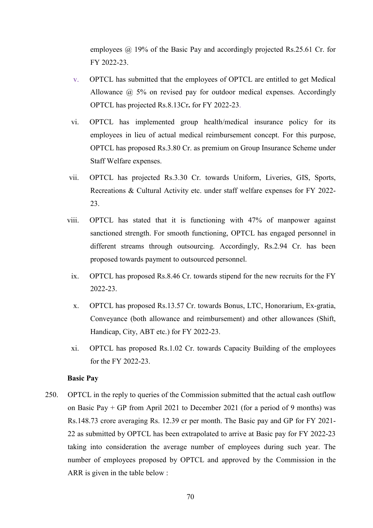employees @ 19% of the Basic Pay and accordingly projected Rs.25.61 Cr. for FY 2022-23.

- v. OPTCL has submitted that the employees of OPTCL are entitled to get Medical Allowance @ 5% on revised pay for outdoor medical expenses. Accordingly OPTCL has projected Rs.8.13Cr**.** for FY 2022-23.
- vi. OPTCL has implemented group health/medical insurance policy for its employees in lieu of actual medical reimbursement concept. For this purpose, OPTCL has proposed Rs.3.80 Cr. as premium on Group Insurance Scheme under Staff Welfare expenses.
- vii. OPTCL has projected Rs.3.30 Cr. towards Uniform, Liveries, GIS, Sports, Recreations & Cultural Activity etc. under staff welfare expenses for FY 2022- 23.
- viii. OPTCL has stated that it is functioning with 47% of manpower against sanctioned strength. For smooth functioning, OPTCL has engaged personnel in different streams through outsourcing. Accordingly, Rs.2.94 Cr. has been proposed towards payment to outsourced personnel.
- ix. OPTCL has proposed Rs.8.46 Cr. towards stipend for the new recruits for the FY 2022-23.
- x. OPTCL has proposed Rs.13.57 Cr. towards Bonus, LTC, Honorarium, Ex-gratia, Conveyance (both allowance and reimbursement) and other allowances (Shift, Handicap, City, ABT etc.) for FY 2022-23.
- xi. OPTCL has proposed Rs.1.02 Cr. towards Capacity Building of the employees for the FY 2022-23.

#### **Basic Pay**

250. OPTCL in the reply to queries of the Commission submitted that the actual cash outflow on Basic Pay + GP from April 2021 to December 2021 (for a period of 9 months) was Rs.148.73 crore averaging Rs. 12.39 cr per month. The Basic pay and GP for FY 2021- 22 as submitted by OPTCL has been extrapolated to arrive at Basic pay for FY 2022-23 taking into consideration the average number of employees during such year. The number of employees proposed by OPTCL and approved by the Commission in the ARR is given in the table below :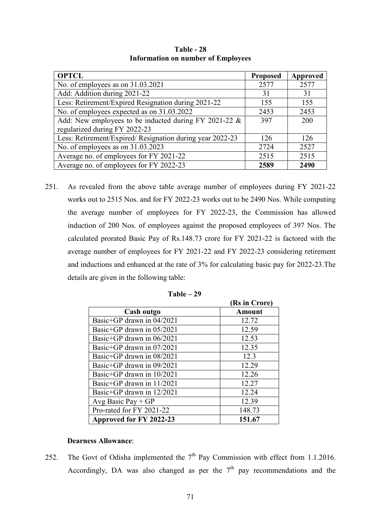| <b>OPTCL</b>                                              | <b>Proposed</b> | Approved   |
|-----------------------------------------------------------|-----------------|------------|
| No. of employees as on 31.03.2021                         | 2577            | 2577       |
| Add: Addition during 2021-22                              | 31              | 31         |
| Less: Retirement/Expired Resignation during 2021-22       | 155             | 155        |
| No. of employees expected as on 31.03.2022                | 2453            | 2453       |
| Add: New employees to be inducted during FY 2021-22 $\&$  | 397             | <b>200</b> |
| regularized during FY 2022-23                             |                 |            |
| Less: Retirement/Expired/ Resignation during year 2022-23 | 126             | 126        |
| No. of employees as on 31.03.2023                         | 2724            | 2527       |
| Average no. of employees for FY 2021-22                   | 2515            | 2515       |
| Average no. of employees for FY 2022-23                   | 2589            | 2490       |

**Table - 28 Information on number of Employees** 

251. As revealed from the above table average number of employees during FY 2021-22 works out to 2515 Nos. and for FY 2022-23 works out to be 2490 Nos. While computing the average number of employees for FY 2022-23, the Commission has allowed induction of 200 Nos. of employees against the proposed employees of 397 Nos. The calculated prorated Basic Pay of Rs.148.73 crore for FY 2021-22 is factored with the average number of employees for FY 2021-22 and FY 2022-23 considering retirement and inductions and enhanced at the rate of 3% for calculating basic pay for 2022-23.The details are given in the following table:

|                           | (Rs in Crore) |
|---------------------------|---------------|
| Cash outgo                | <b>Amount</b> |
| Basic+GP drawn in 04/2021 | 12.72         |
| Basic+GP drawn in 05/2021 | 12.59         |
| Basic+GP drawn in 06/2021 | 12.53         |
| Basic+GP drawn in 07/2021 | 12.35         |
| Basic+GP drawn in 08/2021 | 12.3          |
| Basic+GP drawn in 09/2021 | 12.29         |
| Basic+GP drawn in 10/2021 | 12.26         |
| Basic+GP drawn in 11/2021 | 12.27         |
| Basic+GP drawn in 12/2021 | 12.24         |
| Avg Basic Pay $+GP$       | 12.39         |
| Pro-rated for FY 2021-22  | 148.73        |
| Approved for FY 2022-23   | 151.67        |

| Table – | $-29$ |
|---------|-------|
|---------|-------|

### **Dearness Allowance**:

252. The Govt of Odisha implemented the  $7<sup>th</sup>$  Pay Commission with effect from 1.1.2016. Accordingly, DA was also changed as per the  $7<sup>th</sup>$  pay recommendations and the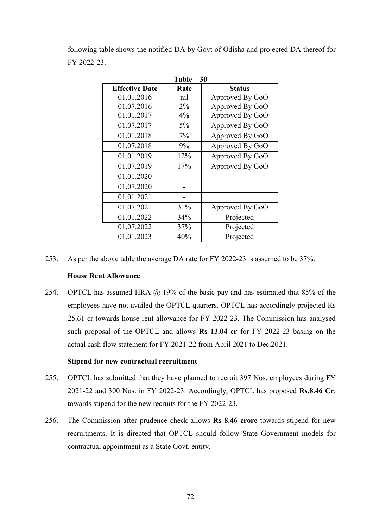following table shows the notified DA by Govt of Odisha and projected DA thereof for FY 2022-23.

**Table – 30** 

| 1 able – 30           |       |                 |  |  |  |
|-----------------------|-------|-----------------|--|--|--|
| <b>Effective Date</b> | Rate  | <b>Status</b>   |  |  |  |
| 01.01.2016            | nil   | Approved By GoO |  |  |  |
| 01.07.2016            | $2\%$ | Approved By GoO |  |  |  |
| 01.01.2017            | 4%    | Approved By GoO |  |  |  |
| 01.07.2017            | 5%    | Approved By GoO |  |  |  |
| 01.01.2018            | 7%    | Approved By GoO |  |  |  |
| 01.07.2018            | 9%    | Approved By GoO |  |  |  |
| 01.01.2019            | 12%   | Approved By GoO |  |  |  |
| 01.07.2019            | 17%   | Approved By GoO |  |  |  |
| 01.01.2020            |       |                 |  |  |  |
| 01.07.2020            |       |                 |  |  |  |
| 01.01.2021            |       |                 |  |  |  |
| 01.07.2021            | 31%   | Approved By GoO |  |  |  |
| 01.01.2022            | 34%   | Projected       |  |  |  |
| 01.07.2022            | 37%   | Projected       |  |  |  |
| 01.01.2023            | 40%   | Projected       |  |  |  |

253. As per the above table the average DA rate for FY 2022-23 is assumed to be 37%.

## **House Rent Allowance**

254. OPTCL has assumed HRA @ 19% of the basic pay and has estimated that 85% of the employees have not availed the OPTCL quarters. OPTCL has accordingly projected Rs 25.61 cr towards house rent allowance for FY 2022-23. The Commission has analysed such proposal of the OPTCL and allows **Rs 13.04 cr** for FY 2022-23 basing on the actual cash flow statement for FY 2021-22 from April 2021 to Dec.2021.

#### **Stipend for new contractual recruitment**

- 255. OPTCL has submitted that they have planned to recruit 397 Nos. employees during FY 2021-22 and 300 Nos. in FY 2022-23. Accordingly, OPTCL has proposed **Rs.8.46 Cr**. towards stipend for the new recruits for the FY 2022-23.
- 256. The Commission after prudence check allows **Rs 8.46 crore** towards stipend for new recruitments. It is directed that OPTCL should follow State Government models for contractual appointment as a State Govt. entity.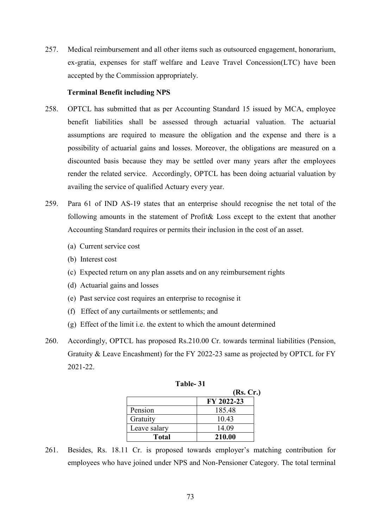257. Medical reimbursement and all other items such as outsourced engagement, honorarium, ex-gratia, expenses for staff welfare and Leave Travel Concession(LTC) have been accepted by the Commission appropriately.

### **Terminal Benefit including NPS**

- 258. OPTCL has submitted that as per Accounting Standard 15 issued by MCA, employee benefit liabilities shall be assessed through actuarial valuation. The actuarial assumptions are required to measure the obligation and the expense and there is a possibility of actuarial gains and losses. Moreover, the obligations are measured on a discounted basis because they may be settled over many years after the employees render the related service. Accordingly, OPTCL has been doing actuarial valuation by availing the service of qualified Actuary every year.
- 259. Para 61 of IND AS-19 states that an enterprise should recognise the net total of the following amounts in the statement of Profit& Loss except to the extent that another Accounting Standard requires or permits their inclusion in the cost of an asset.
	- (a) Current service cost
	- (b) Interest cost
	- (c) Expected return on any plan assets and on any reimbursement rights
	- (d) Actuarial gains and losses
	- (e) Past service cost requires an enterprise to recognise it
	- (f) Effect of any curtailments or settlements; and
	- (g) Effect of the limit i.e. the extent to which the amount determined
- 260. Accordingly, OPTCL has proposed Rs.210.00 Cr. towards terminal liabilities (Pension, Gratuity & Leave Encashment) for the FY 2022-23 same as projected by OPTCL for FY 2021-22.

|              | (Rs, Cr.)  |
|--------------|------------|
|              | FY 2022-23 |
| Pension      | 185.48     |
| Gratuity     | 10.43      |
| Leave salary | 14.09      |
| <b>Total</b> | 210.00     |

**Table- 31** 

261. Besides, Rs. 18.11 Cr. is proposed towards employer's matching contribution for employees who have joined under NPS and Non-Pensioner Category. The total terminal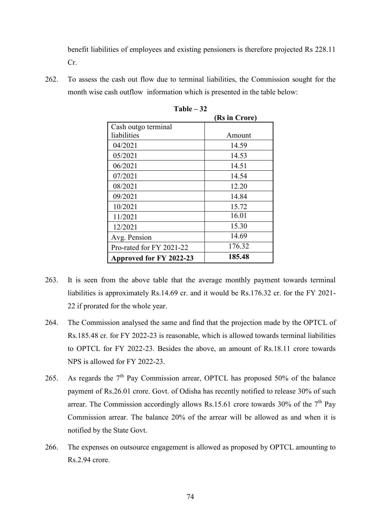benefit liabilities of employees and existing pensioners is therefore projected Rs 228.11 Cr.

262. To assess the cash out flow due to terminal liabilities, the Commission sought for the month wise cash outflow information which is presented in the table below:

|                          | (Rs in Crore) |
|--------------------------|---------------|
| Cash outgo terminal      |               |
| liabilities              | Amount        |
| 04/2021                  | 14.59         |
| 05/2021                  | 14.53         |
| 06/2021                  | 14.51         |
| 07/2021                  | 14.54         |
| 08/2021                  | 12.20         |
| 09/2021                  | 14.84         |
| 10/2021                  | 15.72         |
| 11/2021                  | 16.01         |
| 12/2021                  | 15.30         |
| Avg. Pension             | 14.69         |
| Pro-rated for FY 2021-22 | 176.32        |
| Approved for FY 2022-23  | 185.48        |

**Table – 32** 

- 263. It is seen from the above table that the average monthly payment towards terminal liabilities is approximately Rs.14.69 cr. and it would be Rs.176.32 cr. for the FY 2021- 22 if prorated for the whole year.
- 264. The Commission analysed the same and find that the projection made by the OPTCL of Rs.185.48 cr. for FY 2022-23 is reasonable, which is allowed towards terminal liabilities to OPTCL for FY 2022-23. Besides the above, an amount of Rs.18.11 crore towards NPS is allowed for FY 2022-23.
- 265. As regards the  $7<sup>th</sup>$  Pay Commission arrear, OPTCL has proposed 50% of the balance payment of Rs.26.01 crore. Govt. of Odisha has recently notified to release 30% of such arrear. The Commission accordingly allows Rs.15.61 crore towards  $30\%$  of the  $7<sup>th</sup>$  Pay Commission arrear. The balance 20% of the arrear will be allowed as and when it is notified by the State Govt.
- 266. The expenses on outsource engagement is allowed as proposed by OPTCL amounting to Rs.2.94 crore.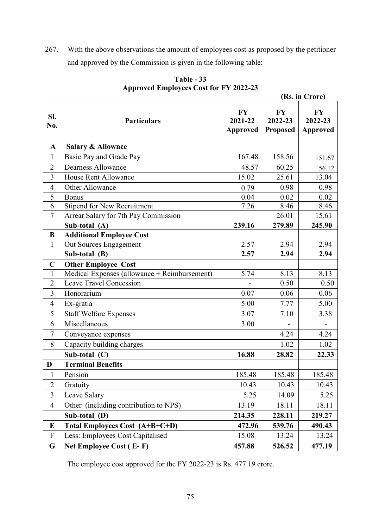267. With the above observations the amount of employees cost as proposed by the petitioner and approved by the Commission is given in the following table:

|                |                                              |                                  |                                         | (Rs. in Crore)                          |  |  |
|----------------|----------------------------------------------|----------------------------------|-----------------------------------------|-----------------------------------------|--|--|
| SI.<br>No.     | <b>Particulars</b>                           | FY<br>2021-22<br><b>Approved</b> | <b>FY</b><br>2022-23<br><b>Proposed</b> | <b>FY</b><br>2022-23<br><b>Approved</b> |  |  |
| $\mathbf{A}$   | <b>Salary &amp; Allownce</b>                 |                                  |                                         |                                         |  |  |
| $\mathbf{1}$   | Basic Pay and Grade Pay                      | 167.48                           | 158.56                                  | 151.67                                  |  |  |
| $\overline{2}$ | <b>Dearness Allowance</b>                    | 48.57                            | 60.25                                   | 56.12                                   |  |  |
| 3              | <b>House Rent Allowance</b>                  | 15.02                            | 25.61                                   | 13.04                                   |  |  |
| $\overline{4}$ | Other Allowance                              | 0.79                             | 0.98                                    | 0.98                                    |  |  |
| 5              | <b>Bonus</b>                                 | 0.04                             | 0.02                                    | 0.02                                    |  |  |
| 6              | <b>Stipend for New Recruitment</b>           | 7.26                             | 8.46                                    | 8.46                                    |  |  |
| $\tau$         | Arrear Salary for 7th Pay Commission         |                                  | 26.01                                   | 15.61                                   |  |  |
|                | Sub-total (A)                                | 239.16                           | 279.89                                  | 245.90                                  |  |  |
| B              | <b>Additional Employee Cost</b>              |                                  |                                         |                                         |  |  |
| $\mathbf{1}$   | Out Sources Engagement                       | 2.57                             | 2.94                                    | 2.94                                    |  |  |
|                | Sub-total (B)                                | 2.57                             | 2.94                                    | 2.94                                    |  |  |
| $\mathbf C$    | <b>Other Employee Cost</b>                   |                                  |                                         |                                         |  |  |
| $\mathbf{1}$   | Medical Expenses (allowance + Reimbursement) | 5.74                             | 8.13                                    | 8.13                                    |  |  |
| $\overline{2}$ | <b>Leave Travel Concession</b>               |                                  | 0.50                                    | 0.50                                    |  |  |
| 3              | Honorarium                                   | 0.07                             | 0.06                                    | 0.06                                    |  |  |
| $\overline{4}$ | Ex-gratia                                    | 5.00                             | 7.77                                    | 5.00                                    |  |  |
| 5              | <b>Staff Welfare Expenses</b>                | 3.07                             | 7.10                                    | 3.38                                    |  |  |
| 6              | Miscellaneous                                | 3.00                             |                                         | $\overline{\phantom{a}}$                |  |  |
| $\tau$         | Conveyance expenses                          |                                  | 4.24                                    | 4.24                                    |  |  |
| 8              | Capacity building charges                    |                                  | 1.02                                    | 1.02                                    |  |  |
|                | Sub-total (C)                                | 16.88                            | 28.82                                   | 22.33                                   |  |  |
| D              | <b>Terminal Benefits</b>                     |                                  |                                         |                                         |  |  |
| 1              | Pension                                      | 185.48                           | 185.48                                  | 185.48                                  |  |  |
| $\overline{2}$ | Gratuity                                     | 10.43                            | 10.43                                   | 10.43                                   |  |  |
| 3              | Leave Salary                                 | 5.25                             | 14.09                                   | 5.25                                    |  |  |
| $\overline{4}$ | Other (including contribution to NPS)        | 13.19                            | 18.11                                   | 18.11                                   |  |  |
|                | Sub-total (D)                                | 214.35                           | 228.11                                  | 219.27                                  |  |  |
| E              | Total Employees Cost (A+B+C+D)               | 472.96                           | 539.76                                  | 490.43                                  |  |  |
| ${\bf F}$      | Less: Employees Cost Capitalised             | 15.08                            | 13.24                                   | 13.24                                   |  |  |
| G              | Net Employee Cost (E-F)                      | 457.88                           | 526.52                                  | 477.19                                  |  |  |

**Table - 33 Approved Employees Cost for FY 2022-23** 

The employee cost approved for the FY 2022-23 is Rs. 477.19 crore.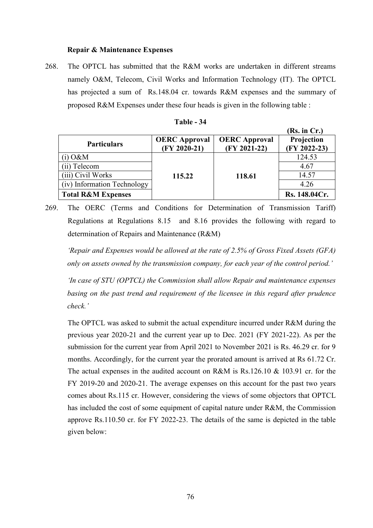# **Repair & Maintenance Expenses**

268. The OPTCL has submitted that the R&M works are undertaken in different streams namely O&M, Telecom, Civil Works and Information Technology (IT). The OPTCL has projected a sum of Rs.148.04 cr. towards R&M expenses and the summary of proposed R&M Expenses under these four heads is given in the following table :

| <b>Table - 34</b> |  |
|-------------------|--|
|-------------------|--|

|                               |                                        |                                        | (Rs. in Cr.)               |
|-------------------------------|----------------------------------------|----------------------------------------|----------------------------|
| <b>Particulars</b>            | <b>OERC</b> Approval<br>$(FY 2020-21)$ | <b>OERC</b> Approval<br>$(FY 2021-22)$ | Projection<br>(FY 2022-23) |
| (i) $0\&M$                    |                                        |                                        | 124.53                     |
| (ii) Telecom                  |                                        |                                        | 4.67                       |
| (iii) Civil Works             | 115.22                                 | 118.61                                 | 14.57                      |
| (iv) Information Technology   |                                        |                                        | 4.26                       |
| <b>Total R&amp;M Expenses</b> |                                        |                                        | Rs. 148.04Cr.              |

<sup>269.</sup> The OERC (Terms and Conditions for Determination of Transmission Tariff) Regulations at Regulations 8.15 and 8.16 provides the following with regard to determination of Repairs and Maintenance (R&M)

*'Repair and Expenses would be allowed at the rate of 2.5% of Gross Fixed Assets (GFA) only on assets owned by the transmission company, for each year of the control period.'* 

*'In case of STU (OPTCL) the Commission shall allow Repair and maintenance expenses basing on the past trend and requirement of the licensee in this regard after prudence check.'*

The OPTCL was asked to submit the actual expenditure incurred under R&M during the previous year 2020-21 and the current year up to Dec. 2021 (FY 2021-22). As per the submission for the current year from April 2021 to November 2021 is Rs. 46.29 cr. for 9 months. Accordingly, for the current year the prorated amount is arrived at Rs 61.72 Cr. The actual expenses in the audited account on  $R\&M$  is Rs.126.10  $\&$  103.91 cr. for the FY 2019-20 and 2020-21. The average expenses on this account for the past two years comes about Rs.115 cr. However, considering the views of some objectors that OPTCL has included the cost of some equipment of capital nature under R&M, the Commission approve Rs.110.50 cr. for FY 2022-23. The details of the same is depicted in the table given below: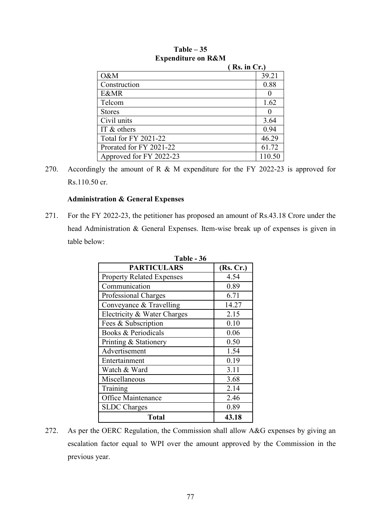|                             | (Rs. in Cr.) |  |
|-----------------------------|--------------|--|
| O&M                         | 39.21        |  |
| Construction                | 0.88         |  |
| <b>E&amp;MR</b>             |              |  |
| Telcom                      | 1.62         |  |
| <b>Stores</b>               |              |  |
| Civil units                 | 3.64         |  |
| IT $&$ others               | 0.94         |  |
| <b>Total for FY 2021-22</b> | 46.29        |  |
| Prorated for FY 2021-22     | 61.72        |  |
| Approved for FY 2022-23     | 110.50       |  |

# **Table – 35 Expenditure on R&M**

270. Accordingly the amount of R & M expenditure for the FY 2022-23 is approved for Rs.110.50 cr.

# **Administration & General Expenses**

271. For the FY 2022-23, the petitioner has proposed an amount of Rs.43.18 Crore under the head Administration & General Expenses. Item-wise break up of expenses is given in table below:

| 1 avie – Jo                      |           |  |  |  |
|----------------------------------|-----------|--|--|--|
| <b>PARTICULARS</b>               | (Rs, Cr.) |  |  |  |
| <b>Property Related Expenses</b> | 4.54      |  |  |  |
| Communication                    | 0.89      |  |  |  |
| Professional Charges             | 6.71      |  |  |  |
| Conveyance & Travelling          | 14.27     |  |  |  |
| Electricity & Water Charges      | 2.15      |  |  |  |
| Fees & Subscription              | 0.10      |  |  |  |
| Books & Periodicals              | 0.06      |  |  |  |
| Printing & Stationery            | 0.50      |  |  |  |
| Advertisement                    | 1.54      |  |  |  |
| Entertainment                    | 0.19      |  |  |  |
| Watch & Ward                     | 3.11      |  |  |  |
| Miscellaneous                    | 3.68      |  |  |  |
| Training                         | 2.14      |  |  |  |
| Office Maintenance               | 2.46      |  |  |  |
| <b>SLDC</b> Charges              | 0.89      |  |  |  |
| <b>Total</b>                     | 43.18     |  |  |  |

**Table - 36** 

272. As per the OERC Regulation, the Commission shall allow A&G expenses by giving an escalation factor equal to WPI over the amount approved by the Commission in the previous year.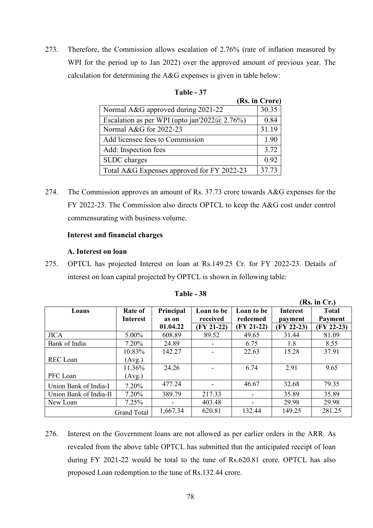273. Therefore, the Commission allows escalation of 2.76% (rate of inflation measured by WPI for the period up to Jan 2022) over the approved amount of previous year. The calculation for determining the A&G expenses is given in table below:

| Table |  |
|-------|--|
|-------|--|

|                                                   | (Rs. in Crore) |
|---------------------------------------------------|----------------|
| Normal A&G approved during 2021-22                | 30.35          |
| Escalation as per WPI (upto jan'2022 $(a)$ 2.76%) | 0.84           |
| Normal A&G for 2022-23                            | 31.19          |
| Add licensee fees to Commission                   | 1.90           |
| Add: Inspection fees                              | 3.72           |
| SLDC charges                                      | 0.92           |
| Total A&G Expenses approved for FY 2022-23        | 37.73          |

274. The Commission approves an amount of Rs. 37.73 crore towards A&G expenses for the FY 2022-23. The Commission also directs OPTCL to keep the A&G cost under control commensurating with business volume.

## **Interest and financial charges**

## **A. Interest on loan**

275. OPTCL has projected Interest on loan at Rs.149.25 Cr. for FY 2022-23. Details of interest on loan capital projected by OPTCL is shown in following table:

|                        |                    |           |              |              |                 | $Ks$ . In $Cr$ .) |
|------------------------|--------------------|-----------|--------------|--------------|-----------------|-------------------|
| Loans                  | <b>Rate of</b>     | Principal | Loan to be   | Loan to be   | <b>Interest</b> | <b>Total</b>      |
|                        | <b>Interest</b>    | as on     | received     | redeemed     | payment         | <b>Payment</b>    |
|                        |                    | 01.04.22  | $(FY 21-22)$ | $(FY 21-22)$ | $(FY 22-23)$    | $(FY 22-23)$      |
| <b>JICA</b>            | $5.00\%$           | 608.89    | 89.52        | 49.65        | 31.44           | 81.09             |
| Bank of India          | $7.20\%$           | 24.89     |              | 6.75         | 1.8             | 8.55              |
|                        | 10.83%             | 142.27    |              | 22.63        | 15.28           | 37.91             |
| REC Loan               | (Avg.)             |           |              |              |                 |                   |
|                        | 11.36%             | 24.26     |              | 6.74         | 2.91            | 9.65              |
| PFC Loan               | (Avg.)             |           |              |              |                 |                   |
| Union Bank of India-I  | 7.20%              | 477.24    |              | 46.67        | 32.68           | 79.35             |
| Union Bank of India-II | $7.20\%$           | 389.79    | 217.33       | -            | 35.89           | 35.89             |
| New Loan               | 7.25%              |           | 403.48       |              | 29.98           | 29.98             |
|                        | <b>Grand Total</b> | 1,667.34  | 620.81       | 132.44       | 149.25          | 281.25            |

| Table | - 38 |
|-------|------|
|-------|------|

 $(\mathbf{R} \cdot \mathbf{R})$ 

276. Interest on the Government loans are not allowed as per earlier orders in the ARR. As revealed from the above table OPTCL has submitted that the anticipated receipt of loan during FY 2021-22 would be total to the tune of Rs.620.81 crore. OPTCL has also proposed Loan redemption to the tune of Rs.132.44 crore.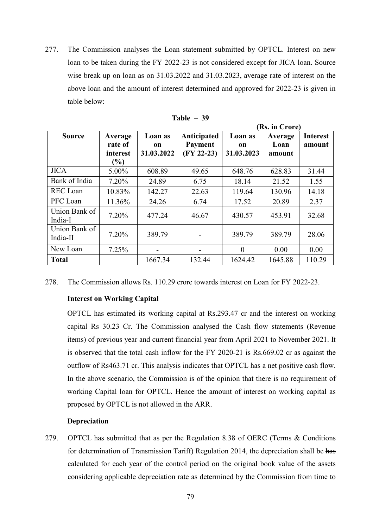277. The Commission analyses the Loan statement submitted by OPTCL. Interest on new loan to be taken during the FY 2022-23 is not considered except for JICA loan. Source wise break up on loan as on 31.03.2022 and 31.03.2023, average rate of interest on the above loan and the amount of interest determined and approved for 2022-23 is given in table below:

|                           |                                                                |                             | (Rs. in Crore)                                |                             |                           |                           |
|---------------------------|----------------------------------------------------------------|-----------------------------|-----------------------------------------------|-----------------------------|---------------------------|---------------------------|
| <b>Source</b>             | Average<br>rate of<br>interest<br>$\left( \frac{0}{0} \right)$ | Loan as<br>on<br>31.03.2022 | Anticipated<br><b>Payment</b><br>$(FY 22-23)$ | Loan as<br>on<br>31.03.2023 | Average<br>Loan<br>amount | <b>Interest</b><br>amount |
| <b>JICA</b>               | $5.00\%$                                                       | 608.89                      | 49.65                                         | 648.76                      | 628.83                    | 31.44                     |
| Bank of India             | $7.20\%$                                                       | 24.89                       | 6.75                                          | 18.14                       | 21.52                     | 1.55                      |
| <b>REC</b> Loan           | 10.83%                                                         | 142.27                      | 22.63                                         | 119.64                      | 130.96                    | 14.18                     |
| PFC Loan                  | 11.36%                                                         | 24.26                       | 6.74                                          | 17.52                       | 20.89                     | 2.37                      |
| Union Bank of<br>India-I  | 7.20%                                                          | 477.24                      | 46.67                                         | 430.57                      | 453.91                    | 32.68                     |
| Union Bank of<br>India-II | 7.20%                                                          | 389.79                      |                                               | 389.79                      | 389.79                    | 28.06                     |
| New Loan                  | 7.25%                                                          |                             |                                               | $\theta$                    | 0.00                      | 0.00                      |
| <b>Total</b>              |                                                                | 1667.34                     | 132.44                                        | 1624.42                     | 1645.88                   | 110.29                    |

| Table | 39 |
|-------|----|
|-------|----|

278. The Commission allows Rs. 110.29 crore towards interest on Loan for FY 2022-23.

# **Interest on Working Capital**

OPTCL has estimated its working capital at Rs.293.47 cr and the interest on working capital Rs 30.23 Cr. The Commission analysed the Cash flow statements (Revenue items) of previous year and current financial year from April 2021 to November 2021. It is observed that the total cash inflow for the FY 2020-21 is Rs.669.02 cr as against the outflow of Rs463.71 cr. This analysis indicates that OPTCL has a net positive cash flow. In the above scenario, the Commission is of the opinion that there is no requirement of working Capital loan for OPTCL. Hence the amount of interest on working capital as proposed by OPTCL is not allowed in the ARR.

#### **Depreciation**

279. OPTCL has submitted that as per the Regulation 8.38 of OERC (Terms & Conditions for determination of Transmission Tariff) Regulation 2014, the depreciation shall be has calculated for each year of the control period on the original book value of the assets considering applicable depreciation rate as determined by the Commission from time to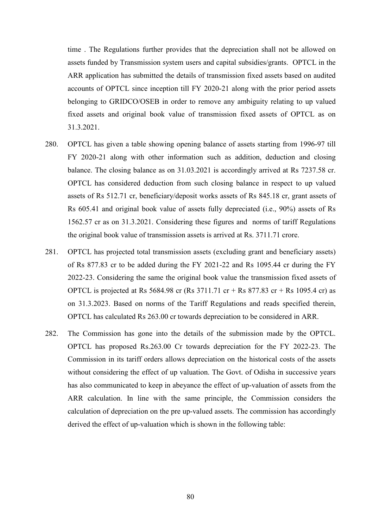time . The Regulations further provides that the depreciation shall not be allowed on assets funded by Transmission system users and capital subsidies/grants. OPTCL in the ARR application has submitted the details of transmission fixed assets based on audited accounts of OPTCL since inception till FY 2020-21 along with the prior period assets belonging to GRIDCO/OSEB in order to remove any ambiguity relating to up valued fixed assets and original book value of transmission fixed assets of OPTCL as on 31.3.2021.

- 280. OPTCL has given a table showing opening balance of assets starting from 1996-97 till FY 2020-21 along with other information such as addition, deduction and closing balance. The closing balance as on 31.03.2021 is accordingly arrived at Rs 7237.58 cr. OPTCL has considered deduction from such closing balance in respect to up valued assets of Rs 512.71 cr, beneficiary/deposit works assets of Rs 845.18 cr, grant assets of Rs 605.41 and original book value of assets fully depreciated (i.e., 90%) assets of Rs 1562.57 cr as on 31.3.2021. Considering these figures and norms of tariff Regulations the original book value of transmission assets is arrived at Rs. 3711.71 crore.
- 281. OPTCL has projected total transmission assets (excluding grant and beneficiary assets) of Rs 877.83 cr to be added during the FY 2021-22 and Rs 1095.44 cr during the FY 2022-23. Considering the same the original book value the transmission fixed assets of OPTCL is projected at Rs 5684.98 cr (Rs 3711.71 cr + Rs 877.83 cr + Rs 1095.4 cr) as on 31.3.2023. Based on norms of the Tariff Regulations and reads specified therein, OPTCL has calculated Rs 263.00 cr towards depreciation to be considered in ARR.
- 282. The Commission has gone into the details of the submission made by the OPTCL. OPTCL has proposed Rs.263.00 Cr towards depreciation for the FY 2022-23. The Commission in its tariff orders allows depreciation on the historical costs of the assets without considering the effect of up valuation. The Govt. of Odisha in successive years has also communicated to keep in abeyance the effect of up-valuation of assets from the ARR calculation. In line with the same principle, the Commission considers the calculation of depreciation on the pre up-valued assets. The commission has accordingly derived the effect of up-valuation which is shown in the following table: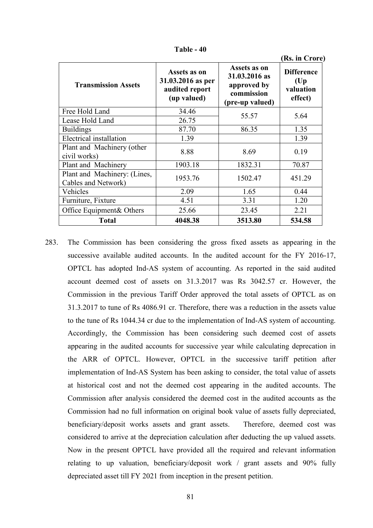|                                                     |                                                                    |                                                                               | (Rs. in Crore)                                    |  |
|-----------------------------------------------------|--------------------------------------------------------------------|-------------------------------------------------------------------------------|---------------------------------------------------|--|
| <b>Transmission Assets</b>                          | Assets as on<br>31.03.2016 as per<br>audited report<br>(up valued) | Assets as on<br>31.03.2016 as<br>approved by<br>commission<br>(pre-up valued) | <b>Difference</b><br>(Up)<br>valuation<br>effect) |  |
| Free Hold Land                                      | 34.46                                                              | 55.57                                                                         | 5.64                                              |  |
| Lease Hold Land                                     | 26.75                                                              |                                                                               |                                                   |  |
| <b>Buildings</b>                                    | 87.70                                                              | 86.35                                                                         | 1.35                                              |  |
| Electrical installation                             | 1.39                                                               |                                                                               | 1.39                                              |  |
| Plant and Machinery (other<br>civil works)          | 8.88                                                               | 8.69                                                                          | 0.19                                              |  |
| Plant and Machinery                                 | 1903.18                                                            | 1832.31                                                                       | 70.87                                             |  |
| Plant and Machinery: (Lines,<br>Cables and Network) | 1953.76                                                            | 1502.47                                                                       | 451.29                                            |  |
| Vehicles                                            | 2.09                                                               | 1.65                                                                          | 0.44                                              |  |
| Furniture, Fixture                                  | 4.51                                                               | 3.31                                                                          | 1.20                                              |  |
| Office Equipment& Others                            | 25.66                                                              | 23.45                                                                         | 2.21                                              |  |
| <b>Total</b>                                        | 4048.38                                                            | 3513.80                                                                       | 534.58                                            |  |

**Table - 40** 

283. The Commission has been considering the gross fixed assets as appearing in the successive available audited accounts. In the audited account for the FY 2016-17, OPTCL has adopted Ind-AS system of accounting. As reported in the said audited account deemed cost of assets on 31.3.2017 was Rs 3042.57 cr. However, the Commission in the previous Tariff Order approved the total assets of OPTCL as on 31.3.2017 to tune of Rs 4086.91 cr. Therefore, there was a reduction in the assets value to the tune of Rs 1044.34 cr due to the implementation of Ind-AS system of accounting. Accordingly, the Commission has been considering such deemed cost of assets appearing in the audited accounts for successive year while calculating deprecation in the ARR of OPTCL. However, OPTCL in the successive tariff petition after implementation of Ind-AS System has been asking to consider, the total value of assets at historical cost and not the deemed cost appearing in the audited accounts. The Commission after analysis considered the deemed cost in the audited accounts as the Commission had no full information on original book value of assets fully depreciated, beneficiary/deposit works assets and grant assets. Therefore, deemed cost was considered to arrive at the depreciation calculation after deducting the up valued assets. Now in the present OPTCL have provided all the required and relevant information relating to up valuation, beneficiary/deposit work / grant assets and 90% fully depreciated asset till FY 2021 from inception in the present petition.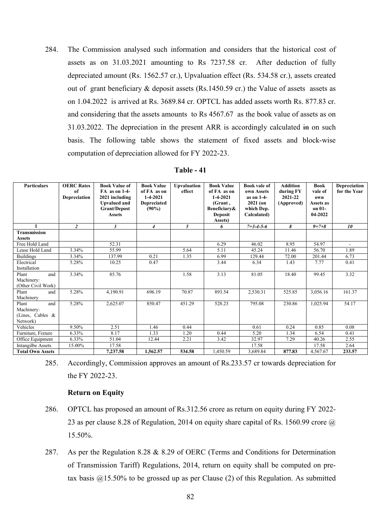284. The Commission analysed such information and considers that the historical cost of assets as on 31.03.2021 amounting to Rs 7237.58 cr. After deduction of fully depreciated amount (Rs. 1562.57 cr.), Upvaluation effect (Rs. 534.58 cr.), assets created out of grant beneficiary & deposit assets (Rs.1450.59 cr.) the Value of assets assets as on 1.04.2022 is arrived at Rs. 3689.84 cr. OPTCL has added assets worth Rs. 877.83 cr. and considering that the assets amounts to Rs 4567.67 as the book value of assets as on 31.03.2022. The depreciation in the present ARR is accordingly calculated in on such basis. The following table shows the statement of fixed assets and block-wise computation of depreciation allowed for FY 2022-23.

| <b>Table - 41</b> |  |  |
|-------------------|--|--|
|-------------------|--|--|

| <b>Particulars</b>                                         | <b>OERC Rates</b><br>of<br>Depreciation | <b>Book Value of</b><br>FA as on 1-4-<br>2021 including<br><b>Upvalued and</b><br><b>Grant/Depost</b><br><b>Assets</b> | <b>Book Value</b><br>of FA as on<br>$1-4-2021$<br><b>Depreciated</b><br>(90%) | <b>Upvaluation</b><br>effect | <b>Book Value</b><br>of FA as on<br>$1 - 4 - 2021$<br>(Grant,<br>Beneficiary&<br><b>Deposit</b> | <b>Book vale of</b><br>own Assets<br>as on 1-4-<br>$2021$ (on<br>which Dep.<br>Calculated) | <b>Addition</b><br>during FY<br>2021-22<br>(Approved) | <b>Book</b><br>vale of<br>own<br>Assets as<br>on 01-<br>04-2022 | Depreciation<br>for the Year |
|------------------------------------------------------------|-----------------------------------------|------------------------------------------------------------------------------------------------------------------------|-------------------------------------------------------------------------------|------------------------------|-------------------------------------------------------------------------------------------------|--------------------------------------------------------------------------------------------|-------------------------------------------------------|-----------------------------------------------------------------|------------------------------|
| $\blacksquare$                                             |                                         |                                                                                                                        |                                                                               |                              | Assets)                                                                                         |                                                                                            |                                                       |                                                                 |                              |
|                                                            | $\overline{c}$                          | 3                                                                                                                      | $\overline{4}$                                                                | 5                            | 6                                                                                               | $7 = 3 - 4 - 5 - 6$                                                                        | 8                                                     | $9 = 7 + 8$                                                     | 10 <sup>2</sup>              |
| <b>Transmission</b><br>Assets                              |                                         |                                                                                                                        |                                                                               |                              |                                                                                                 |                                                                                            |                                                       |                                                                 |                              |
| Free Hold Land                                             |                                         | 52.31                                                                                                                  |                                                                               |                              | 6.29                                                                                            | 46.02                                                                                      | 8.95                                                  | 54.97                                                           | $\sim$                       |
| Lease Hold Land                                            | 3.34%                                   | 55.99                                                                                                                  |                                                                               | 5.64                         | 5.11                                                                                            | 45.24                                                                                      | 11.46                                                 | 56.70                                                           | 1.89                         |
| <b>Buildings</b>                                           | 3.34%                                   | 137.99                                                                                                                 | 0.21                                                                          | 1.35                         | 6.99                                                                                            | 129.44                                                                                     | 72.00                                                 | 201.44                                                          | 6.73                         |
| Electrical<br>Installation                                 | 5.28%                                   | 10.25                                                                                                                  | 0.47                                                                          |                              | 3.44                                                                                            | 6.34                                                                                       | 1.43                                                  | 7.77                                                            | 0.41                         |
| Plant<br>and<br>Machinery:<br>(Other Civil Work)           | 3.34%                                   | 85.76                                                                                                                  |                                                                               | 1.58                         | 3.13                                                                                            | 81.05                                                                                      | 18.40                                                 | 99.45                                                           | 3.32                         |
| Plant<br>and<br>Machinery                                  | 5.28%                                   | 4,190.91                                                                                                               | 696.19                                                                        | 70.87                        | 893.54                                                                                          | 2,530.31                                                                                   | 525.85                                                | 3,056.16                                                        | 161.37                       |
| Plant<br>and<br>Machinery:<br>(Lines, Cables &<br>Network) | 5.28%                                   | 2,625.07                                                                                                               | 850.47                                                                        | 451.29                       | 528.23                                                                                          | 795.08                                                                                     | 230.86                                                | 1,025.94                                                        | 54.17                        |
| Vehicles                                                   | 9.50%                                   | 2.51                                                                                                                   | 1.46                                                                          | 0.44                         |                                                                                                 | 0.61                                                                                       | 0.24                                                  | 0.85                                                            | 0.08                         |
| Furniture, Fixture                                         | 6.33%                                   | 8.17                                                                                                                   | 1.33                                                                          | 1.20                         | 0.44                                                                                            | 5.20                                                                                       | 1.34                                                  | 6.54                                                            | 0.41                         |
| Office Equipment                                           | 6.33%                                   | 51.04                                                                                                                  | 12.44                                                                         | 2.21                         | 3.42                                                                                            | 32.97                                                                                      | 7.29                                                  | 40.26                                                           | 2.55                         |
| Intangilbe Assets                                          | 15.00%                                  | 17.58                                                                                                                  |                                                                               |                              |                                                                                                 | 17.58                                                                                      |                                                       | 17.58                                                           | 2.64                         |
| <b>Total Own Assets</b>                                    |                                         | 7,237.58                                                                                                               | 1.562.57                                                                      | 534.58                       | 1,450.59                                                                                        | 3,689.84                                                                                   | 877.83                                                | 4,567.67                                                        | 233.57                       |

<sup>285.</sup> Accordingly, Commission approves an amount of Rs.233.57 cr towards depreciation for the FY 2022-23.

## **Return on Equity**

- 286. OPTCL has proposed an amount of Rs.312.56 crore as return on equity during FY 2022- 23 as per clause 8.28 of Regulation, 2014 on equity share capital of Rs. 1560.99 crore  $\omega$ 15.50%.
- 287. As per the Regulation 8.28 & 8.29 of OERC (Terms and Conditions for Determination of Transmission Tariff) Regulations, 2014, return on equity shall be computed on pretax basis  $@15.50\%$  to be grossed up as per Clause (2) of this Regulation. As submitted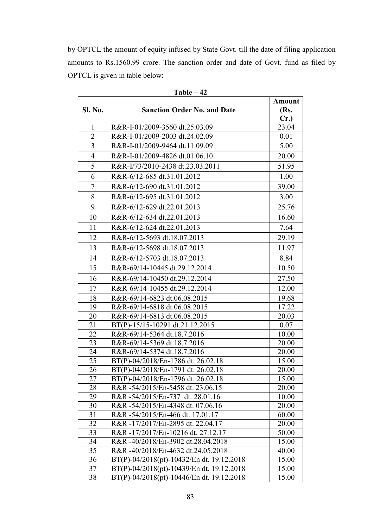by OPTCL the amount of equity infused by State Govt. till the date of filing application amounts to Rs.1560.99 crore. The sanction order and date of Govt. fund as filed by OPTCL is given in table below:

|                |                                           | <b>Amount</b> |
|----------------|-------------------------------------------|---------------|
| Sl. No.        | <b>Sanction Order No. and Date</b>        | (Rs.          |
|                |                                           | Cr.           |
| $\mathbf{1}$   | R&R-I-01/2009-3560 dt.25.03.09            | 23.04         |
| $\overline{2}$ | R&R-I-01/2009-2003 dt.24.02.09            | 0.01          |
| 3              | R&R-I-01/2009-9464 dt.11.09.09            | 5.00          |
| $\overline{4}$ | R&R-I-01/2009-4826 dt.01.06.10            | 20.00         |
| 5              | R&R-I/73/2010-2438 dt.23.03.2011          | 51.95         |
| 6              | R&R-6/12-685 dt.31.01.2012                | 1.00          |
| $\overline{7}$ | R&R-6/12-690 dt.31.01.2012                | 39.00         |
| 8              | R&R-6/12-695 dt.31.01.2012                | 3.00          |
| 9              | R&R-6/12-629 dt.22.01.2013                | 25.76         |
| 10             | R&R-6/12-634 dt.22.01.2013                | 16.60         |
| 11             | R&R-6/12-624 dt.22.01.2013                | 7.64          |
| 12             | R&R-6/12-5693 dt.18.07.2013               | 29.19         |
| 13             | R&R-6/12-5698 dt.18.07.2013               | 11.97         |
| 14             | R&R-6/12-5703 dt.18.07.2013               | 8.84          |
| 15             | R&R-69/14-10445 dt.29.12.2014             | 10.50         |
| 16             | R&R-69/14-10450 dt.29.12.2014             | 27.50         |
| 17             | R&R-69/14-10455 dt.29.12.2014             | 12.00         |
| 18             | R&R-69/14-6823 dt.06.08.2015              | 19.68         |
| 19             | R&R-69/14-6818 dt.06.08.2015              | 17.22         |
| 20             | R&R-69/14-6813 dt.06.08.2015              | 20.03         |
| 21             | BT(P)-15/15-10291 dt.21.12.2015           | 0.07          |
| 22             | R&R-69/14-5364 dt.18.7.2016               | 10.00         |
| 23             | R&R-69/14-5369 dt.18.7.2016               | 20.00         |
| 24             | R&R-69/14-5374 dt.18.7.2016               | 20.00         |
| 25             | BT(P)-04/2018/En-1786 dt. 26.02.18        | 15.00         |
| 26             | BT(P)-04/2018/En-1791 dt. 26.02.18        | 20.00         |
| 27             | BT(P)-04/2018/En-1796 dt. 26.02.18        | 15.00         |
| 28             | R&R -54/2015/En-5458 dt. 23.06.15         | 20.00         |
| 29             | R&R -54/2015/En-737 dt. 28.01.16          | 10.00         |
| 30             | R&R -54/2015/En-4348 dt. 07.06.16         | 20.00         |
| 31             | R&R -54/2015/En-466 dt. 17.01.17          | 60.00         |
| 32             | R&R -17/2017/En-2895 dt. 22.04.17         | 20.00         |
| 33             | R&R -17/2017/En-10216 dt. 27.12.17        | 50.00         |
| 34             | R&R -40/2018/En-3902 dt.28.04.2018        | 15.00         |
| 35             | R&R -40/2018/En-4632 dt.24.05.2018        | 40.00         |
| 36             | BT(P)-04/2018(pt)-10432/En dt. 19.12.2018 | 15.00         |
| 37             | BT(P)-04/2018(pt)-10439/En dt. 19.12.2018 | 15.00         |
| 38             | BT(P)-04/2018(pt)-10446/En dt. 19.12.2018 | 15.00         |

**Table – 42**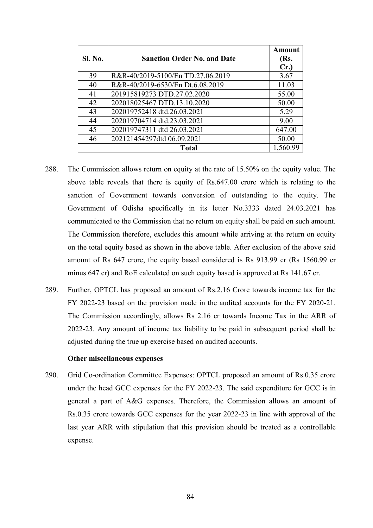| Sl. No. | <b>Sanction Order No. and Date</b> | <b>Amount</b><br>(Rs.<br>Cr. |
|---------|------------------------------------|------------------------------|
| 39      | R&R-40/2019-5100/En TD.27.06.2019  | 3.67                         |
| 40      | R&R-40/2019-6530/En Dt.6.08.2019   | 11.03                        |
| 41      | 201915819273 DTD.27.02.2020        | 55.00                        |
| 42      | 202018025467 DTD.13.10.2020        | 50.00                        |
| 43      | 202019752418 dtd.26.03.2021        | 5.29                         |
| 44      | 202019704714 dtd.23.03.2021        | 9.00                         |
| 45      | 202019747311 dtd 26.03.2021        | 647.00                       |
| 46      | 202121454297dtd 06.09.2021         | 50.00                        |
|         | <b>Total</b>                       | 1,560.99                     |

- 288. The Commission allows return on equity at the rate of 15.50% on the equity value. The above table reveals that there is equity of Rs.647.00 crore which is relating to the sanction of Government towards conversion of outstanding to the equity. The Government of Odisha specifically in its letter No.3333 dated 24.03.2021 has communicated to the Commission that no return on equity shall be paid on such amount. The Commission therefore, excludes this amount while arriving at the return on equity on the total equity based as shown in the above table. After exclusion of the above said amount of Rs 647 crore, the equity based considered is Rs 913.99 cr (Rs 1560.99 cr minus 647 cr) and RoE calculated on such equity based is approved at Rs 141.67 cr.
- 289. Further, OPTCL has proposed an amount of Rs.2.16 Crore towards income tax for the FY 2022-23 based on the provision made in the audited accounts for the FY 2020-21. The Commission accordingly, allows Rs 2.16 cr towards Income Tax in the ARR of 2022-23. Any amount of income tax liability to be paid in subsequent period shall be adjusted during the true up exercise based on audited accounts.

#### **Other miscellaneous expenses**

290. Grid Co-ordination Committee Expenses: OPTCL proposed an amount of Rs.0.35 crore under the head GCC expenses for the FY 2022-23. The said expenditure for GCC is in general a part of A&G expenses. Therefore, the Commission allows an amount of Rs.0.35 crore towards GCC expenses for the year 2022-23 in line with approval of the last year ARR with stipulation that this provision should be treated as a controllable expense.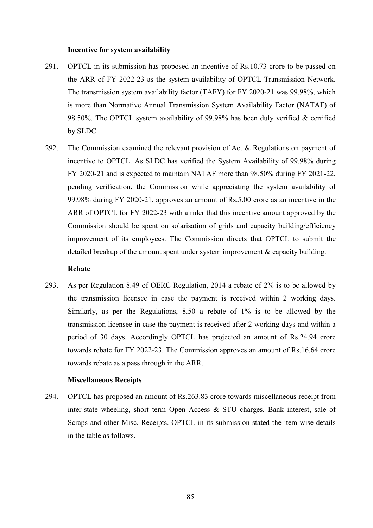#### **Incentive for system availability**

- 291. OPTCL in its submission has proposed an incentive of Rs.10.73 crore to be passed on the ARR of FY 2022-23 as the system availability of OPTCL Transmission Network. The transmission system availability factor (TAFY) for FY 2020-21 was 99.98%, which is more than Normative Annual Transmission System Availability Factor (NATAF) of 98.50%. The OPTCL system availability of 99.98% has been duly verified & certified by SLDC.
- 292. The Commission examined the relevant provision of Act & Regulations on payment of incentive to OPTCL. As SLDC has verified the System Availability of 99.98% during FY 2020-21 and is expected to maintain NATAF more than 98.50% during FY 2021-22, pending verification, the Commission while appreciating the system availability of 99.98% during FY 2020-21, approves an amount of Rs.5.00 crore as an incentive in the ARR of OPTCL for FY 2022-23 with a rider that this incentive amount approved by the Commission should be spent on solarisation of grids and capacity building/efficiency improvement of its employees. The Commission directs that OPTCL to submit the detailed breakup of the amount spent under system improvement  $\&$  capacity building.

### **Rebate**

293. As per Regulation 8.49 of OERC Regulation, 2014 a rebate of 2% is to be allowed by the transmission licensee in case the payment is received within 2 working days. Similarly, as per the Regulations, 8.50 a rebate of 1% is to be allowed by the transmission licensee in case the payment is received after 2 working days and within a period of 30 days. Accordingly OPTCL has projected an amount of Rs.24.94 crore towards rebate for FY 2022-23. The Commission approves an amount of Rs.16.64 crore towards rebate as a pass through in the ARR.

#### **Miscellaneous Receipts**

294. OPTCL has proposed an amount of Rs.263.83 crore towards miscellaneous receipt from inter-state wheeling, short term Open Access & STU charges, Bank interest, sale of Scraps and other Misc. Receipts. OPTCL in its submission stated the item-wise details in the table as follows.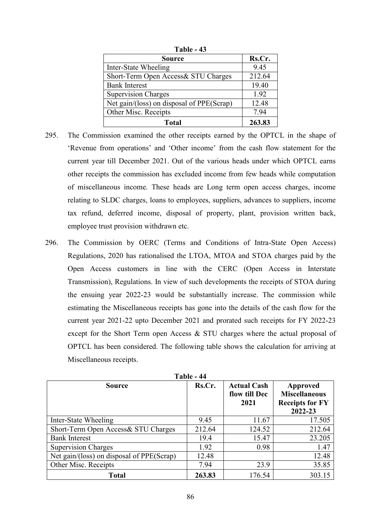| 1 avic - 49                               |        |  |  |
|-------------------------------------------|--------|--|--|
| <b>Source</b>                             | Rs.Cr. |  |  |
| Inter-State Wheeling                      | 9.45   |  |  |
| Short-Term Open Access& STU Charges       | 212.64 |  |  |
| <b>Bank Interest</b>                      | 19.40  |  |  |
| <b>Supervision Charges</b>                | 1.92   |  |  |
| Net gain/(loss) on disposal of PPE(Scrap) | 12.48  |  |  |
| Other Misc. Receipts                      | 7.94   |  |  |
| Total                                     | 263.83 |  |  |

**Table - 43**

- 295. The Commission examined the other receipts earned by the OPTCL in the shape of 'Revenue from operations' and 'Other income' from the cash flow statement for the current year till December 2021. Out of the various heads under which OPTCL earns other receipts the commission has excluded income from few heads while computation of miscellaneous income. These heads are Long term open access charges, income relating to SLDC charges, loans to employees, suppliers, advances to suppliers, income tax refund, deferred income, disposal of property, plant, provision written back, employee trust provision withdrawn etc.
- 296. The Commission by OERC (Terms and Conditions of Intra-State Open Access) Regulations, 2020 has rationalised the LTOA, MTOA and STOA charges paid by the Open Access customers in line with the CERC (Open Access in Interstate Transmission), Regulations. In view of such developments the receipts of STOA during the ensuing year 2022-23 would be substantially increase. The commission while estimating the Miscellaneous receipts has gone into the details of the cash flow for the current year 2021-22 upto December 2021 and prorated such receipts for FY 2022-23 except for the Short Term open Access & STU charges where the actual proposal of OPTCL has been considered. The following table shows the calculation for arriving at Miscellaneous receipts.

| Table - 44                                |        |                                             |                                                                       |  |  |  |
|-------------------------------------------|--------|---------------------------------------------|-----------------------------------------------------------------------|--|--|--|
| <b>Source</b>                             | Rs.Cr. | <b>Actual Cash</b><br>flow till Dec<br>2021 | Approved<br><b>Miscellaneous</b><br><b>Receipts for FY</b><br>2022-23 |  |  |  |
| Inter-State Wheeling                      | 9.45   | 11.67                                       | 17.505                                                                |  |  |  |
| Short-Term Open Access& STU Charges       | 212.64 | 124.52                                      | 212.64                                                                |  |  |  |
| <b>Bank Interest</b>                      | 19.4   | 15.47                                       | 23.205                                                                |  |  |  |
| <b>Supervision Charges</b>                | 1.92   | 0.98                                        | 1.47                                                                  |  |  |  |
| Net gain/(loss) on disposal of PPE(Scrap) | 12.48  |                                             | 12.48                                                                 |  |  |  |
| Other Misc. Receipts                      | 7.94   | 23.9                                        | 35.85                                                                 |  |  |  |
| <b>Total</b>                              | 263.83 | 176.54                                      | 303.15                                                                |  |  |  |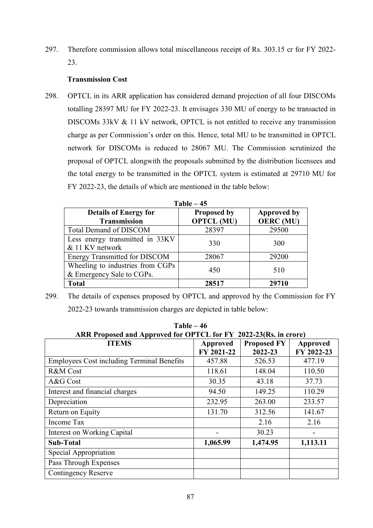297. Therefore commission allows total miscellaneous receipt of Rs. 303.15 cr for FY 2022- 23.

# **Transmission Cost**

298. OPTCL in its ARR application has considered demand projection of all four DISCOMs totalling 28397 MU for FY 2022-23. It envisages 330 MU of energy to be transacted in DISCOMs 33kV & 11 kV network, OPTCL is not entitled to receive any transmission charge as per Commission's order on this. Hence, total MU to be transmitted in OPTCL network for DISCOMs is reduced to 28067 MU. The Commission scrutinized the proposal of OPTCL alongwith the proposals submitted by the distribution licensees and the total energy to be transmitted in the OPTCL system is estimated at 29710 MU for FY 2022-23, the details of which are mentioned in the table below:

| $Table - 45$                                                  |                                         |                                        |  |  |
|---------------------------------------------------------------|-----------------------------------------|----------------------------------------|--|--|
| <b>Details of Energy for</b><br><b>Transmission</b>           | <b>Proposed by</b><br><b>OPTCL (MU)</b> | <b>Approved by</b><br><b>OERC</b> (MU) |  |  |
| <b>Total Demand of DISCOM</b>                                 | 28397                                   | 29500                                  |  |  |
| Less energy transmitted in 33KV<br>& 11 KV network            | 330                                     | 300                                    |  |  |
| <b>Energy Transmitted for DISCOM</b>                          | 28067                                   | 29200                                  |  |  |
| Wheeling to industries from CGPs<br>& Emergency Sale to CGPs. | 450                                     | 510                                    |  |  |
| <b>Total</b>                                                  | 28517                                   | 29710                                  |  |  |

299. The details of expenses proposed by OPTCL and approved by the Commission for FY 2022-23 towards transmission charges are depicted in table below:

| $Table - 46$<br>ARR Proposed and Approved for OPTCL for FY 2022-23(Rs. in crore)                         |          |          |          |  |  |  |
|----------------------------------------------------------------------------------------------------------|----------|----------|----------|--|--|--|
| <b>ITEMS</b><br><b>Proposed FY</b><br><b>Approved</b><br>Approved<br>FY 2021-22<br>2022-23<br>FY 2022-23 |          |          |          |  |  |  |
| <b>Employees Cost including Terminal Benefits</b>                                                        | 457.88   | 526.53   | 477.19   |  |  |  |
| <b>R&amp;M</b> Cost                                                                                      | 118.61   | 148.04   | 110.50   |  |  |  |
| A&G Cost                                                                                                 | 30.35    | 43.18    | 37.73    |  |  |  |
| Interest and financial charges                                                                           | 94.50    | 149.25   | 110.29   |  |  |  |
| Depreciation                                                                                             | 232.95   | 263.00   | 233.57   |  |  |  |
| Return on Equity                                                                                         | 131.70   | 312.56   | 141.67   |  |  |  |
| Income Tax                                                                                               |          | 2.16     | 2.16     |  |  |  |
| Interest on Working Capital                                                                              |          | 30.23    |          |  |  |  |
| Sub-Total                                                                                                | 1,065.99 | 1,474.95 | 1,113.11 |  |  |  |
| Special Appropriation                                                                                    |          |          |          |  |  |  |
| Pass Through Expenses                                                                                    |          |          |          |  |  |  |
| Contingency Reserve                                                                                      |          |          |          |  |  |  |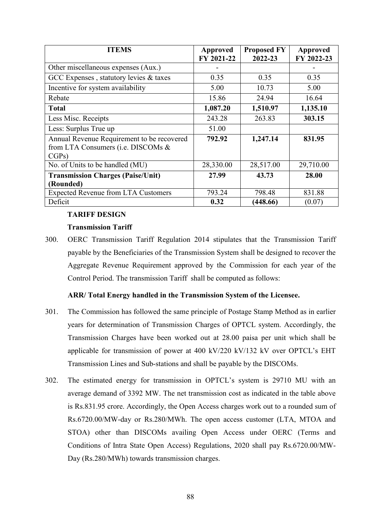| <b>ITEMS</b>                               | Approved   | <b>Proposed FY</b> | <b>Approved</b> |
|--------------------------------------------|------------|--------------------|-----------------|
|                                            | FY 2021-22 | 2022-23            | FY 2022-23      |
| Other miscellaneous expenses (Aux.)        |            |                    |                 |
| GCC Expenses, statutory levies & taxes     | 0.35       | 0.35               | 0.35            |
| Incentive for system availability          | 5.00       | 10.73              | 5.00            |
| Rebate                                     | 15.86      | 24.94              | 16.64           |
| <b>Total</b>                               | 1,087.20   | 1,510.97           | 1,135.10        |
| Less Misc. Receipts                        | 243.28     | 263.83             | 303.15          |
| Less: Surplus True up                      | 51.00      |                    |                 |
| Annual Revenue Requirement to be recovered | 792.92     | 1,247.14           | 831.95          |
| from LTA Consumers (i.e. DISCOMs &         |            |                    |                 |
| CGPs)                                      |            |                    |                 |
| No. of Units to be handled (MU)            | 28,330.00  | 28,517.00          | 29,710.00       |
| <b>Transmission Charges (Paise/Unit)</b>   | 27.99      | 43.73              | 28.00           |
| (Rounded)                                  |            |                    |                 |
| <b>Expected Revenue from LTA Customers</b> | 793.24     | 798.48             | 831.88          |
| Deficit                                    | 0.32       | (448.66)           | (0.07)          |

# **TARIFF DESIGN**

# **Transmission Tariff**

300. OERC Transmission Tariff Regulation 2014 stipulates that the Transmission Tariff payable by the Beneficiaries of the Transmission System shall be designed to recover the Aggregate Revenue Requirement approved by the Commission for each year of the Control Period. The transmission Tariff shall be computed as follows:

# **ARR/ Total Energy handled in the Transmission System of the Licensee.**

- 301. The Commission has followed the same principle of Postage Stamp Method as in earlier years for determination of Transmission Charges of OPTCL system. Accordingly, the Transmission Charges have been worked out at 28.00 paisa per unit which shall be applicable for transmission of power at 400 kV/220 kV/132 kV over OPTCL's EHT Transmission Lines and Sub-stations and shall be payable by the DISCOMs.
- 302. The estimated energy for transmission in OPTCL's system is 29710 MU with an average demand of 3392 MW. The net transmission cost as indicated in the table above is Rs.831.95 crore. Accordingly, the Open Access charges work out to a rounded sum of Rs.6720.00/MW-day or Rs.280/MWh. The open access customer (LTA, MTOA and STOA) other than DISCOMs availing Open Access under OERC (Terms and Conditions of Intra State Open Access) Regulations, 2020 shall pay Rs.6720.00/MW-Day (Rs.280/MWh) towards transmission charges.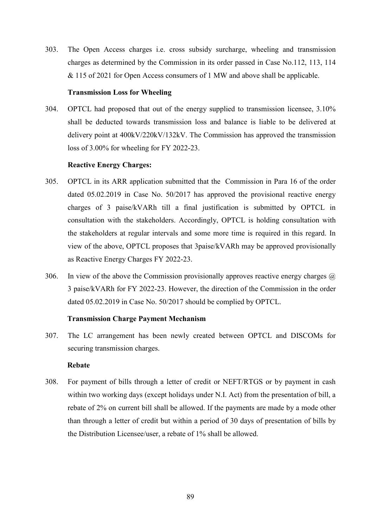303. The Open Access charges i.e. cross subsidy surcharge, wheeling and transmission charges as determined by the Commission in its order passed in Case No.112, 113, 114 & 115 of 2021 for Open Access consumers of 1 MW and above shall be applicable.

## **Transmission Loss for Wheeling**

304. OPTCL had proposed that out of the energy supplied to transmission licensee, 3.10% shall be deducted towards transmission loss and balance is liable to be delivered at delivery point at 400kV/220kV/132kV. The Commission has approved the transmission loss of 3.00% for wheeling for FY 2022-23.

#### **Reactive Energy Charges:**

- 305. OPTCL in its ARR application submitted that the Commission in Para 16 of the order dated 05.02.2019 in Case No. 50/2017 has approved the provisional reactive energy charges of 3 paise/kVARh till a final justification is submitted by OPTCL in consultation with the stakeholders. Accordingly, OPTCL is holding consultation with the stakeholders at regular intervals and some more time is required in this regard. In view of the above, OPTCL proposes that 3paise/kVARh may be approved provisionally as Reactive Energy Charges FY 2022-23.
- 306. In view of the above the Commission provisionally approves reactive energy charges  $\omega$ 3 paise/kVARh for FY 2022-23. However, the direction of the Commission in the order dated 05.02.2019 in Case No. 50/2017 should be complied by OPTCL.

## **Transmission Charge Payment Mechanism**

307. The LC arrangement has been newly created between OPTCL and DISCOMs for securing transmission charges.

### **Rebate**

308. For payment of bills through a letter of credit or NEFT/RTGS or by payment in cash within two working days (except holidays under N.I. Act) from the presentation of bill, a rebate of 2% on current bill shall be allowed. If the payments are made by a mode other than through a letter of credit but within a period of 30 days of presentation of bills by the Distribution Licensee/user, a rebate of 1% shall be allowed.